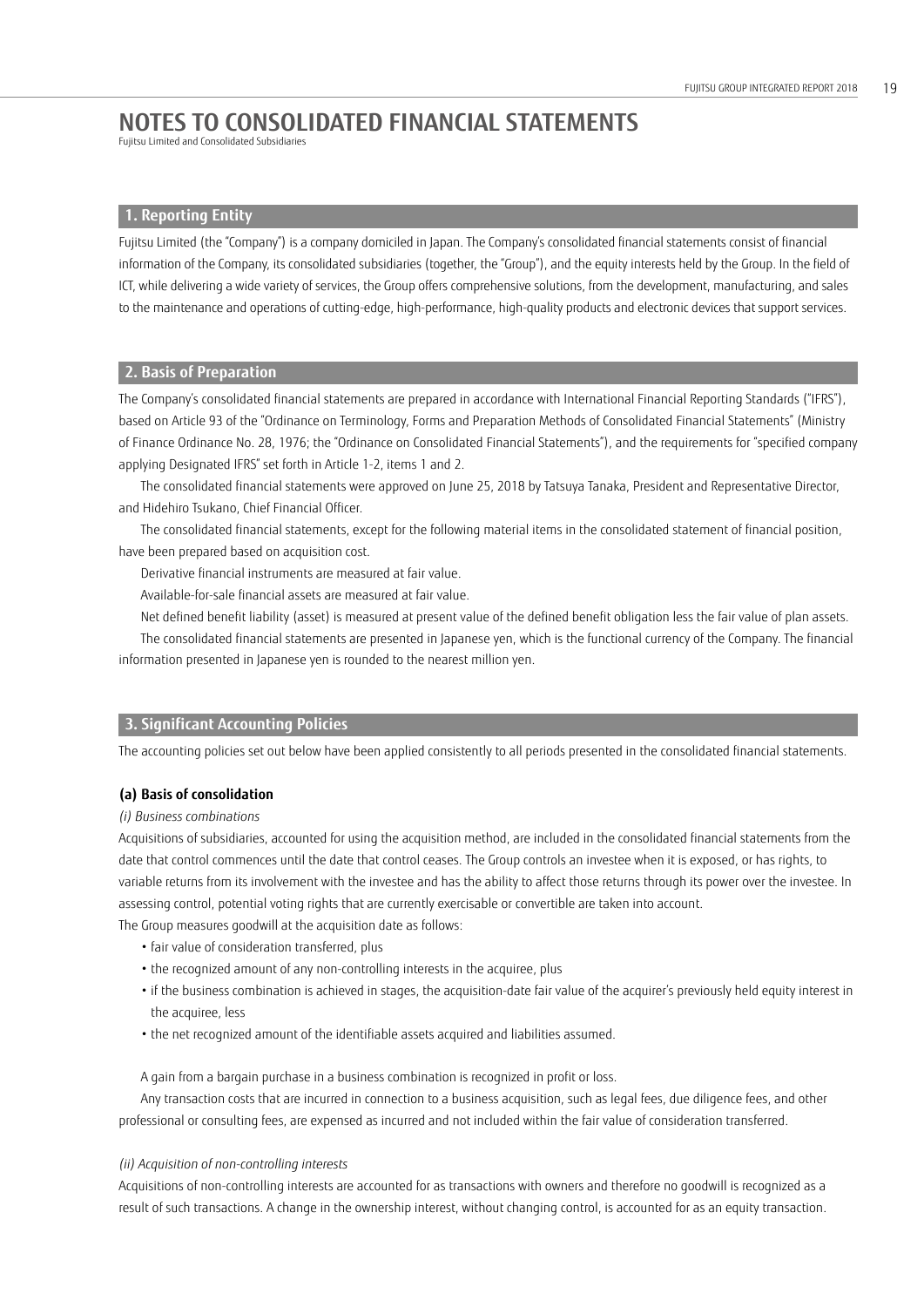Fujitsu Limited and Consolidated Subsidiaries

## **1. Reporting Entity**

Fujitsu Limited (the "Company") is a company domiciled in Japan. The Company's consolidated financial statements consist of financial information of the Company, its consolidated subsidiaries (together, the "Group"), and the equity interests held by the Group. In the field of ICT, while delivering a wide variety of services, the Group offers comprehensive solutions, from the development, manufacturing, and sales to the maintenance and operations of cutting-edge, high-performance, high-quality products and electronic devices that support services.

# **2. Basis of Preparation**

The Company's consolidated financial statements are prepared in accordance with International Financial Reporting Standards ("IFRS"), based on Article 93 of the "Ordinance on Terminology, Forms and Preparation Methods of Consolidated Financial Statements" (Ministry of Finance Ordinance No. 28, 1976; the "Ordinance on Consolidated Financial Statements"), and the requirements for "specified company applying Designated IFRS" set forth in Article 1-2, items 1 and 2.

The consolidated financial statements were approved on June 25, 2018 by Tatsuya Tanaka, President and Representative Director, and Hidehiro Tsukano, Chief Financial Officer.

The consolidated financial statements, except for the following material items in the consolidated statement of financial position, have been prepared based on acquisition cost.

Derivative financial instruments are measured at fair value.

Available-for-sale financial assets are measured at fair value.

Net defined benefit liability (asset) is measured at present value of the defined benefit obligation less the fair value of plan assets. The consolidated financial statements are presented in Japanese yen, which is the functional currency of the Company. The financial information presented in Japanese yen is rounded to the nearest million yen.

# **3. Significant Accounting Policies**

The accounting policies set out below have been applied consistently to all periods presented in the consolidated financial statements.

## **(a) Basis of consolidation**

## *(i) Business combinations*

Acquisitions of subsidiaries, accounted for using the acquisition method, are included in the consolidated financial statements from the date that control commences until the date that control ceases. The Group controls an investee when it is exposed, or has rights, to variable returns from its involvement with the investee and has the ability to affect those returns through its power over the investee. In assessing control, potential voting rights that are currently exercisable or convertible are taken into account.

The Group measures goodwill at the acquisition date as follows:

- fair value of consideration transferred, plus
- the recognized amount of any non-controlling interests in the acquiree, plus
- if the business combination is achieved in stages, the acquisition-date fair value of the acquirer's previously held equity interest in the acquiree, less
- the net recognized amount of the identifiable assets acquired and liabilities assumed.

A gain from a bargain purchase in a business combination is recognized in profit or loss.

Any transaction costs that are incurred in connection to a business acquisition, such as legal fees, due diligence fees, and other professional or consulting fees, are expensed as incurred and not included within the fair value of consideration transferred.

## *(ii) Acquisition of non-controlling interests*

Acquisitions of non-controlling interests are accounted for as transactions with owners and therefore no goodwill is recognized as a result of such transactions. A change in the ownership interest, without changing control, is accounted for as an equity transaction.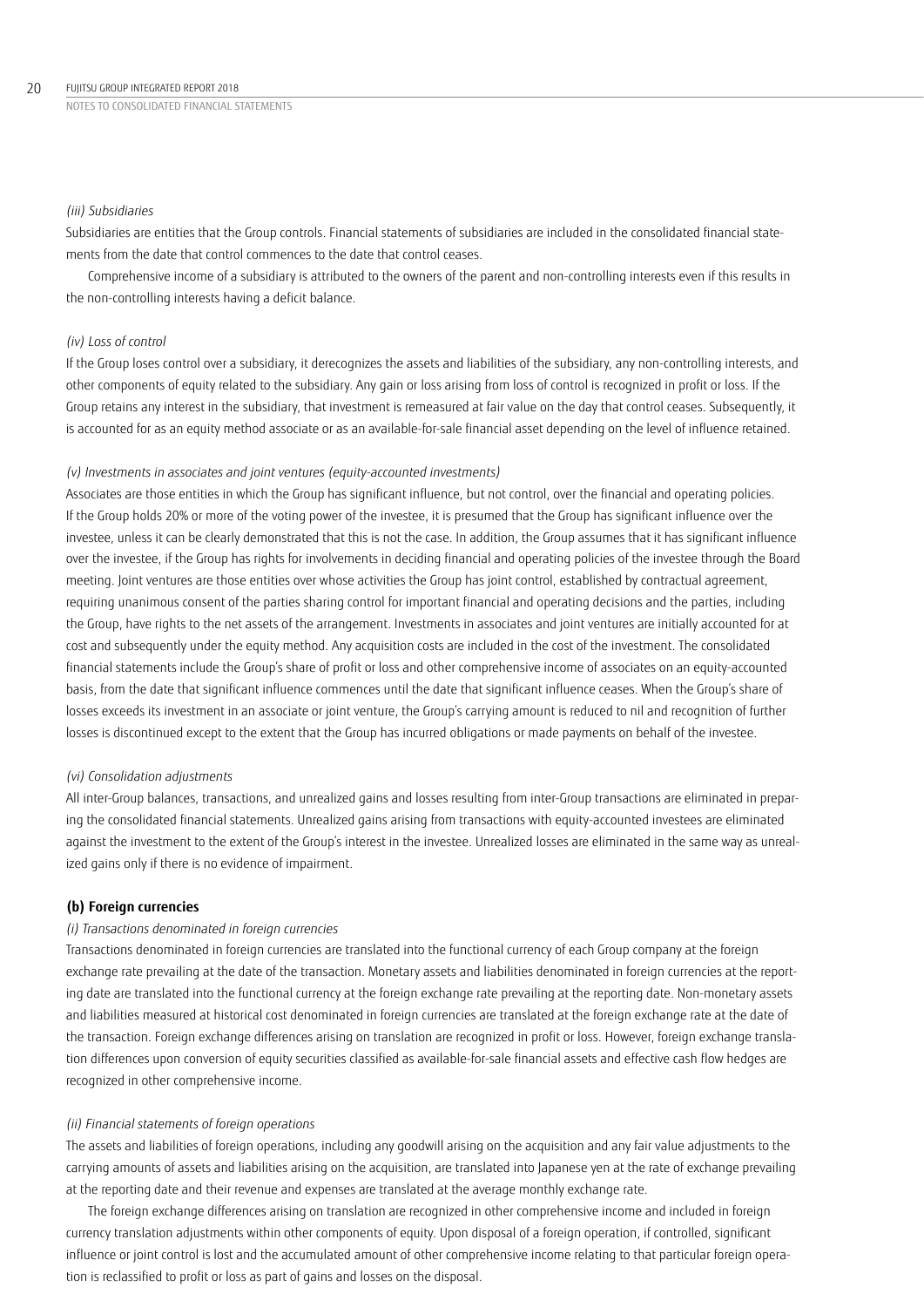*(iii) Subsidiaries*

Subsidiaries are entities that the Group controls. Financial statements of subsidiaries are included in the consolidated financial statements from the date that control commences to the date that control ceases.

Comprehensive income of a subsidiary is attributed to the owners of the parent and non-controlling interests even if this results in the non-controlling interests having a deficit balance.

### *(iv) Loss of control*

If the Group loses control over a subsidiary, it derecognizes the assets and liabilities of the subsidiary, any non-controlling interests, and other components of equity related to the subsidiary. Any gain or loss arising from loss of control is recognized in profit or loss. If the Group retains any interest in the subsidiary, that investment is remeasured at fair value on the day that control ceases. Subsequently, it is accounted for as an equity method associate or as an available-for-sale financial asset depending on the level of influence retained.

### *(v) Investments in associates and joint ventures (equity-accounted investments)*

Associates are those entities in which the Group has significant influence, but not control, over the financial and operating policies. If the Group holds 20% or more of the voting power of the investee, it is presumed that the Group has significant influence over the investee, unless it can be clearly demonstrated that this is not the case. In addition, the Group assumes that it has significant influence over the investee, if the Group has rights for involvements in deciding financial and operating policies of the investee through the Board meeting. Joint ventures are those entities over whose activities the Group has joint control, established by contractual agreement, requiring unanimous consent of the parties sharing control for important financial and operating decisions and the parties, including the Group, have rights to the net assets of the arrangement. Investments in associates and joint ventures are initially accounted for at cost and subsequently under the equity method. Any acquisition costs are included in the cost of the investment. The consolidated financial statements include the Group's share of profit or loss and other comprehensive income of associates on an equity-accounted basis, from the date that significant influence commences until the date that significant influence ceases. When the Group's share of losses exceeds its investment in an associate or joint venture, the Group's carrying amount is reduced to nil and recognition of further losses is discontinued except to the extent that the Group has incurred obligations or made payments on behalf of the investee.

### *(vi) Consolidation adjustments*

All inter-Group balances, transactions, and unrealized gains and losses resulting from inter-Group transactions are eliminated in preparing the consolidated financial statements. Unrealized gains arising from transactions with equity-accounted investees are eliminated against the investment to the extent of the Group's interest in the investee. Unrealized losses are eliminated in the same way as unrealized gains only if there is no evidence of impairment.

## **(b) Foreign currencies**

### *(i) Transactions denominated in foreign currencies*

Transactions denominated in foreign currencies are translated into the functional currency of each Group company at the foreign exchange rate prevailing at the date of the transaction. Monetary assets and liabilities denominated in foreign currencies at the reporting date are translated into the functional currency at the foreign exchange rate prevailing at the reporting date. Non-monetary assets and liabilities measured at historical cost denominated in foreign currencies are translated at the foreign exchange rate at the date of the transaction. Foreign exchange differences arising on translation are recognized in profit or loss. However, foreign exchange translation differences upon conversion of equity securities classified as available-for-sale financial assets and effective cash flow hedges are recognized in other comprehensive income.

### *(ii) Financial statements of foreign operations*

The assets and liabilities of foreign operations, including any goodwill arising on the acquisition and any fair value adjustments to the carrying amounts of assets and liabilities arising on the acquisition, are translated into Japanese yen at the rate of exchange prevailing at the reporting date and their revenue and expenses are translated at the average monthly exchange rate.

The foreign exchange differences arising on translation are recognized in other comprehensive income and included in foreign currency translation adjustments within other components of equity. Upon disposal of a foreign operation, if controlled, significant influence or joint control is lost and the accumulated amount of other comprehensive income relating to that particular foreign operation is reclassified to profit or loss as part of gains and losses on the disposal.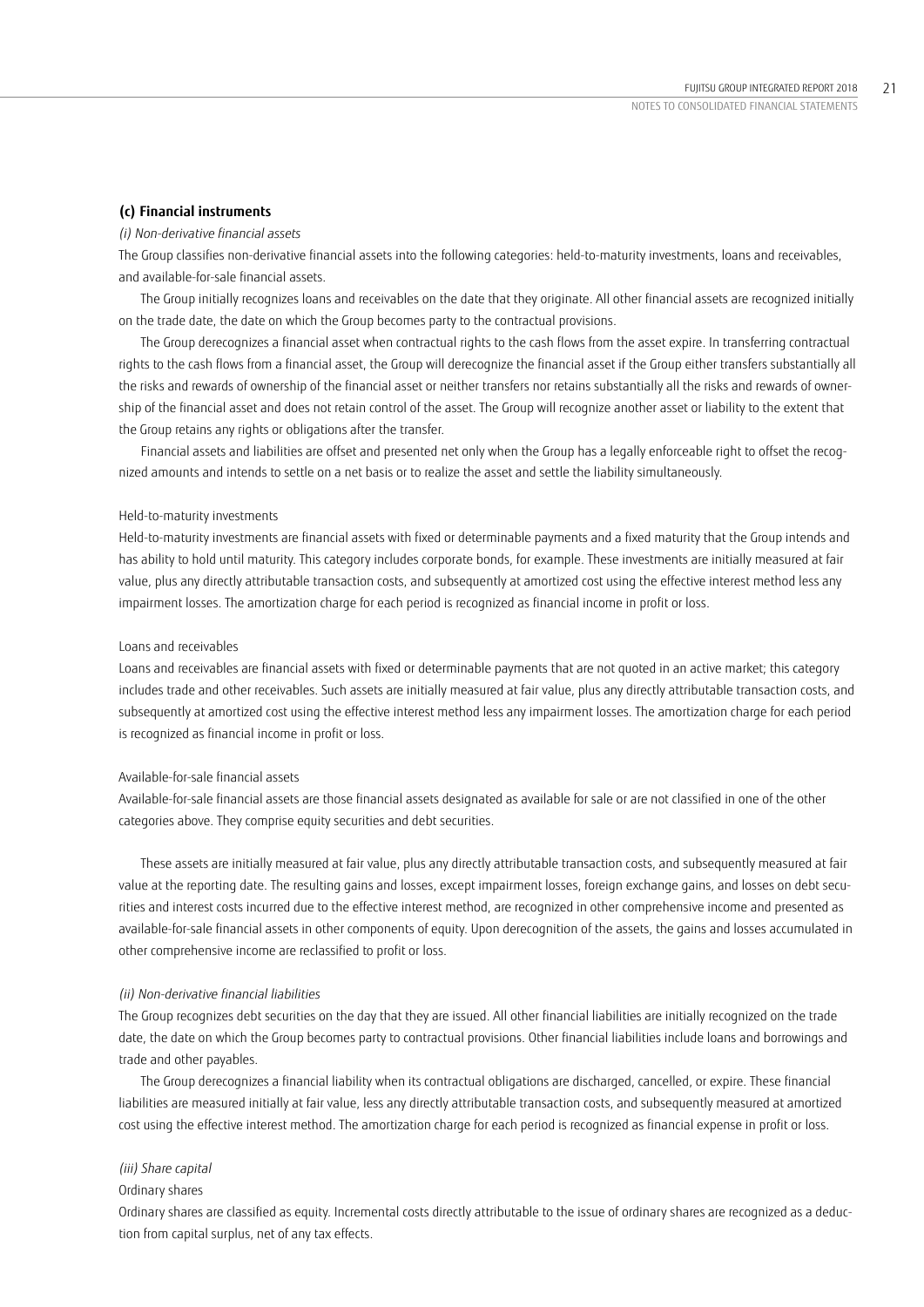### **(c) Financial instruments**

### *(i) Non-derivative financial assets*

The Group classifies non-derivative financial assets into the following categories: held-to-maturity investments, loans and receivables, and available-for-sale financial assets.

The Group initially recognizes loans and receivables on the date that they originate. All other financial assets are recognized initially on the trade date, the date on which the Group becomes party to the contractual provisions.

The Group derecognizes a financial asset when contractual rights to the cash flows from the asset expire. In transferring contractual rights to the cash flows from a financial asset, the Group will derecognize the financial asset if the Group either transfers substantially all the risks and rewards of ownership of the financial asset or neither transfers nor retains substantially all the risks and rewards of ownership of the financial asset and does not retain control of the asset. The Group will recognize another asset or liability to the extent that the Group retains any rights or obligations after the transfer.

Financial assets and liabilities are offset and presented net only when the Group has a legally enforceable right to offset the recognized amounts and intends to settle on a net basis or to realize the asset and settle the liability simultaneously.

## Held-to-maturity investments

Held-to-maturity investments are financial assets with fixed or determinable payments and a fixed maturity that the Group intends and has ability to hold until maturity. This category includes corporate bonds, for example. These investments are initially measured at fair value, plus any directly attributable transaction costs, and subsequently at amortized cost using the effective interest method less any impairment losses. The amortization charge for each period is recognized as financial income in profit or loss.

### Loans and receivables

Loans and receivables are financial assets with fixed or determinable payments that are not quoted in an active market; this category includes trade and other receivables. Such assets are initially measured at fair value, plus any directly attributable transaction costs, and subsequently at amortized cost using the effective interest method less any impairment losses. The amortization charge for each period is recognized as financial income in profit or loss.

## Available-for-sale financial assets

Available-for-sale financial assets are those financial assets designated as available for sale or are not classified in one of the other categories above. They comprise equity securities and debt securities.

These assets are initially measured at fair value, plus any directly attributable transaction costs, and subsequently measured at fair value at the reporting date. The resulting gains and losses, except impairment losses, foreign exchange gains, and losses on debt securities and interest costs incurred due to the effective interest method, are recognized in other comprehensive income and presented as available-for-sale financial assets in other components of equity. Upon derecognition of the assets, the gains and losses accumulated in other comprehensive income are reclassified to profit or loss.

### *(ii) Non-derivative financial liabilities*

The Group recognizes debt securities on the day that they are issued. All other financial liabilities are initially recognized on the trade date, the date on which the Group becomes party to contractual provisions. Other financial liabilities include loans and borrowings and trade and other payables.

The Group derecognizes a financial liability when its contractual obligations are discharged, cancelled, or expire. These financial liabilities are measured initially at fair value, less any directly attributable transaction costs, and subsequently measured at amortized cost using the effective interest method. The amortization charge for each period is recognized as financial expense in profit or loss.

### *(iii) Share capital*

### Ordinary shares

Ordinary shares are classified as equity. Incremental costs directly attributable to the issue of ordinary shares are recognized as a deduction from capital surplus, net of any tax effects.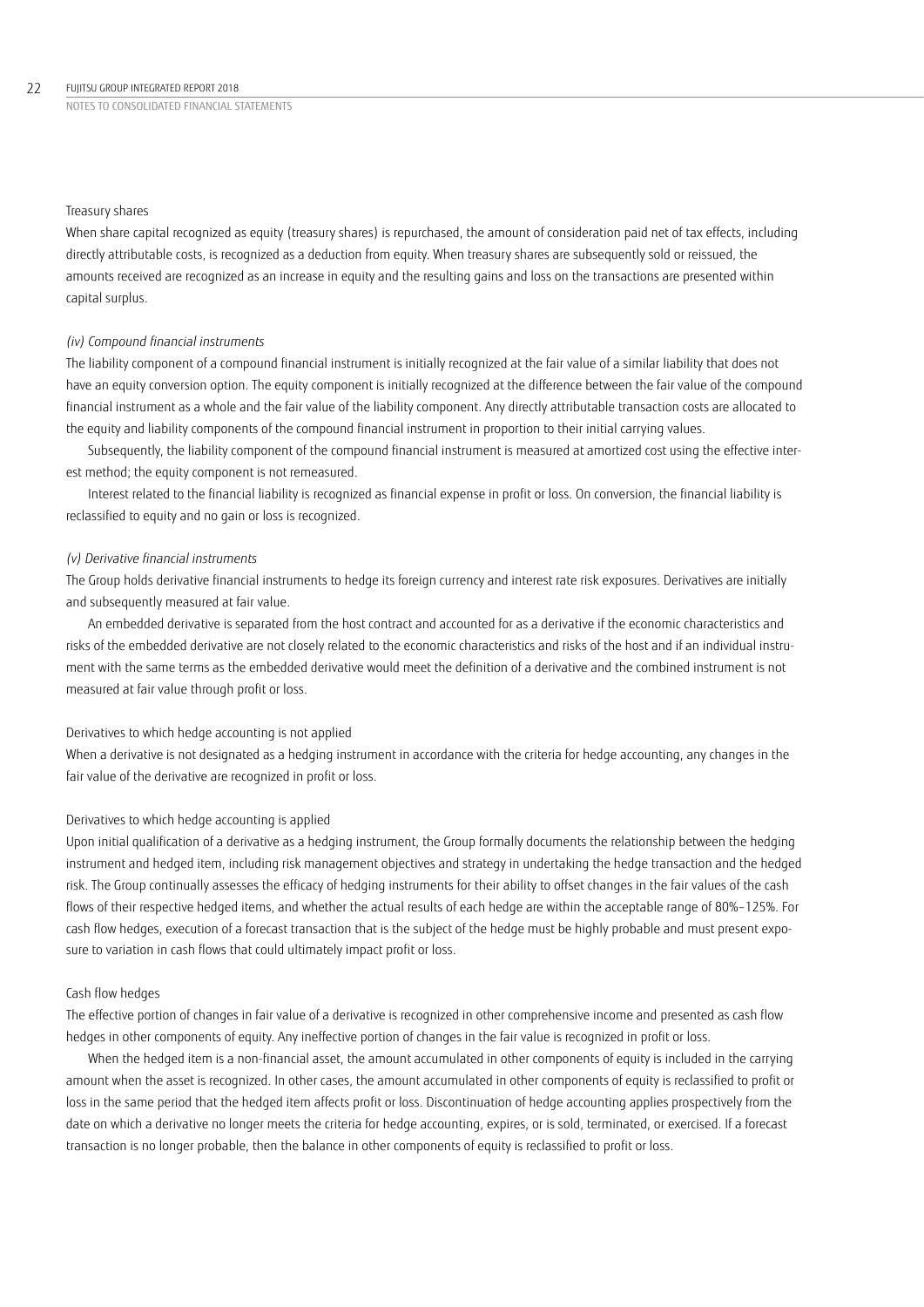### 22 FUIITSU GROUP INTEGRATED REPORT 2018

NOTES TO CONSOLIDATED FINANCIAL STATEMENTS

### Treasury shares

When share capital recognized as equity (treasury shares) is repurchased, the amount of consideration paid net of tax effects, including directly attributable costs, is recognized as a deduction from equity. When treasury shares are subsequently sold or reissued, the amounts received are recognized as an increase in equity and the resulting gains and loss on the transactions are presented within capital surplus.

### *(iv) Compound financial instruments*

The liability component of a compound financial instrument is initially recognized at the fair value of a similar liability that does not have an equity conversion option. The equity component is initially recognized at the difference between the fair value of the compound financial instrument as a whole and the fair value of the liability component. Any directly attributable transaction costs are allocated to the equity and liability components of the compound financial instrument in proportion to their initial carrying values.

Subsequently, the liability component of the compound financial instrument is measured at amortized cost using the effective interest method; the equity component is not remeasured.

Interest related to the financial liability is recognized as financial expense in profit or loss. On conversion, the financial liability is reclassified to equity and no gain or loss is recognized.

### *(v) Derivative financial instruments*

The Group holds derivative financial instruments to hedge its foreign currency and interest rate risk exposures. Derivatives are initially and subsequently measured at fair value.

An embedded derivative is separated from the host contract and accounted for as a derivative if the economic characteristics and risks of the embedded derivative are not closely related to the economic characteristics and risks of the host and if an individual instrument with the same terms as the embedded derivative would meet the definition of a derivative and the combined instrument is not measured at fair value through profit or loss.

### Derivatives to which hedge accounting is not applied

When a derivative is not designated as a hedging instrument in accordance with the criteria for hedge accounting, any changes in the fair value of the derivative are recognized in profit or loss.

### Derivatives to which hedge accounting is applied

Upon initial qualification of a derivative as a hedging instrument, the Group formally documents the relationship between the hedging instrument and hedged item, including risk management objectives and strategy in undertaking the hedge transaction and the hedged risk. The Group continually assesses the efficacy of hedging instruments for their ability to offset changes in the fair values of the cash flows of their respective hedged items, and whether the actual results of each hedge are within the acceptable range of 80%–125%. For cash flow hedges, execution of a forecast transaction that is the subject of the hedge must be highly probable and must present exposure to variation in cash flows that could ultimately impact profit or loss.

## Cash flow hedges

The effective portion of changes in fair value of a derivative is recognized in other comprehensive income and presented as cash flow hedges in other components of equity. Any ineffective portion of changes in the fair value is recognized in profit or loss.

When the hedged item is a non-financial asset, the amount accumulated in other components of equity is included in the carrying amount when the asset is recognized. In other cases, the amount accumulated in other components of equity is reclassified to profit or loss in the same period that the hedged item affects profit or loss. Discontinuation of hedge accounting applies prospectively from the date on which a derivative no longer meets the criteria for hedge accounting, expires, or is sold, terminated, or exercised. If a forecast transaction is no longer probable, then the balance in other components of equity is reclassified to profit or loss.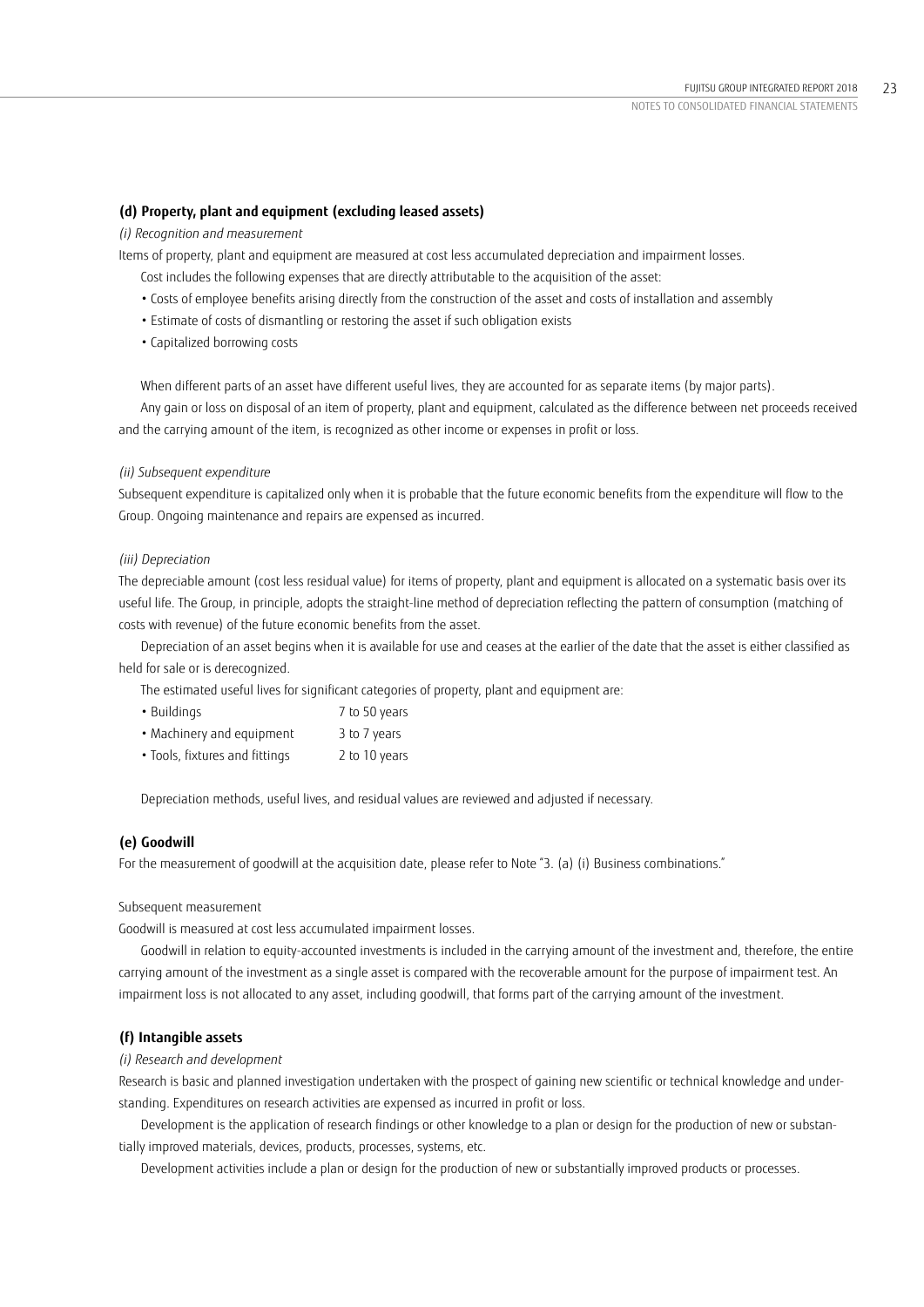## **(d) Property, plant and equipment (excluding leased assets)**

## *(i) Recognition and measurement*

Items of property, plant and equipment are measured at cost less accumulated depreciation and impairment losses.

- Cost includes the following expenses that are directly attributable to the acquisition of the asset:
- Costs of employee benefits arising directly from the construction of the asset and costs of installation and assembly
- Estimate of costs of dismantling or restoring the asset if such obligation exists
- Capitalized borrowing costs

When different parts of an asset have different useful lives, they are accounted for as separate items (by major parts).

Any gain or loss on disposal of an item of property, plant and equipment, calculated as the difference between net proceeds received and the carrying amount of the item, is recognized as other income or expenses in profit or loss.

### *(ii) Subsequent expenditure*

Subsequent expenditure is capitalized only when it is probable that the future economic benefits from the expenditure will flow to the Group. Ongoing maintenance and repairs are expensed as incurred.

### *(iii) Depreciation*

The depreciable amount (cost less residual value) for items of property, plant and equipment is allocated on a systematic basis over its useful life. The Group, in principle, adopts the straight-line method of depreciation reflecting the pattern of consumption (matching of costs with revenue) of the future economic benefits from the asset.

Depreciation of an asset begins when it is available for use and ceases at the earlier of the date that the asset is either classified as held for sale or is derecognized.

The estimated useful lives for significant categories of property, plant and equipment are:

| • Buildings               | 7 to 50 years |
|---------------------------|---------------|
| • Machinery and equipment | 3 to 7 years  |

• Tools, fixtures and fittings 2 to 10 years

Depreciation methods, useful lives, and residual values are reviewed and adjusted if necessary.

## **(e) Goodwill**

For the measurement of goodwill at the acquisition date, please refer to Note "3. (a) (i) Business combinations."

### Subsequent measurement

Goodwill is measured at cost less accumulated impairment losses.

Goodwill in relation to equity-accounted investments is included in the carrying amount of the investment and, therefore, the entire carrying amount of the investment as a single asset is compared with the recoverable amount for the purpose of impairment test. An impairment loss is not allocated to any asset, including goodwill, that forms part of the carrying amount of the investment.

## **(f) Intangible assets**

## *(i) Research and development*

Research is basic and planned investigation undertaken with the prospect of gaining new scientific or technical knowledge and understanding. Expenditures on research activities are expensed as incurred in profit or loss.

Development is the application of research findings or other knowledge to a plan or design for the production of new or substantially improved materials, devices, products, processes, systems, etc.

Development activities include a plan or design for the production of new or substantially improved products or processes.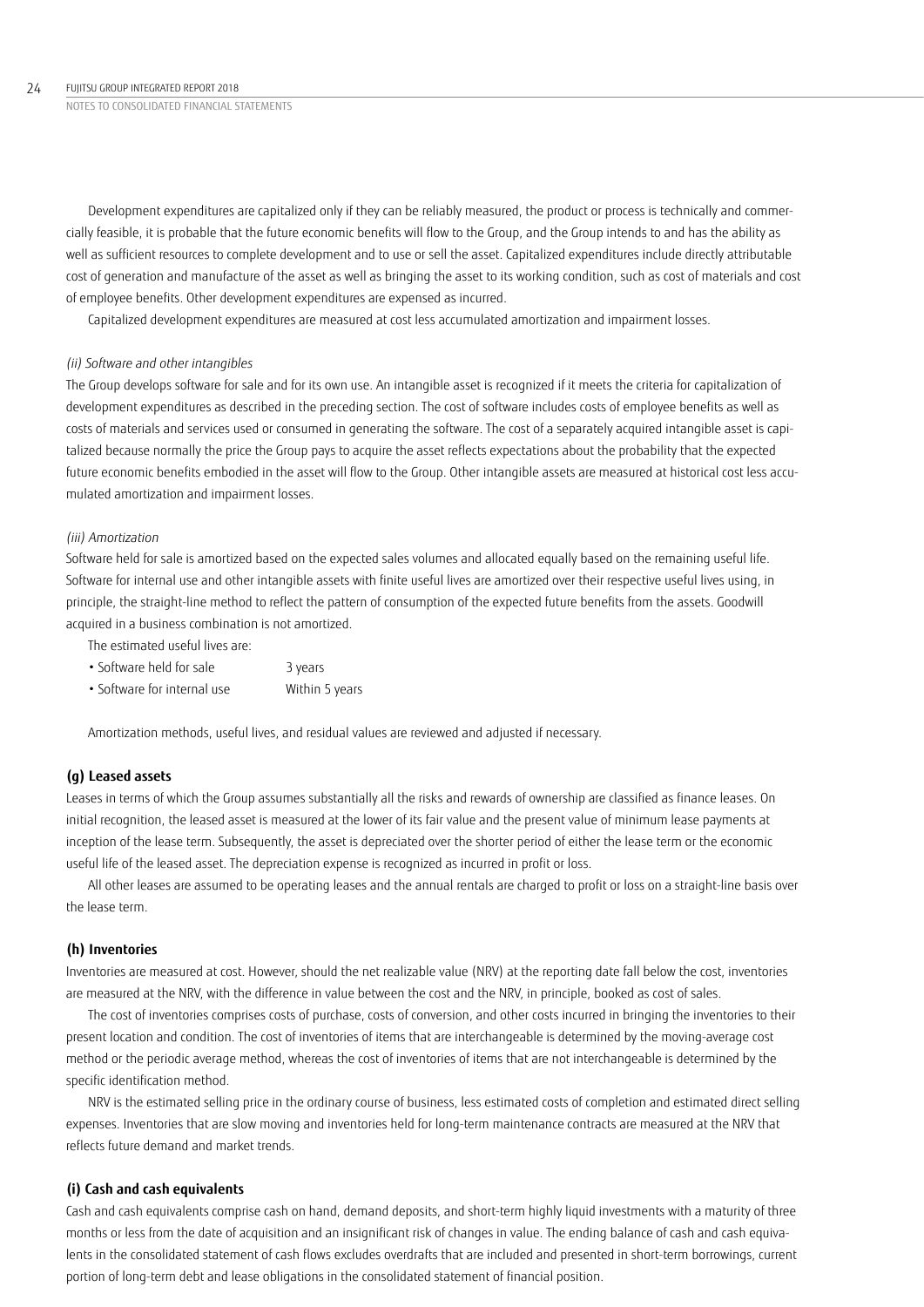Development expenditures are capitalized only if they can be reliably measured, the product or process is technically and commercially feasible, it is probable that the future economic benefits will flow to the Group, and the Group intends to and has the ability as well as sufficient resources to complete development and to use or sell the asset. Capitalized expenditures include directly attributable cost of generation and manufacture of the asset as well as bringing the asset to its working condition, such as cost of materials and cost of employee benefits. Other development expenditures are expensed as incurred.

Capitalized development expenditures are measured at cost less accumulated amortization and impairment losses.

### *(ii) Software and other intangibles*

The Group develops software for sale and for its own use. An intangible asset is recognized if it meets the criteria for capitalization of development expenditures as described in the preceding section. The cost of software includes costs of employee benefits as well as costs of materials and services used or consumed in generating the software. The cost of a separately acquired intangible asset is capitalized because normally the price the Group pays to acquire the asset reflects expectations about the probability that the expected future economic benefits embodied in the asset will flow to the Group. Other intangible assets are measured at historical cost less accumulated amortization and impairment losses.

## *(iii) Amortization*

Software held for sale is amortized based on the expected sales volumes and allocated equally based on the remaining useful life. Software for internal use and other intangible assets with finite useful lives are amortized over their respective useful lives using, in principle, the straight-line method to reflect the pattern of consumption of the expected future benefits from the assets. Goodwill acquired in a business combination is not amortized.

The estimated useful lives are:

| • Software held for sale    | 3 years        |
|-----------------------------|----------------|
| • Software for internal use | Within 5 years |

Amortization methods, useful lives, and residual values are reviewed and adjusted if necessary.

## **(g) Leased assets**

Leases in terms of which the Group assumes substantially all the risks and rewards of ownership are classified as finance leases. On initial recognition, the leased asset is measured at the lower of its fair value and the present value of minimum lease payments at inception of the lease term. Subsequently, the asset is depreciated over the shorter period of either the lease term or the economic useful life of the leased asset. The depreciation expense is recognized as incurred in profit or loss.

All other leases are assumed to be operating leases and the annual rentals are charged to profit or loss on a straight-line basis over the lease term.

### **(h) Inventories**

Inventories are measured at cost. However, should the net realizable value (NRV) at the reporting date fall below the cost, inventories are measured at the NRV, with the difference in value between the cost and the NRV, in principle, booked as cost of sales.

The cost of inventories comprises costs of purchase, costs of conversion, and other costs incurred in bringing the inventories to their present location and condition. The cost of inventories of items that are interchangeable is determined by the moving-average cost method or the periodic average method, whereas the cost of inventories of items that are not interchangeable is determined by the specific identification method.

NRV is the estimated selling price in the ordinary course of business, less estimated costs of completion and estimated direct selling expenses. Inventories that are slow moving and inventories held for long-term maintenance contracts are measured at the NRV that reflects future demand and market trends.

## **(i) Cash and cash equivalents**

Cash and cash equivalents comprise cash on hand, demand deposits, and short-term highly liquid investments with a maturity of three months or less from the date of acquisition and an insignificant risk of changes in value. The ending balance of cash and cash equivalents in the consolidated statement of cash flows excludes overdrafts that are included and presented in short-term borrowings, current portion of long-term debt and lease obligations in the consolidated statement of financial position.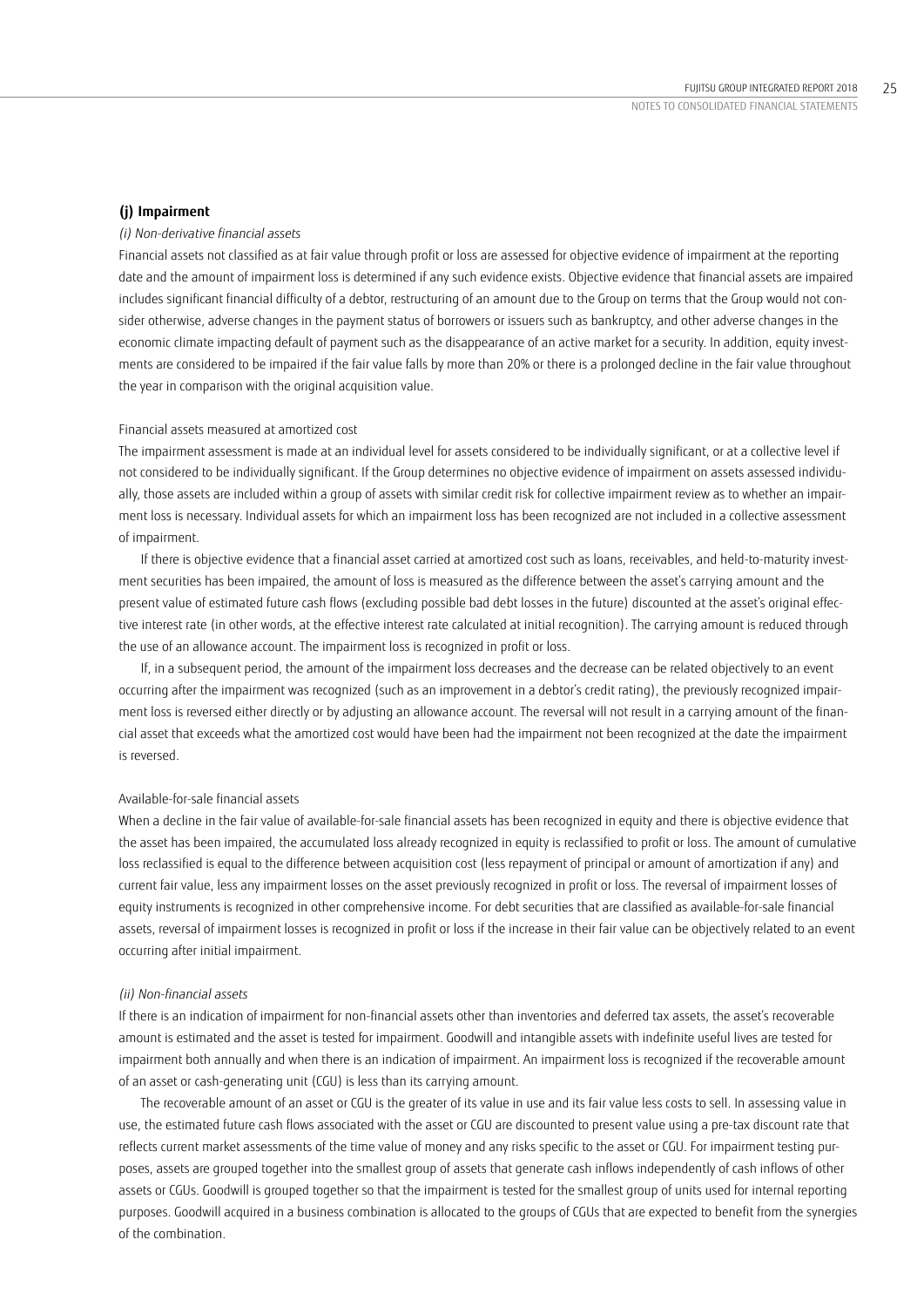### **(j) Impairment**

### *(i) Non-derivative financial assets*

Financial assets not classified as at fair value through profit or loss are assessed for objective evidence of impairment at the reporting date and the amount of impairment loss is determined if any such evidence exists. Objective evidence that financial assets are impaired includes significant financial difficulty of a debtor, restructuring of an amount due to the Group on terms that the Group would not consider otherwise, adverse changes in the payment status of borrowers or issuers such as bankruptcy, and other adverse changes in the economic climate impacting default of payment such as the disappearance of an active market for a security. In addition, equity investments are considered to be impaired if the fair value falls by more than 20% or there is a prolonged decline in the fair value throughout the year in comparison with the original acquisition value.

### Financial assets measured at amortized cost

The impairment assessment is made at an individual level for assets considered to be individually significant, or at a collective level if not considered to be individually significant. If the Group determines no objective evidence of impairment on assets assessed individually, those assets are included within a group of assets with similar credit risk for collective impairment review as to whether an impairment loss is necessary. Individual assets for which an impairment loss has been recognized are not included in a collective assessment of impairment.

If there is objective evidence that a financial asset carried at amortized cost such as loans, receivables, and held-to-maturity investment securities has been impaired, the amount of loss is measured as the difference between the asset's carrying amount and the present value of estimated future cash flows (excluding possible bad debt losses in the future) discounted at the asset's original effective interest rate (in other words, at the effective interest rate calculated at initial recognition). The carrying amount is reduced through the use of an allowance account. The impairment loss is recognized in profit or loss.

If, in a subsequent period, the amount of the impairment loss decreases and the decrease can be related objectively to an event occurring after the impairment was recognized (such as an improvement in a debtor's credit rating), the previously recognized impairment loss is reversed either directly or by adjusting an allowance account. The reversal will not result in a carrying amount of the financial asset that exceeds what the amortized cost would have been had the impairment not been recognized at the date the impairment is reversed.

### Available-for-sale financial assets

When a decline in the fair value of available-for-sale financial assets has been recognized in equity and there is objective evidence that the asset has been impaired, the accumulated loss already recognized in equity is reclassified to profit or loss. The amount of cumulative loss reclassified is equal to the difference between acquisition cost (less repayment of principal or amount of amortization if any) and current fair value, less any impairment losses on the asset previously recognized in profit or loss. The reversal of impairment losses of equity instruments is recognized in other comprehensive income. For debt securities that are classified as available-for-sale financial assets, reversal of impairment losses is recognized in profit or loss if the increase in their fair value can be objectively related to an event occurring after initial impairment.

### *(ii) Non-financial assets*

If there is an indication of impairment for non-financial assets other than inventories and deferred tax assets, the asset's recoverable amount is estimated and the asset is tested for impairment. Goodwill and intangible assets with indefinite useful lives are tested for impairment both annually and when there is an indication of impairment. An impairment loss is recognized if the recoverable amount of an asset or cash-generating unit (CGU) is less than its carrying amount.

The recoverable amount of an asset or CGU is the greater of its value in use and its fair value less costs to sell. In assessing value in use, the estimated future cash flows associated with the asset or CGU are discounted to present value using a pre-tax discount rate that reflects current market assessments of the time value of money and any risks specific to the asset or CGU. For impairment testing purposes, assets are grouped together into the smallest group of assets that generate cash inflows independently of cash inflows of other assets or CGUs. Goodwill is grouped together so that the impairment is tested for the smallest group of units used for internal reporting purposes. Goodwill acquired in a business combination is allocated to the groups of CGUs that are expected to benefit from the synergies of the combination.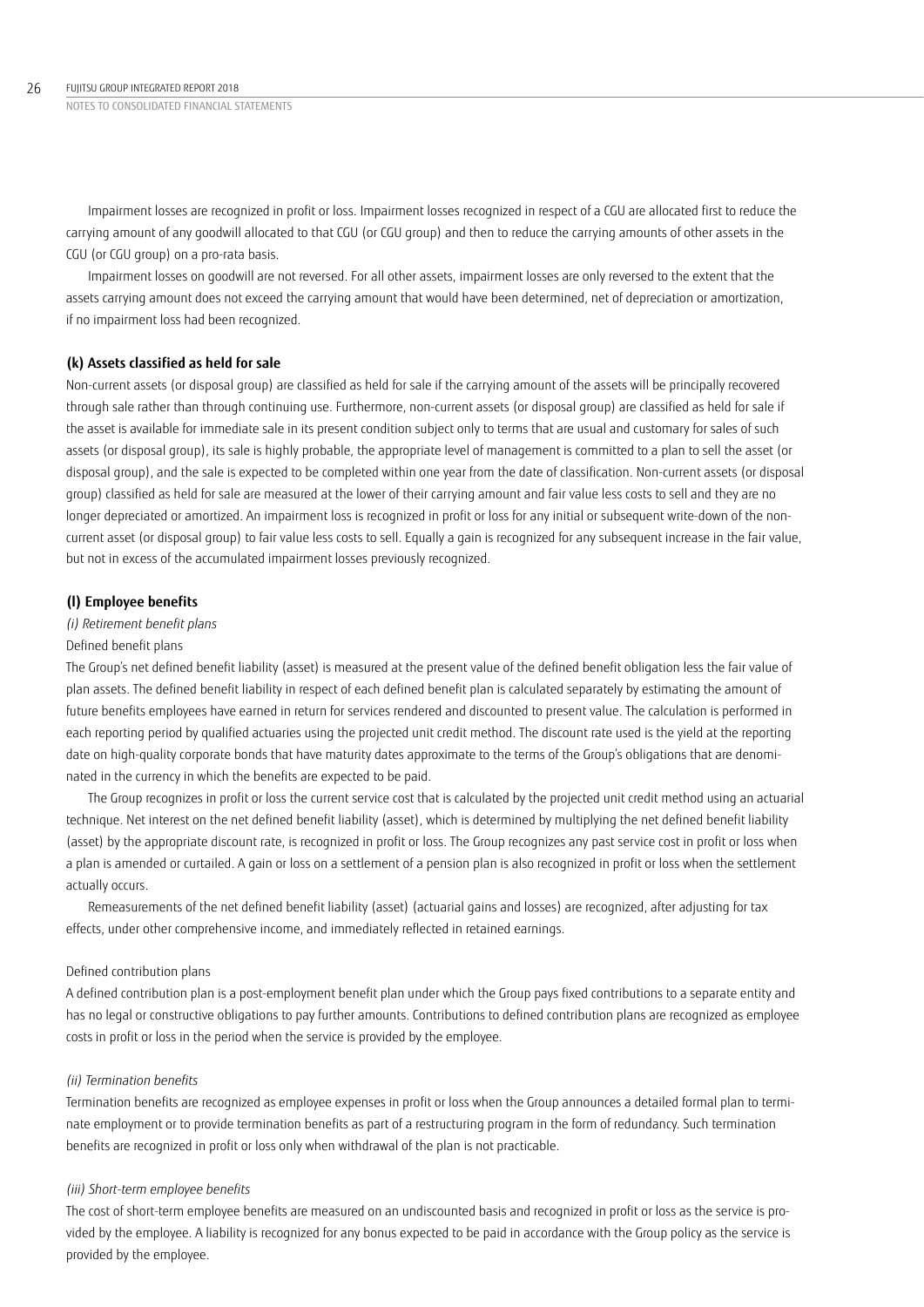Impairment losses are recognized in profit or loss. Impairment losses recognized in respect of a CGU are allocated first to reduce the carrying amount of any goodwill allocated to that CGU (or CGU group) and then to reduce the carrying amounts of other assets in the CGU (or CGU group) on a pro-rata basis.

Impairment losses on goodwill are not reversed. For all other assets, impairment losses are only reversed to the extent that the assets carrying amount does not exceed the carrying amount that would have been determined, net of depreciation or amortization, if no impairment loss had been recognized.

## **(k) Assets classified as held for sale**

Non-current assets (or disposal group) are classified as held for sale if the carrying amount of the assets will be principally recovered through sale rather than through continuing use. Furthermore, non-current assets (or disposal group) are classified as held for sale if the asset is available for immediate sale in its present condition subject only to terms that are usual and customary for sales of such assets (or disposal group), its sale is highly probable, the appropriate level of management is committed to a plan to sell the asset (or disposal group), and the sale is expected to be completed within one year from the date of classification. Non-current assets (or disposal group) classified as held for sale are measured at the lower of their carrying amount and fair value less costs to sell and they are no longer depreciated or amortized. An impairment loss is recognized in profit or loss for any initial or subsequent write-down of the noncurrent asset (or disposal group) to fair value less costs to sell. Equally a gain is recognized for any subsequent increase in the fair value, but not in excess of the accumulated impairment losses previously recognized.

## **(l) Employee benefits**

## *(i) Retirement benefit plans*

### Defined benefit plans

The Group's net defined benefit liability (asset) is measured at the present value of the defined benefit obligation less the fair value of plan assets. The defined benefit liability in respect of each defined benefit plan is calculated separately by estimating the amount of future benefits employees have earned in return for services rendered and discounted to present value. The calculation is performed in each reporting period by qualified actuaries using the projected unit credit method. The discount rate used is the yield at the reporting date on high-quality corporate bonds that have maturity dates approximate to the terms of the Group's obligations that are denominated in the currency in which the benefits are expected to be paid.

The Group recognizes in profit or loss the current service cost that is calculated by the projected unit credit method using an actuarial technique. Net interest on the net defined benefit liability (asset), which is determined by multiplying the net defined benefit liability (asset) by the appropriate discount rate, is recognized in profit or loss. The Group recognizes any past service cost in profit or loss when a plan is amended or curtailed. A gain or loss on a settlement of a pension plan is also recognized in profit or loss when the settlement actually occurs.

Remeasurements of the net defined benefit liability (asset) (actuarial gains and losses) are recognized, after adjusting for tax effects, under other comprehensive income, and immediately reflected in retained earnings.

## Defined contribution plans

A defined contribution plan is a post-employment benefit plan under which the Group pays fixed contributions to a separate entity and has no legal or constructive obligations to pay further amounts. Contributions to defined contribution plans are recognized as employee costs in profit or loss in the period when the service is provided by the employee.

## *(ii) Termination benefits*

Termination benefits are recognized as employee expenses in profit or loss when the Group announces a detailed formal plan to terminate employment or to provide termination benefits as part of a restructuring program in the form of redundancy. Such termination benefits are recognized in profit or loss only when withdrawal of the plan is not practicable.

## *(iii) Short-term employee benefits*

The cost of short-term employee benefits are measured on an undiscounted basis and recognized in profit or loss as the service is provided by the employee. A liability is recognized for any bonus expected to be paid in accordance with the Group policy as the service is provided by the employee.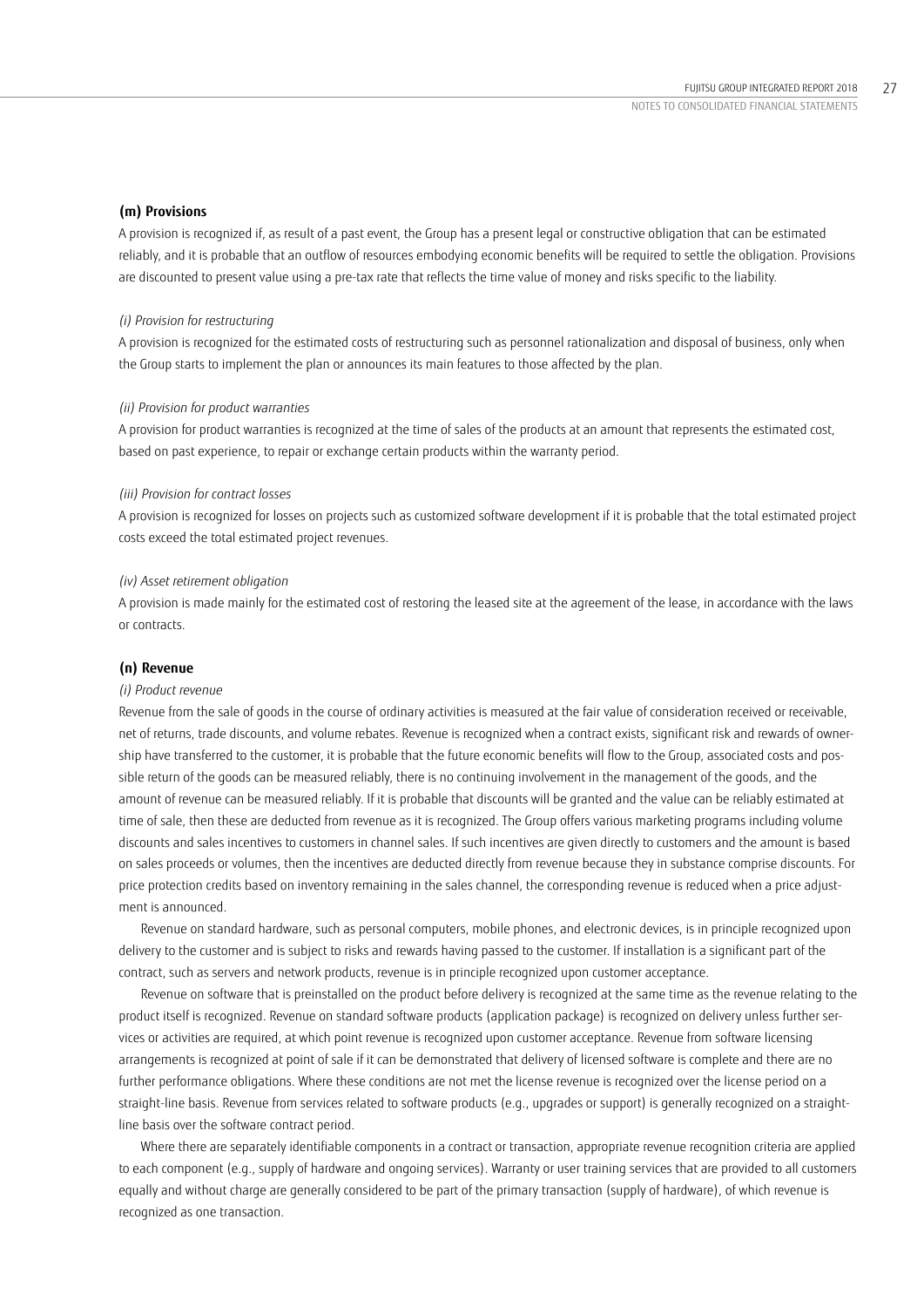## **(m) Provisions**

A provision is recognized if, as result of a past event, the Group has a present legal or constructive obligation that can be estimated reliably, and it is probable that an outflow of resources embodying economic benefits will be required to settle the obligation. Provisions are discounted to present value using a pre-tax rate that reflects the time value of money and risks specific to the liability.

### *(i) Provision for restructuring*

A provision is recognized for the estimated costs of restructuring such as personnel rationalization and disposal of business, only when the Group starts to implement the plan or announces its main features to those affected by the plan.

### *(ii) Provision for product warranties*

A provision for product warranties is recognized at the time of sales of the products at an amount that represents the estimated cost, based on past experience, to repair or exchange certain products within the warranty period.

### *(iii) Provision for contract losses*

A provision is recognized for losses on projects such as customized software development if it is probable that the total estimated project costs exceed the total estimated project revenues.

### *(iv) Asset retirement obligation*

A provision is made mainly for the estimated cost of restoring the leased site at the agreement of the lease, in accordance with the laws or contracts.

### **(n) Revenue**

### *(i) Product revenue*

Revenue from the sale of goods in the course of ordinary activities is measured at the fair value of consideration received or receivable, net of returns, trade discounts, and volume rebates. Revenue is recognized when a contract exists, significant risk and rewards of ownership have transferred to the customer, it is probable that the future economic benefits will flow to the Group, associated costs and possible return of the goods can be measured reliably, there is no continuing involvement in the management of the goods, and the amount of revenue can be measured reliably. If it is probable that discounts will be granted and the value can be reliably estimated at time of sale, then these are deducted from revenue as it is recognized. The Group offers various marketing programs including volume discounts and sales incentives to customers in channel sales. If such incentives are given directly to customers and the amount is based on sales proceeds or volumes, then the incentives are deducted directly from revenue because they in substance comprise discounts. For price protection credits based on inventory remaining in the sales channel, the corresponding revenue is reduced when a price adjustment is announced.

Revenue on standard hardware, such as personal computers, mobile phones, and electronic devices, is in principle recognized upon delivery to the customer and is subject to risks and rewards having passed to the customer. If installation is a significant part of the contract, such as servers and network products, revenue is in principle recognized upon customer acceptance.

Revenue on software that is preinstalled on the product before delivery is recognized at the same time as the revenue relating to the product itself is recognized. Revenue on standard software products (application package) is recognized on delivery unless further services or activities are required, at which point revenue is recognized upon customer acceptance. Revenue from software licensing arrangements is recognized at point of sale if it can be demonstrated that delivery of licensed software is complete and there are no further performance obligations. Where these conditions are not met the license revenue is recognized over the license period on a straight-line basis. Revenue from services related to software products (e.g., upgrades or support) is generally recognized on a straightline basis over the software contract period.

Where there are separately identifiable components in a contract or transaction, appropriate revenue recognition criteria are applied to each component (e.g., supply of hardware and ongoing services). Warranty or user training services that are provided to all customers equally and without charge are generally considered to be part of the primary transaction (supply of hardware), of which revenue is recognized as one transaction.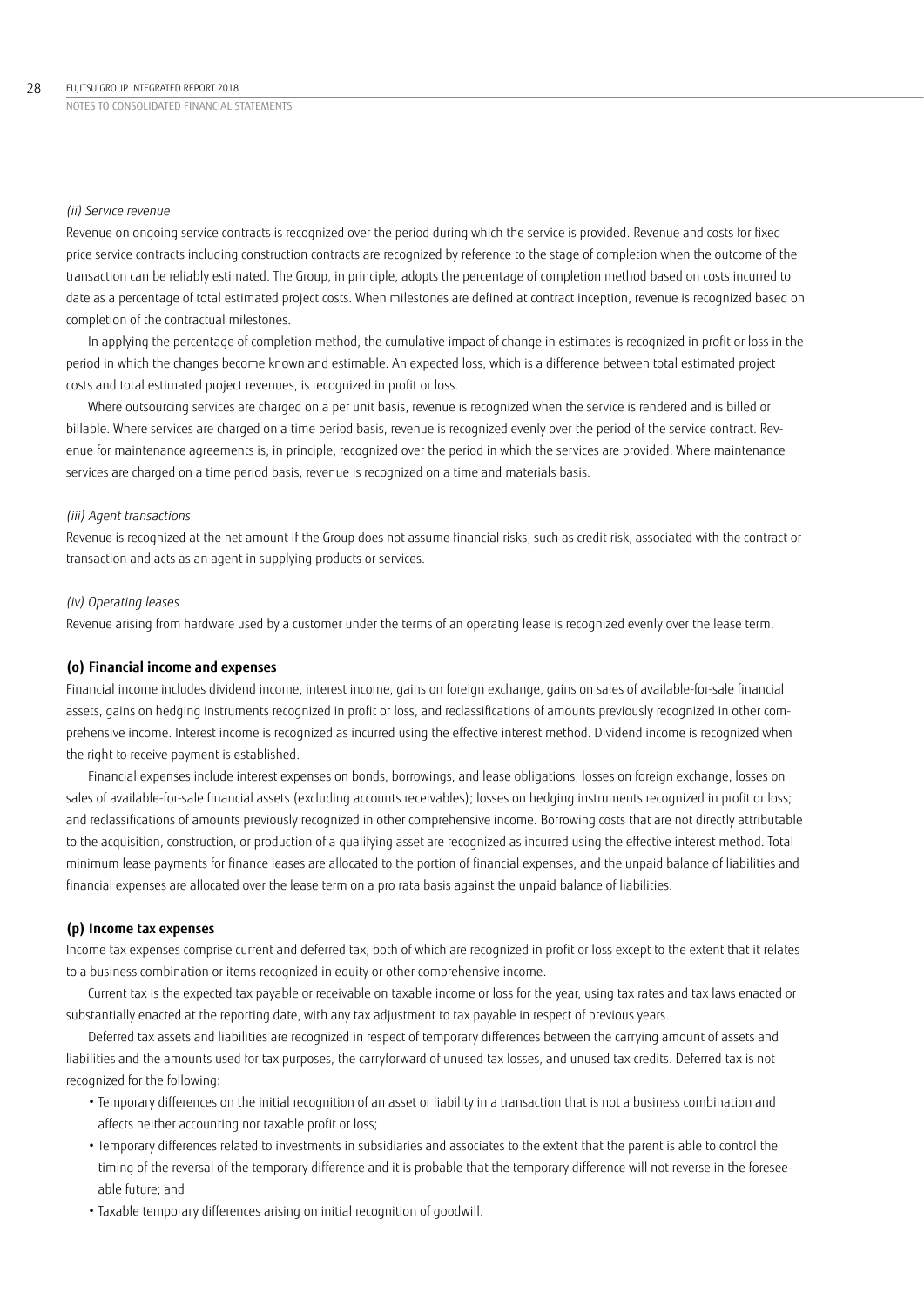### *(ii) Service revenue*

Revenue on ongoing service contracts is recognized over the period during which the service is provided. Revenue and costs for fixed price service contracts including construction contracts are recognized by reference to the stage of completion when the outcome of the transaction can be reliably estimated. The Group, in principle, adopts the percentage of completion method based on costs incurred to date as a percentage of total estimated project costs. When milestones are defined at contract inception, revenue is recognized based on completion of the contractual milestones.

In applying the percentage of completion method, the cumulative impact of change in estimates is recognized in profit or loss in the period in which the changes become known and estimable. An expected loss, which is a difference between total estimated project costs and total estimated project revenues, is recognized in profit or loss.

Where outsourcing services are charged on a per unit basis, revenue is recognized when the service is rendered and is billed or billable. Where services are charged on a time period basis, revenue is recognized evenly over the period of the service contract. Revenue for maintenance agreements is, in principle, recognized over the period in which the services are provided. Where maintenance services are charged on a time period basis, revenue is recognized on a time and materials basis.

## *(iii) Agent transactions*

Revenue is recognized at the net amount if the Group does not assume financial risks, such as credit risk, associated with the contract or transaction and acts as an agent in supplying products or services.

## *(iv) Operating leases*

Revenue arising from hardware used by a customer under the terms of an operating lease is recognized evenly over the lease term.

## **(o) Financial income and expenses**

Financial income includes dividend income, interest income, gains on foreign exchange, gains on sales of available-for-sale financial assets, gains on hedging instruments recognized in profit or loss, and reclassifications of amounts previously recognized in other comprehensive income. Interest income is recognized as incurred using the effective interest method. Dividend income is recognized when the right to receive payment is established.

Financial expenses include interest expenses on bonds, borrowings, and lease obligations; losses on foreign exchange, losses on sales of available-for-sale financial assets (excluding accounts receivables); losses on hedging instruments recognized in profit or loss; and reclassifications of amounts previously recognized in other comprehensive income. Borrowing costs that are not directly attributable to the acquisition, construction, or production of a qualifying asset are recognized as incurred using the effective interest method. Total minimum lease payments for finance leases are allocated to the portion of financial expenses, and the unpaid balance of liabilities and financial expenses are allocated over the lease term on a pro rata basis against the unpaid balance of liabilities.

## **(p) Income tax expenses**

Income tax expenses comprise current and deferred tax, both of which are recognized in profit or loss except to the extent that it relates to a business combination or items recognized in equity or other comprehensive income.

Current tax is the expected tax payable or receivable on taxable income or loss for the year, using tax rates and tax laws enacted or substantially enacted at the reporting date, with any tax adjustment to tax payable in respect of previous years.

Deferred tax assets and liabilities are recognized in respect of temporary differences between the carrying amount of assets and liabilities and the amounts used for tax purposes, the carryforward of unused tax losses, and unused tax credits. Deferred tax is not recognized for the following:

- Temporary differences on the initial recognition of an asset or liability in a transaction that is not a business combination and affects neither accounting nor taxable profit or loss;
- Temporary differences related to investments in subsidiaries and associates to the extent that the parent is able to control the timing of the reversal of the temporary difference and it is probable that the temporary difference will not reverse in the foreseeable future; and
- Taxable temporary differences arising on initial recognition of goodwill.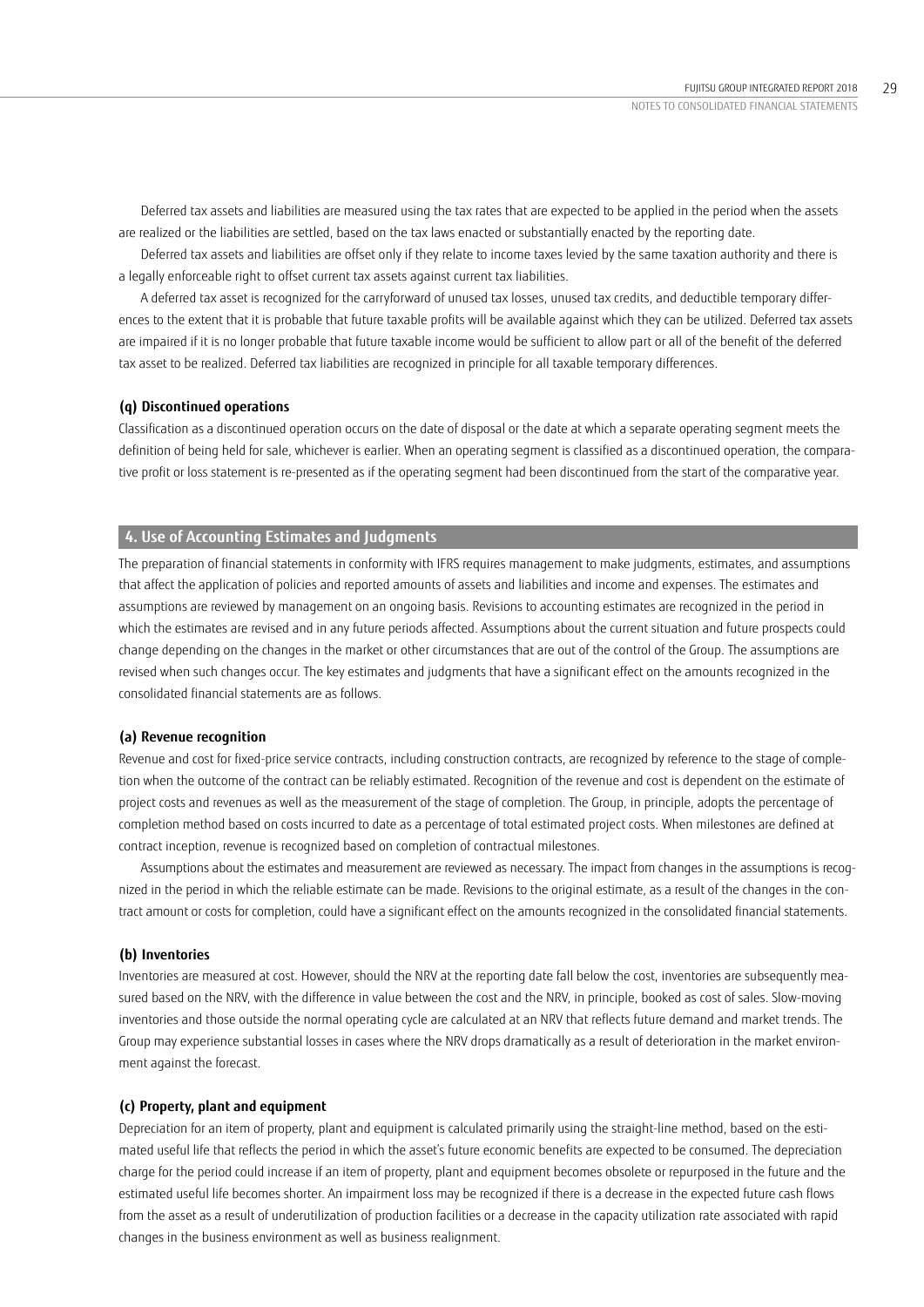Deferred tax assets and liabilities are measured using the tax rates that are expected to be applied in the period when the assets are realized or the liabilities are settled, based on the tax laws enacted or substantially enacted by the reporting date.

Deferred tax assets and liabilities are offset only if they relate to income taxes levied by the same taxation authority and there is a legally enforceable right to offset current tax assets against current tax liabilities.

A deferred tax asset is recognized for the carryforward of unused tax losses, unused tax credits, and deductible temporary differences to the extent that it is probable that future taxable profits will be available against which they can be utilized. Deferred tax assets are impaired if it is no longer probable that future taxable income would be sufficient to allow part or all of the benefit of the deferred tax asset to be realized. Deferred tax liabilities are recognized in principle for all taxable temporary differences.

## **(q) Discontinued operations**

Classification as a discontinued operation occurs on the date of disposal or the date at which a separate operating segment meets the definition of being held for sale, whichever is earlier. When an operating segment is classified as a discontinued operation, the comparative profit or loss statement is re-presented as if the operating segment had been discontinued from the start of the comparative year.

# **4. Use of Accounting Estimates and Judgments**

The preparation of financial statements in conformity with IFRS requires management to make judgments, estimates, and assumptions that affect the application of policies and reported amounts of assets and liabilities and income and expenses. The estimates and assumptions are reviewed by management on an ongoing basis. Revisions to accounting estimates are recognized in the period in which the estimates are revised and in any future periods affected. Assumptions about the current situation and future prospects could change depending on the changes in the market or other circumstances that are out of the control of the Group. The assumptions are revised when such changes occur. The key estimates and judgments that have a significant effect on the amounts recognized in the consolidated financial statements are as follows.

## **(a) Revenue recognition**

Revenue and cost for fixed-price service contracts, including construction contracts, are recognized by reference to the stage of completion when the outcome of the contract can be reliably estimated. Recognition of the revenue and cost is dependent on the estimate of project costs and revenues as well as the measurement of the stage of completion. The Group, in principle, adopts the percentage of completion method based on costs incurred to date as a percentage of total estimated project costs. When milestones are defined at contract inception, revenue is recognized based on completion of contractual milestones.

Assumptions about the estimates and measurement are reviewed as necessary. The impact from changes in the assumptions is recognized in the period in which the reliable estimate can be made. Revisions to the original estimate, as a result of the changes in the contract amount or costs for completion, could have a significant effect on the amounts recognized in the consolidated financial statements.

### **(b) Inventories**

Inventories are measured at cost. However, should the NRV at the reporting date fall below the cost, inventories are subsequently measured based on the NRV, with the difference in value between the cost and the NRV, in principle, booked as cost of sales. Slow-moving inventories and those outside the normal operating cycle are calculated at an NRV that reflects future demand and market trends. The Group may experience substantial losses in cases where the NRV drops dramatically as a result of deterioration in the market environment against the forecast.

### **(c) Property, plant and equipment**

Depreciation for an item of property, plant and equipment is calculated primarily using the straight-line method, based on the estimated useful life that reflects the period in which the asset's future economic benefits are expected to be consumed. The depreciation charge for the period could increase if an item of property, plant and equipment becomes obsolete or repurposed in the future and the estimated useful life becomes shorter. An impairment loss may be recognized if there is a decrease in the expected future cash flows from the asset as a result of underutilization of production facilities or a decrease in the capacity utilization rate associated with rapid changes in the business environment as well as business realignment.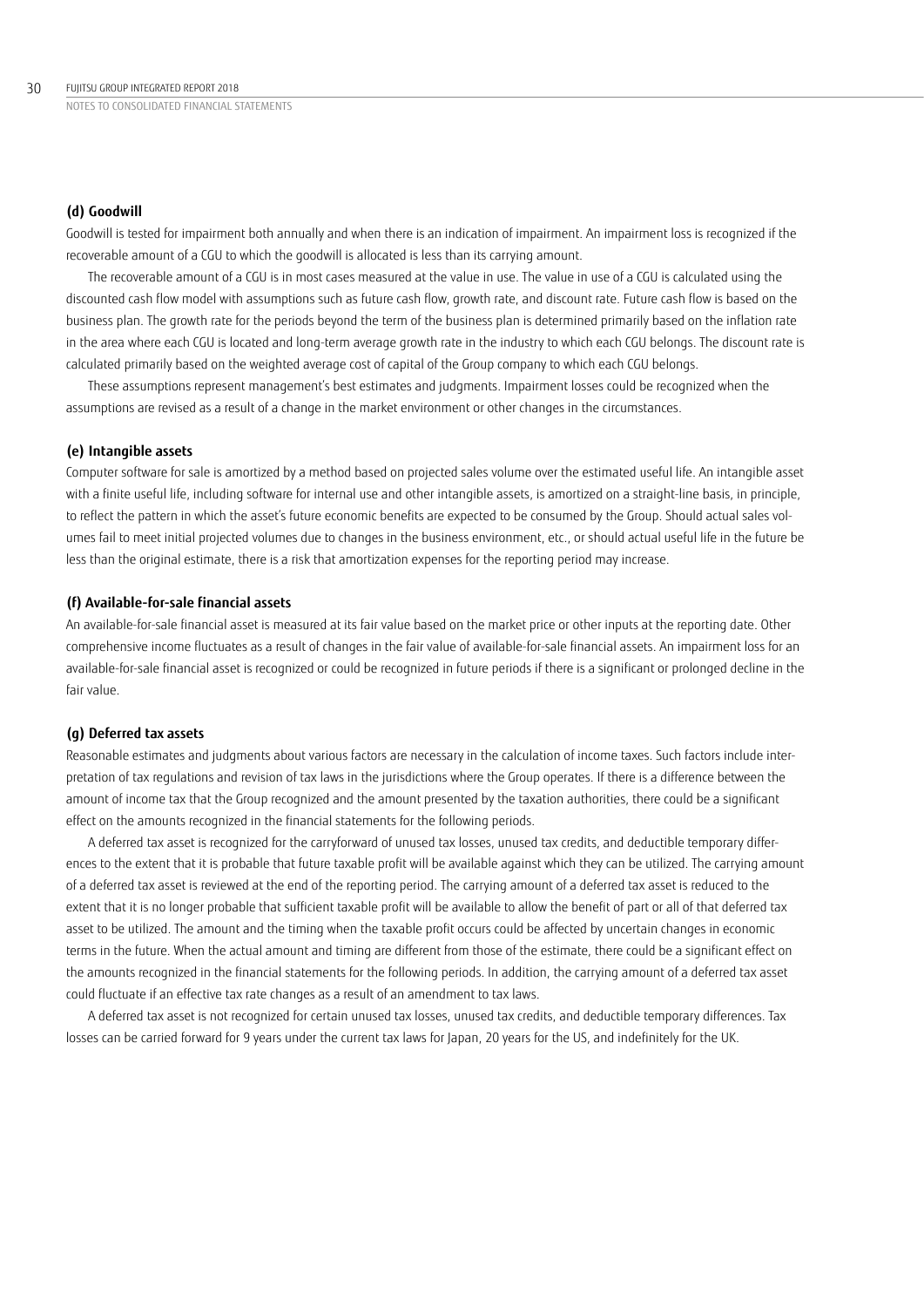### **(d) Goodwill**

Goodwill is tested for impairment both annually and when there is an indication of impairment. An impairment loss is recognized if the recoverable amount of a CGU to which the goodwill is allocated is less than its carrying amount.

The recoverable amount of a CGU is in most cases measured at the value in use. The value in use of a CGU is calculated using the discounted cash flow model with assumptions such as future cash flow, growth rate, and discount rate. Future cash flow is based on the business plan. The growth rate for the periods beyond the term of the business plan is determined primarily based on the inflation rate in the area where each CGU is located and long-term average growth rate in the industry to which each CGU belongs. The discount rate is calculated primarily based on the weighted average cost of capital of the Group company to which each CGU belongs.

These assumptions represent management's best estimates and judgments. Impairment losses could be recognized when the assumptions are revised as a result of a change in the market environment or other changes in the circumstances.

### **(e) Intangible assets**

Computer software for sale is amortized by a method based on projected sales volume over the estimated useful life. An intangible asset with a finite useful life, including software for internal use and other intangible assets, is amortized on a straight-line basis, in principle, to reflect the pattern in which the asset's future economic benefits are expected to be consumed by the Group. Should actual sales volumes fail to meet initial projected volumes due to changes in the business environment, etc., or should actual useful life in the future be less than the original estimate, there is a risk that amortization expenses for the reporting period may increase.

## **(f) Available-for-sale financial assets**

An available-for-sale financial asset is measured at its fair value based on the market price or other inputs at the reporting date. Other comprehensive income fluctuates as a result of changes in the fair value of available-for-sale financial assets. An impairment loss for an available-for-sale financial asset is recognized or could be recognized in future periods if there is a significant or prolonged decline in the fair value.

## **(g) Deferred tax assets**

Reasonable estimates and judgments about various factors are necessary in the calculation of income taxes. Such factors include interpretation of tax regulations and revision of tax laws in the jurisdictions where the Group operates. If there is a difference between the amount of income tax that the Group recognized and the amount presented by the taxation authorities, there could be a significant effect on the amounts recognized in the financial statements for the following periods.

A deferred tax asset is recognized for the carryforward of unused tax losses, unused tax credits, and deductible temporary differences to the extent that it is probable that future taxable profit will be available against which they can be utilized. The carrying amount of a deferred tax asset is reviewed at the end of the reporting period. The carrying amount of a deferred tax asset is reduced to the extent that it is no longer probable that sufficient taxable profit will be available to allow the benefit of part or all of that deferred tax asset to be utilized. The amount and the timing when the taxable profit occurs could be affected by uncertain changes in economic terms in the future. When the actual amount and timing are different from those of the estimate, there could be a significant effect on the amounts recognized in the financial statements for the following periods. In addition, the carrying amount of a deferred tax asset could fluctuate if an effective tax rate changes as a result of an amendment to tax laws.

A deferred tax asset is not recognized for certain unused tax losses, unused tax credits, and deductible temporary differences. Tax losses can be carried forward for 9 years under the current tax laws for Japan, 20 years for the US, and indefinitely for the UK.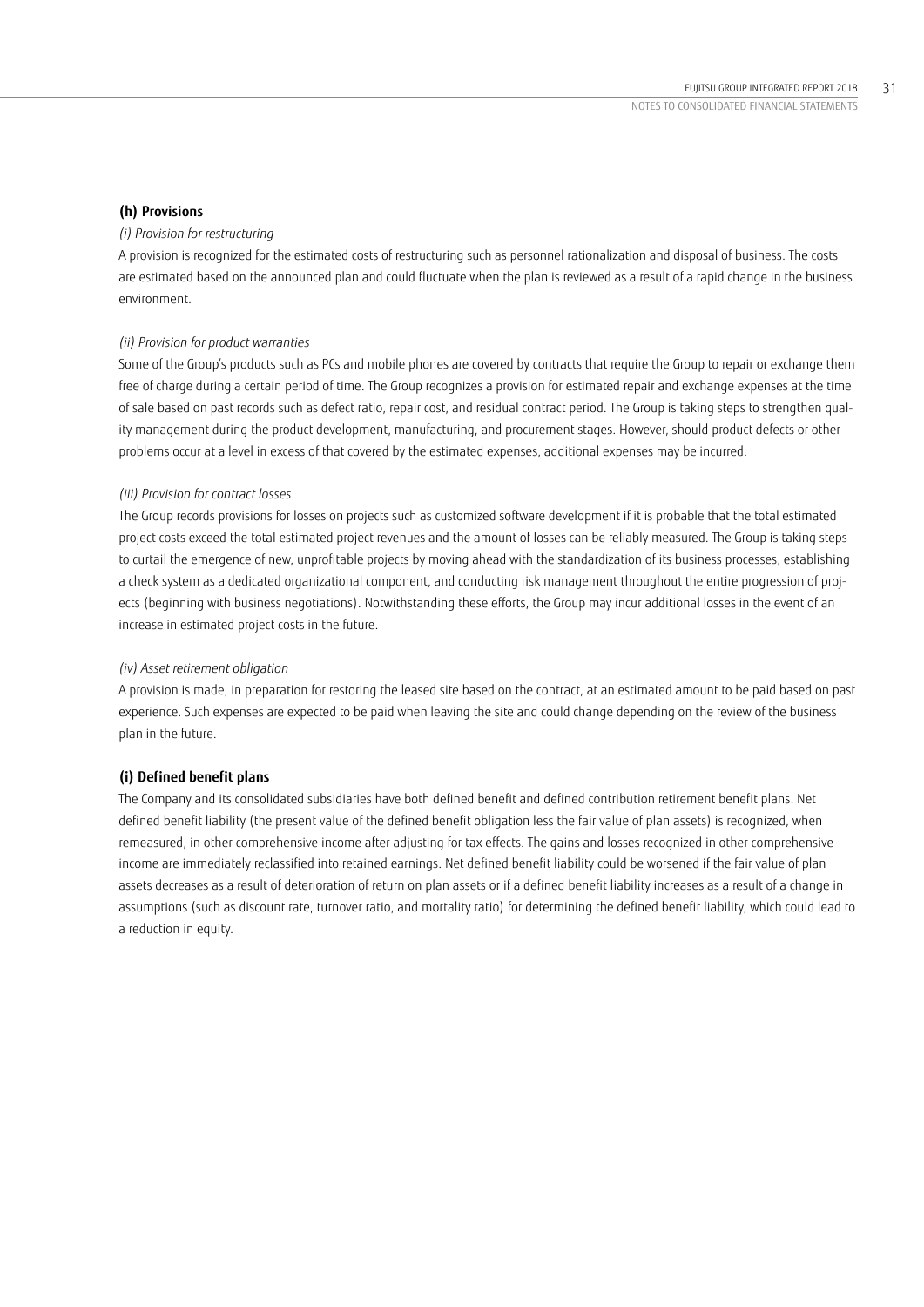## **(h) Provisions**

### *(i) Provision for restructuring*

A provision is recognized for the estimated costs of restructuring such as personnel rationalization and disposal of business. The costs are estimated based on the announced plan and could fluctuate when the plan is reviewed as a result of a rapid change in the business environment.

### *(ii) Provision for product warranties*

Some of the Group's products such as PCs and mobile phones are covered by contracts that require the Group to repair or exchange them free of charge during a certain period of time. The Group recognizes a provision for estimated repair and exchange expenses at the time of sale based on past records such as defect ratio, repair cost, and residual contract period. The Group is taking steps to strengthen quality management during the product development, manufacturing, and procurement stages. However, should product defects or other problems occur at a level in excess of that covered by the estimated expenses, additional expenses may be incurred.

### *(iii) Provision for contract losses*

The Group records provisions for losses on projects such as customized software development if it is probable that the total estimated project costs exceed the total estimated project revenues and the amount of losses can be reliably measured. The Group is taking steps to curtail the emergence of new, unprofitable projects by moving ahead with the standardization of its business processes, establishing a check system as a dedicated organizational component, and conducting risk management throughout the entire progression of projects (beginning with business negotiations). Notwithstanding these efforts, the Group may incur additional losses in the event of an increase in estimated project costs in the future.

### *(iv) Asset retirement obligation*

A provision is made, in preparation for restoring the leased site based on the contract, at an estimated amount to be paid based on past experience. Such expenses are expected to be paid when leaving the site and could change depending on the review of the business plan in the future.

## **(i) Defined benefit plans**

The Company and its consolidated subsidiaries have both defined benefit and defined contribution retirement benefit plans. Net defined benefit liability (the present value of the defined benefit obligation less the fair value of plan assets) is recognized, when remeasured, in other comprehensive income after adjusting for tax effects. The gains and losses recognized in other comprehensive income are immediately reclassified into retained earnings. Net defined benefit liability could be worsened if the fair value of plan assets decreases as a result of deterioration of return on plan assets or if a defined benefit liability increases as a result of a change in assumptions (such as discount rate, turnover ratio, and mortality ratio) for determining the defined benefit liability, which could lead to a reduction in equity.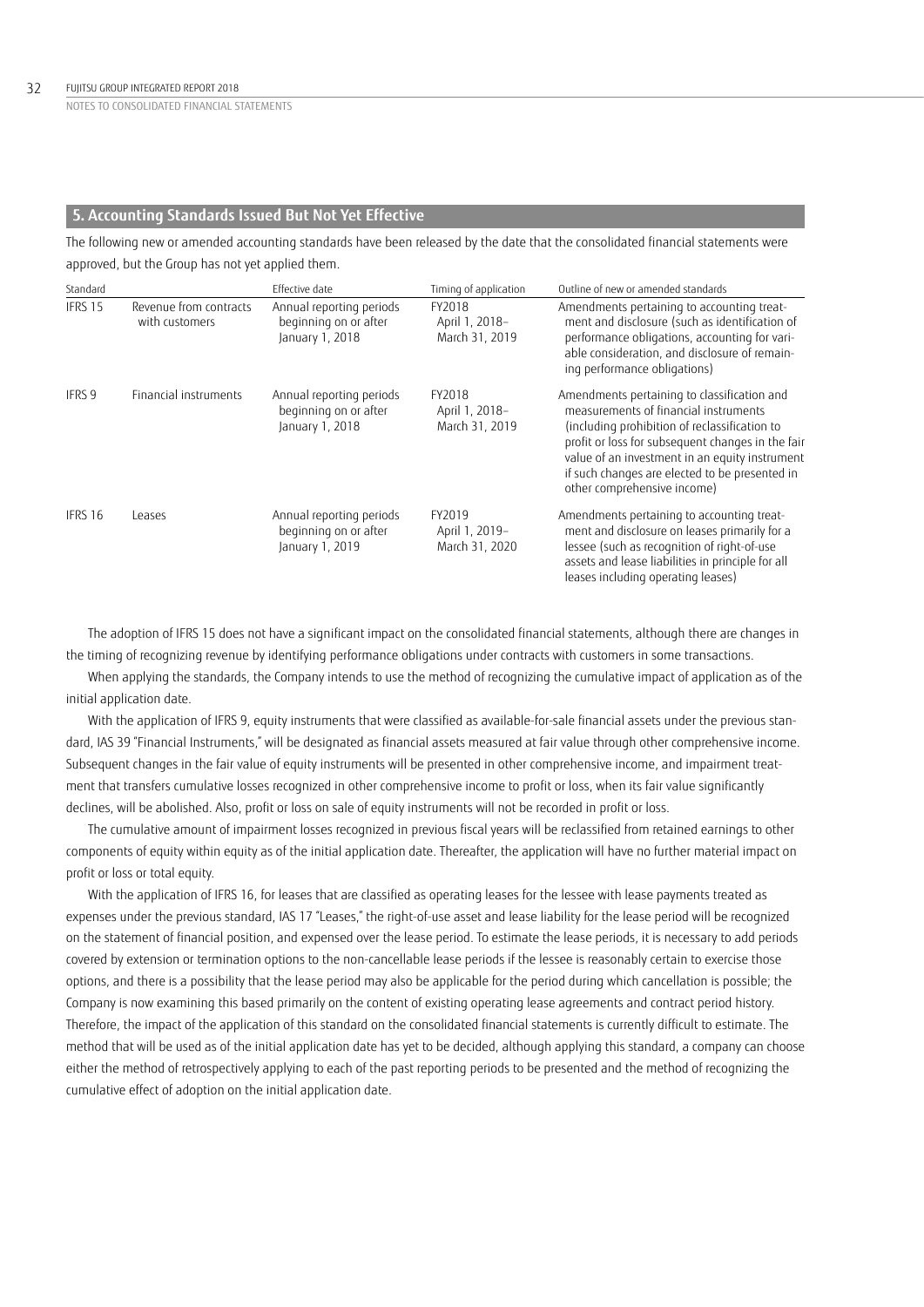## **5. Accounting Standards Issued But Not Yet Effective**

The following new or amended accounting standards have been released by the date that the consolidated financial statements were approved, but the Group has not yet applied them.

| Standard |                                          | Effective date                                                       | Timing of application                      | Outline of new or amended standards                                                                                                                                                                                                                                                                                           |
|----------|------------------------------------------|----------------------------------------------------------------------|--------------------------------------------|-------------------------------------------------------------------------------------------------------------------------------------------------------------------------------------------------------------------------------------------------------------------------------------------------------------------------------|
| IFRS 15  | Revenue from contracts<br>with customers | Annual reporting periods<br>beginning on or after<br>January 1, 2018 | FY2018<br>April 1, 2018-<br>March 31, 2019 | Amendments pertaining to accounting treat-<br>ment and disclosure (such as identification of<br>performance obligations, accounting for vari-<br>able consideration, and disclosure of remain-<br>ing performance obligations)                                                                                                |
| IFRS 9   | Financial instruments                    | Annual reporting periods<br>beginning on or after<br>January 1, 2018 | FY2018<br>April 1, 2018-<br>March 31, 2019 | Amendments pertaining to classification and<br>measurements of financial instruments<br>(including prohibition of reclassification to<br>profit or loss for subsequent changes in the fair<br>value of an investment in an equity instrument<br>if such changes are elected to be presented in<br>other comprehensive income) |
| IFRS 16  | Leases                                   | Annual reporting periods<br>beginning on or after<br>January 1, 2019 | FY2019<br>April 1, 2019-<br>March 31, 2020 | Amendments pertaining to accounting treat-<br>ment and disclosure on leases primarily for a<br>lessee (such as recognition of right-of-use<br>assets and lease liabilities in principle for all<br>leases including operating leases)                                                                                         |

The adoption of IFRS 15 does not have a significant impact on the consolidated financial statements, although there are changes in the timing of recognizing revenue by identifying performance obligations under contracts with customers in some transactions.

When applying the standards, the Company intends to use the method of recognizing the cumulative impact of application as of the initial application date.

With the application of IFRS 9, equity instruments that were classified as available-for-sale financial assets under the previous standard, IAS 39 "Financial Instruments," will be designated as financial assets measured at fair value through other comprehensive income. Subsequent changes in the fair value of equity instruments will be presented in other comprehensive income, and impairment treatment that transfers cumulative losses recognized in other comprehensive income to profit or loss, when its fair value significantly declines, will be abolished. Also, profit or loss on sale of equity instruments will not be recorded in profit or loss.

The cumulative amount of impairment losses recognized in previous fiscal years will be reclassified from retained earnings to other components of equity within equity as of the initial application date. Thereafter, the application will have no further material impact on profit or loss or total equity.

With the application of IFRS 16, for leases that are classified as operating leases for the lessee with lease payments treated as expenses under the previous standard, IAS 17 "Leases," the right-of-use asset and lease liability for the lease period will be recognized on the statement of financial position, and expensed over the lease period. To estimate the lease periods, it is necessary to add periods covered by extension or termination options to the non-cancellable lease periods if the lessee is reasonably certain to exercise those options, and there is a possibility that the lease period may also be applicable for the period during which cancellation is possible; the Company is now examining this based primarily on the content of existing operating lease agreements and contract period history. Therefore, the impact of the application of this standard on the consolidated financial statements is currently difficult to estimate. The method that will be used as of the initial application date has yet to be decided, although applying this standard, a company can choose either the method of retrospectively applying to each of the past reporting periods to be presented and the method of recognizing the cumulative effect of adoption on the initial application date.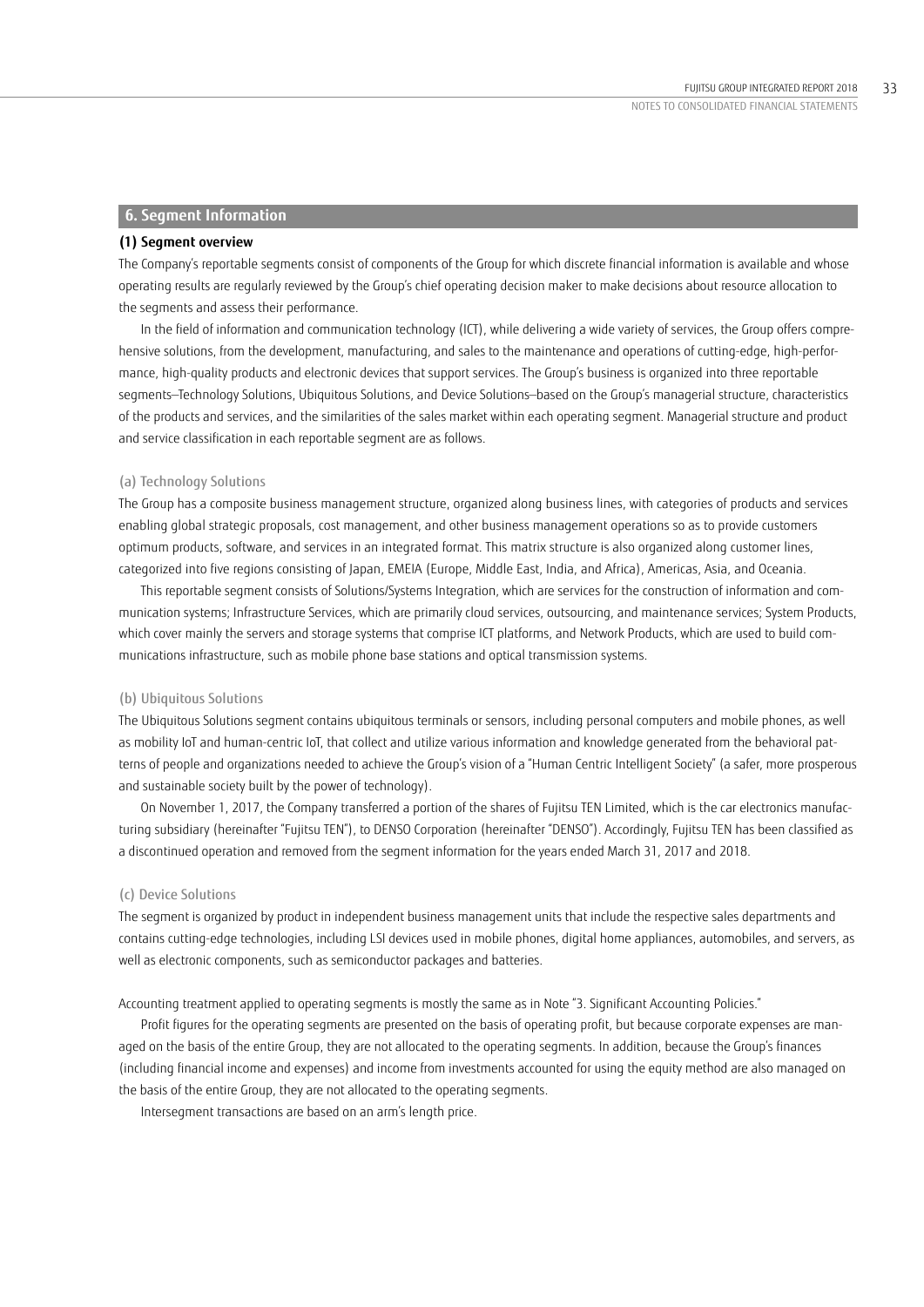### **6. Segment Information**

#### **(1) Segment overview**

The Company's reportable segments consist of components of the Group for which discrete financial information is available and whose operating results are regularly reviewed by the Group's chief operating decision maker to make decisions about resource allocation to the segments and assess their performance.

In the field of information and communication technology (ICT), while delivering a wide variety of services, the Group offers comprehensive solutions, from the development, manufacturing, and sales to the maintenance and operations of cutting-edge, high-performance, high-quality products and electronic devices that support services. The Group's business is organized into three reportable segments—Technology Solutions, Ubiquitous Solutions, and Device Solutions—based on the Group's managerial structure, characteristics of the products and services, and the similarities of the sales market within each operating segment. Managerial structure and product and service classification in each reportable segment are as follows.

## (a) Technology Solutions

The Group has a composite business management structure, organized along business lines, with categories of products and services enabling global strategic proposals, cost management, and other business management operations so as to provide customers optimum products, software, and services in an integrated format. This matrix structure is also organized along customer lines, categorized into five regions consisting of Japan, EMEIA (Europe, Middle East, India, and Africa), Americas, Asia, and Oceania.

This reportable segment consists of Solutions/Systems Integration, which are services for the construction of information and communication systems; Infrastructure Services, which are primarily cloud services, outsourcing, and maintenance services; System Products, which cover mainly the servers and storage systems that comprise ICT platforms, and Network Products, which are used to build communications infrastructure, such as mobile phone base stations and optical transmission systems.

#### (b) Ubiquitous Solutions

The Ubiquitous Solutions segment contains ubiquitous terminals or sensors, including personal computers and mobile phones, as well as mobility IoT and human-centric IoT, that collect and utilize various information and knowledge generated from the behavioral patterns of people and organizations needed to achieve the Group's vision of a "Human Centric Intelligent Society" (a safer, more prosperous and sustainable society built by the power of technology).

On November 1, 2017, the Company transferred a portion of the shares of Fujitsu TEN Limited, which is the car electronics manufacturing subsidiary (hereinafter "Fujitsu TEN"), to DENSO Corporation (hereinafter "DENSO"). Accordingly, Fujitsu TEN has been classified as a discontinued operation and removed from the segment information for the years ended March 31, 2017 and 2018.

### (c) Device Solutions

The segment is organized by product in independent business management units that include the respective sales departments and contains cutting-edge technologies, including LSI devices used in mobile phones, digital home appliances, automobiles, and servers, as well as electronic components, such as semiconductor packages and batteries.

Accounting treatment applied to operating segments is mostly the same as in Note "3. Significant Accounting Policies."

Profit figures for the operating segments are presented on the basis of operating profit, but because corporate expenses are managed on the basis of the entire Group, they are not allocated to the operating segments. In addition, because the Group's finances (including financial income and expenses) and income from investments accounted for using the equity method are also managed on the basis of the entire Group, they are not allocated to the operating segments.

Intersegment transactions are based on an arm's length price.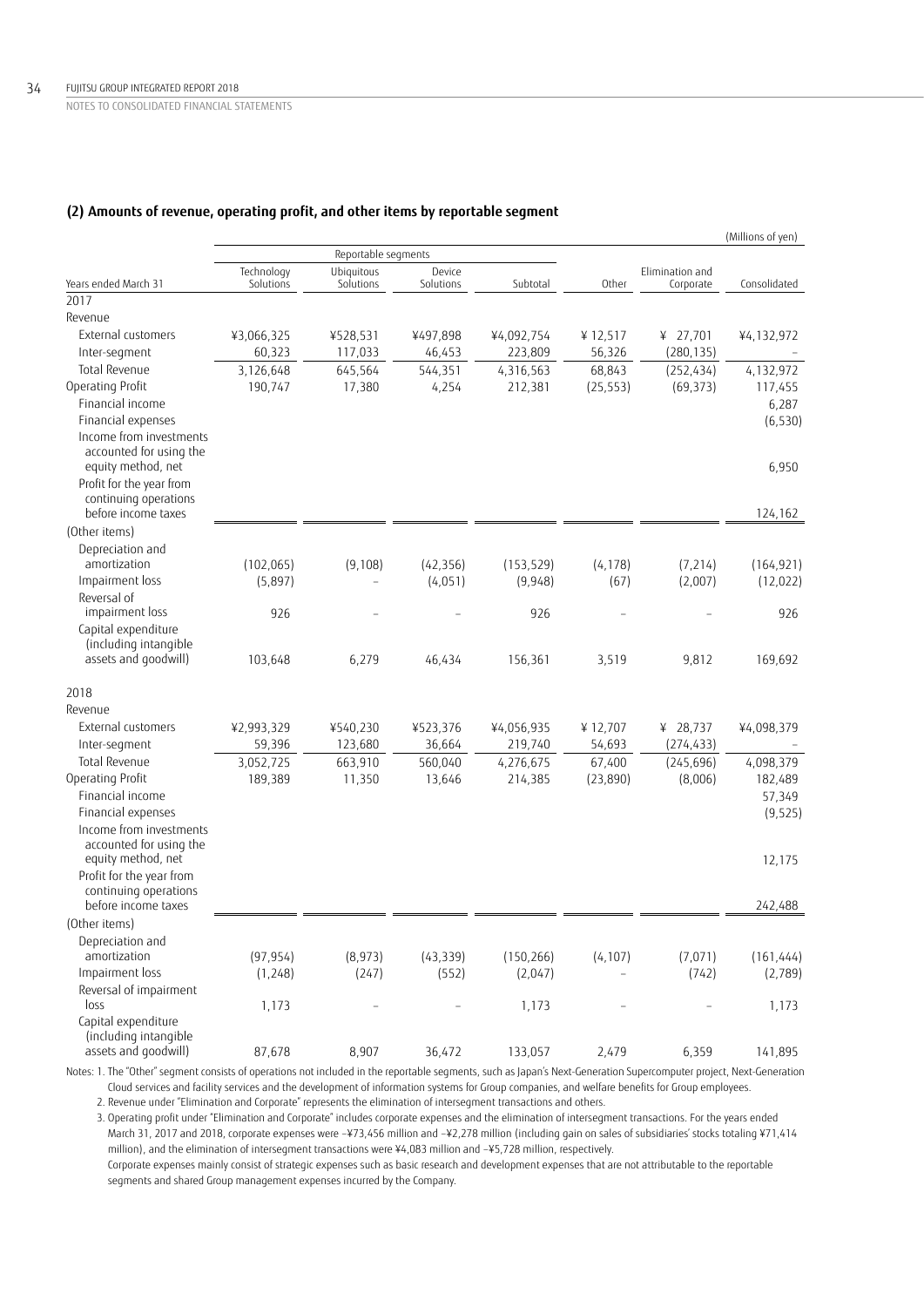## **(2) Amounts of revenue, operating profit, and other items by reportable segment**

|                                               |                         |                         |                     |            |           |                              | (Millions of yen) |
|-----------------------------------------------|-------------------------|-------------------------|---------------------|------------|-----------|------------------------------|-------------------|
|                                               |                         | Reportable segments     |                     |            |           |                              |                   |
| Years ended March 31                          | Technology<br>Solutions | Ubiquitous<br>Solutions | Device<br>Solutions | Subtotal   | Other     | Elimination and<br>Corporate | Consolidated      |
| 2017                                          |                         |                         |                     |            |           |                              |                   |
| Revenue                                       |                         |                         |                     |            |           |                              |                   |
| External customers                            | ¥3,066,325              | ¥528,531                | ¥497,898            | ¥4,092,754 | ¥ 12,517  | ¥ 27,701                     | ¥4,132,972        |
| Inter-segment                                 | 60,323                  | 117,033                 | 46,453              | 223,809    | 56,326    | (280, 135)                   |                   |
| Total Revenue                                 | 3,126,648               | 645,564                 | 544,351             | 4,316,563  | 68,843    | (252, 434)                   | 4,132,972         |
| Operating Profit                              | 190,747                 | 17,380                  | 4,254               | 212,381    | (25, 553) | (69, 373)                    | 117,455           |
| Financial income                              |                         |                         |                     |            |           |                              | 6,287             |
| Financial expenses                            |                         |                         |                     |            |           |                              | (6, 530)          |
| Income from investments                       |                         |                         |                     |            |           |                              |                   |
| accounted for using the<br>equity method, net |                         |                         |                     |            |           |                              | 6,950             |
| Profit for the year from                      |                         |                         |                     |            |           |                              |                   |
| continuing operations                         |                         |                         |                     |            |           |                              |                   |
| before income taxes                           |                         |                         |                     |            |           |                              | 124,162           |
| (Other items)                                 |                         |                         |                     |            |           |                              |                   |
| Depreciation and                              |                         |                         |                     |            |           |                              |                   |
| amortization                                  | (102,065)               | (9, 108)                | (42, 356)           | (153, 529) | (4, 178)  | (7, 214)                     | (164, 921)        |
| Impairment loss                               | (5,897)                 | $\overline{a}$          | (4,051)             | (9,948)    | (67)      | (2,007)                      | (12, 022)         |
| Reversal of                                   |                         |                         |                     |            |           |                              |                   |
| impairment loss                               | 926                     |                         |                     | 926        |           |                              | 926               |
| Capital expenditure<br>(including intangible  |                         |                         |                     |            |           |                              |                   |
| assets and goodwill)                          | 103,648                 | 6,279                   | 46,434              | 156,361    | 3,519     | 9,812                        | 169,692           |
| 2018                                          |                         |                         |                     |            |           |                              |                   |
| Revenue                                       |                         |                         |                     |            |           |                              |                   |
| External customers                            | ¥2,993,329              | ¥540,230                | ¥523,376            | ¥4,056,935 | ¥12,707   | ¥ 28,737                     | ¥4,098,379        |
| Inter-segment                                 | 59,396                  | 123,680                 | 36,664              | 219,740    | 54,693    | (274, 433)                   |                   |
| Total Revenue                                 | 3,052,725               | 663,910                 | 560,040             | 4,276,675  | 67,400    | (245, 696)                   | 4,098,379         |
| Operating Profit                              | 189,389                 | 11,350                  | 13,646              | 214,385    | (23, 890) | (8,006)                      | 182,489           |
| Financial income                              |                         |                         |                     |            |           |                              | 57,349            |
| Financial expenses                            |                         |                         |                     |            |           |                              | (9, 525)          |
| Income from investments                       |                         |                         |                     |            |           |                              |                   |
| accounted for using the<br>equity method, net |                         |                         |                     |            |           |                              | 12,175            |
| Profit for the year from                      |                         |                         |                     |            |           |                              |                   |
| continuing operations                         |                         |                         |                     |            |           |                              |                   |
| before income taxes                           |                         |                         |                     |            |           |                              | 242,488           |
| (Other items)                                 |                         |                         |                     |            |           |                              |                   |
| Depreciation and                              |                         |                         |                     |            |           |                              |                   |
| amortization                                  | (97, 954)               | (8,973)                 | (43, 339)           | (150, 266) | (4, 107)  | (7,071)                      | (161, 444)        |
| Impairment loss                               | (1,248)                 | (247)                   | (552)               | (2,047)    |           | (742)                        | (2,789)           |
| Reversal of impairment<br>loss                | 1,173                   | $\overline{a}$          |                     | 1,173      |           | $\overline{\phantom{0}}$     | 1,173             |
| Capital expenditure                           |                         |                         |                     |            |           |                              |                   |
| (including intangible                         |                         |                         |                     |            |           |                              |                   |
| assets and goodwill)                          | 87,678                  | 8,907                   | 36,472              | 133,057    | 2,479     | 6,359                        | 141,895           |

Notes: 1. The "Other" segment consists of operations not included in the reportable segments, such as Japan's Next-Generation Supercomputer project, Next-Generation Cloud services and facility services and the development of information systems for Group companies, and welfare benefits for Group employees.

2. Revenue under "Elimination and Corporate" represents the elimination of intersegment transactions and others.

 3. Operating profit under "Elimination and Corporate" includes corporate expenses and the elimination of intersegment transactions. For the years ended March 31, 2017 and 2018, corporate expenses were –¥73,456 million and –¥2,278 million (including gain on sales of subsidiaries' stocks totaling ¥71,414 million), and the elimination of intersegment transactions were ¥4,083 million and –¥5,728 million, respectively. Corporate expenses mainly consist of strategic expenses such as basic research and development expenses that are not attributable to the reportable segments and shared Group management expenses incurred by the Company.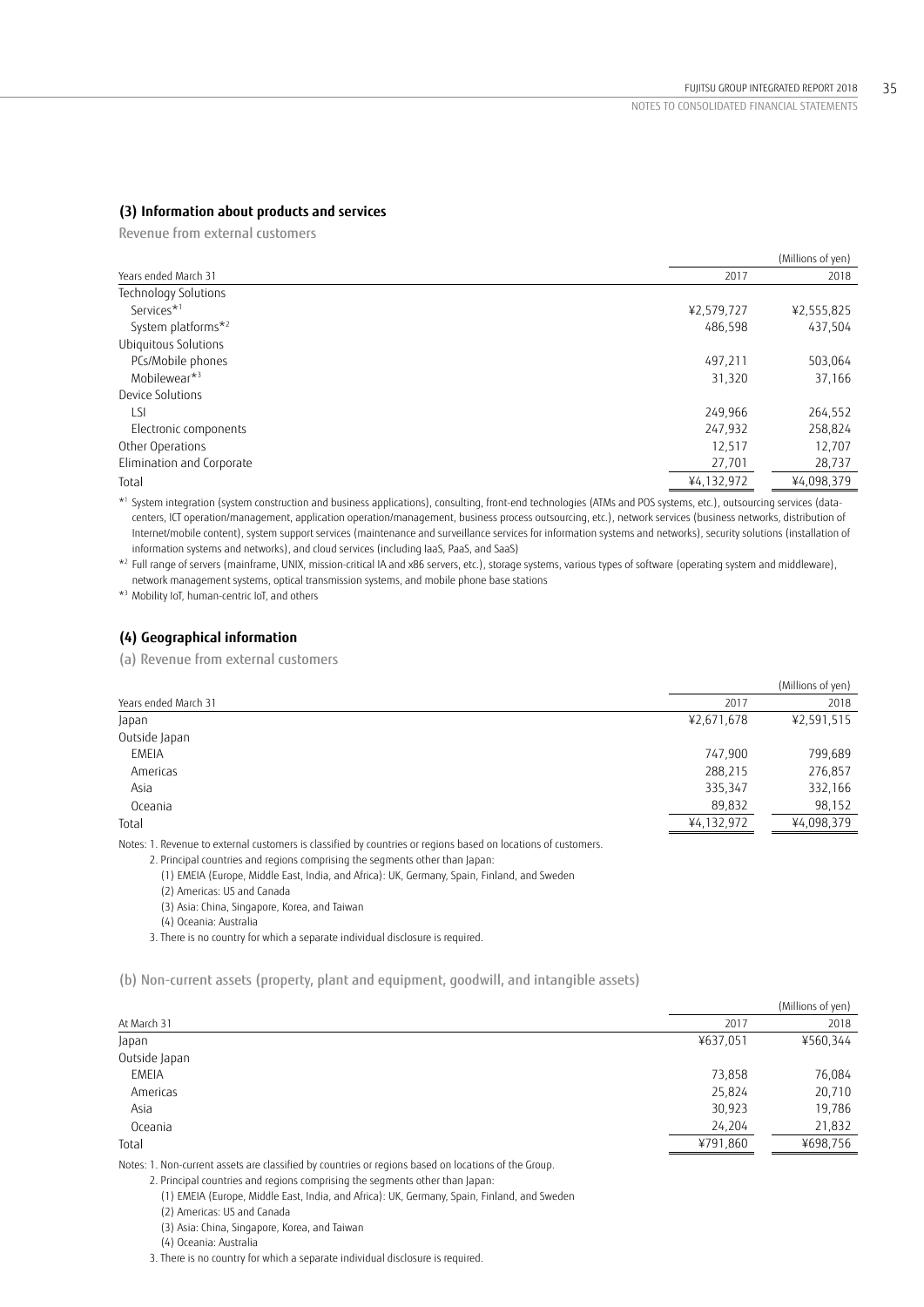## **(3) Information about products and services**

Revenue from external customers

|                                |            | (Millions of yen) |
|--------------------------------|------------|-------------------|
| Years ended March 31           | 2017       | 2018              |
| <b>Technology Solutions</b>    |            |                   |
| Services <sup>*1</sup>         | ¥2,579,727 | ¥2,555,825        |
| System platforms* <sup>2</sup> | 486.598    | 437,504           |
| Ubiquitous Solutions           |            |                   |
| PCs/Mobile phones              | 497,211    | 503,064           |
| Mobilewear*3                   | 31,320     | 37,166            |
| Device Solutions               |            |                   |
| LSI                            | 249,966    | 264,552           |
| Electronic components          | 247,932    | 258,824           |
| Other Operations               | 12,517     | 12,707            |
| Elimination and Corporate      | 27,701     | 28,737            |
| Total                          | ¥4,132,972 | ¥4,098,379        |
|                                |            |                   |

\*1 System integration (system construction and business applications), consulting, front-end technologies (ATMs and POS systems, etc.), outsourcing services (datacenters, ICT operation/management, application operation/management, business process outsourcing, etc.), network services (business networks, distribution of Internet/mobile content), system support services (maintenance and surveillance services for information systems and networks), security solutions (installation of information systems and networks), and cloud services (including IaaS, PaaS, and SaaS)

\*2 Full range of servers (mainframe, UNIX, mission-critical IA and x86 servers, etc.), storage systems, various types of software (operating system and middleware), network management systems, optical transmission systems, and mobile phone base stations

\*3 Mobility IoT, human-centric IoT, and others

## **(4) Geographical information**

(a) Revenue from external customers

|                                                                                                                                      |            | (Millions of yen) |
|--------------------------------------------------------------------------------------------------------------------------------------|------------|-------------------|
| Years ended March 31                                                                                                                 | 2017       | 2018              |
| Japan                                                                                                                                | ¥2,671,678 | ¥2,591,515        |
| Outside Japan                                                                                                                        |            |                   |
| <b>EMEIA</b>                                                                                                                         | 747,900    | 799,689           |
| Americas                                                                                                                             | 288,215    | 276,857           |
| Asia                                                                                                                                 | 335,347    | 332,166           |
| Oceania                                                                                                                              | 89,832     | 98,152            |
| Total                                                                                                                                | ¥4,132,972 | ¥4,098,379        |
| the contract of the contract of the contract of the contract of the contract of the contract of the contract of<br>$\cdots$ $\cdots$ |            |                   |

Notes: 1. Revenue to external customers is classified by countries or regions based on locations of customers.

2. Principal countries and regions comprising the segments other than Japan:

(1) EMEIA (Europe, Middle East, India, and Africa): UK, Germany, Spain, Finland, and Sweden

(2) Americas: US and Canada

(3) Asia: China, Singapore, Korea, and Taiwan

(4) Oceania: Australia

3. There is no country for which a separate individual disclosure is required.

(b) Non-current assets (property, plant and equipment, goodwill, and intangible assets)

|               |          | (Millions of yen) |
|---------------|----------|-------------------|
| At March 31   | 2017     | 2018              |
| Japan         | ¥637,051 | ¥560,344          |
| Outside Japan |          |                   |
| <b>EMEIA</b>  | 73,858   | 76,084            |
| Americas      | 25,824   | 20,710            |
| Asia          | 30,923   | 19,786            |
| Oceania       | 24,204   | 21,832            |
| Total         | ¥791,860 | ¥698,756          |
|               |          |                   |

Notes: 1. Non-current assets are classified by countries or regions based on locations of the Group.

2. Principal countries and regions comprising the segments other than Japan:

(1) EMEIA (Europe, Middle East, India, and Africa): UK, Germany, Spain, Finland, and Sweden

(2) Americas: US and Canada

(3) Asia: China, Singapore, Korea, and Taiwan

(4) Oceania: Australia

3. There is no country for which a separate individual disclosure is required.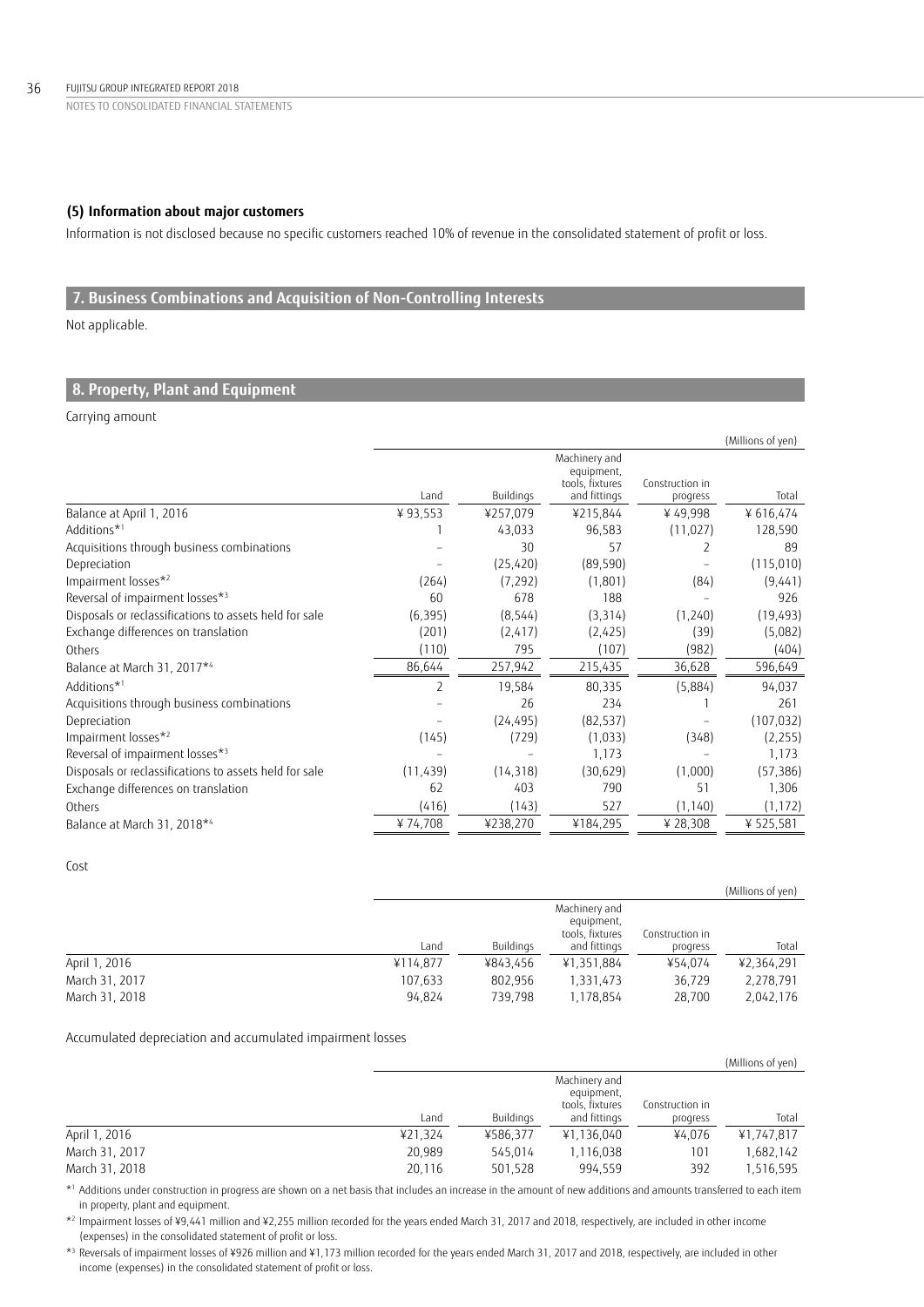## **(5) Information about major customers**

Information is not disclosed because no specific customers reached 10% of revenue in the consolidated statement of profit or loss.

# **7. Business Combinations and Acquisition of Non-Controlling Interests**

Not applicable.

## **8. Property, Plant and Equipment**

## Carrying amount

|                                                        |                |           |                                                |                 | (Millions of yen) |
|--------------------------------------------------------|----------------|-----------|------------------------------------------------|-----------------|-------------------|
|                                                        |                |           | Machinery and<br>equipment,<br>tools, fixtures | Construction in |                   |
|                                                        | Land           | Buildings | and fittings                                   | progress        | Total             |
| Balance at April 1, 2016                               | ¥93,553        | ¥257,079  | ¥215,844                                       | ¥49,998         | ¥616,474          |
| Additions* <sup>1</sup>                                |                | 43,033    | 96,583                                         | (11, 027)       | 128,590           |
| Acquisitions through business combinations             |                | 30        | 57                                             | 2               | 89                |
| Depreciation                                           |                | (25, 420) | (89, 590)                                      |                 | (115,010)         |
| Impairment losses*2                                    | (264)          | (7, 292)  | (1,801)                                        | (84)            | (9,441)           |
| Reversal of impairment losses*3                        | 60             | 678       | 188                                            |                 | 926               |
| Disposals or reclassifications to assets held for sale | (6, 395)       | (8, 544)  | (3, 314)                                       | (1,240)         | (19, 493)         |
| Exchange differences on translation                    | (201)          | (2, 417)  | (2,425)                                        | (39)            | (5,082)           |
| Others                                                 | (110)          | 795       | (107)                                          | (982)           | (404)             |
| Balance at March 31, 2017*4                            | 86,644         | 257,942   | 215,435                                        | 36,628          | 596,649           |
| Additions*1                                            | $\overline{2}$ | 19,584    | 80,335                                         | (5,884)         | 94,037            |
| Acquisitions through business combinations             |                | 26        | 234                                            |                 | 261               |
| Depreciation                                           |                | (24, 495) | (82, 537)                                      |                 | (107, 032)        |
| Impairment losses*2                                    | (145)          | (729)     | (1,033)                                        | (348)           | (2, 255)          |
| Reversal of impairment losses*3                        |                |           | 1,173                                          |                 | 1,173             |
| Disposals or reclassifications to assets held for sale | (11, 439)      | (14, 318) | (30, 629)                                      | (1,000)         | (57, 386)         |
| Exchange differences on translation                    | 62             | 403       | 790                                            | 51              | 1,306             |
| Others                                                 | (416)          | (143)     | 527                                            | (1, 140)        | (1, 172)          |
| Balance at March 31, 2018*4                            | ¥74,708        | ¥238,270  | ¥184,295                                       | ¥ 28,308        | ¥ 525,581         |

### Cost

|                |          |           |                                                |                 | (Millions of yen) |
|----------------|----------|-----------|------------------------------------------------|-----------------|-------------------|
|                |          |           | Machinery and<br>equipment,<br>tools, fixtures | Construction in |                   |
|                | Land     | Buildings | and fittings                                   | progress        | Total             |
| April 1, 2016  | ¥114,877 | ¥843.456  | ¥1,351,884                                     | ¥54.074         | ¥2,364,291        |
| March 31, 2017 | 107,633  | 802.956   | 1,331,473                                      | 36,729          | 2,278,791         |
| March 31, 2018 | 94.824   | 739.798   | 1.178.854                                      | 28.700          | 2,042,176         |

## Accumulated depreciation and accumulated impairment losses

|                |         |           |                                                |                 | (Millions of yen) |
|----------------|---------|-----------|------------------------------------------------|-----------------|-------------------|
|                |         |           | Machinery and<br>equipment,<br>tools, fixtures | Construction in |                   |
|                | Land    | Buildings | and fittings                                   | progress        | Total             |
| April 1, 2016  | ¥21,324 | ¥586.377  | ¥1,136,040                                     | ¥4.076          | ¥1.747.817        |
| March 31, 2017 | 20,989  | 545.014   | 1,116,038                                      | 101             | 1,682,142         |
| March 31, 2018 | 20,116  | 501,528   | 994,559                                        | 392             | 1,516,595         |

\*1 Additions under construction in progress are shown on a net basis that includes an increase in the amount of new additions and amounts transferred to each item in property, plant and equipment.

\*2 Impairment losses of ¥9,441 million and ¥2,255 million recorded for the years ended March 31, 2017 and 2018, respectively, are included in other income (expenses) in the consolidated statement of profit or loss.

\*3 Reversals of impairment losses of ¥926 million and ¥1,173 million recorded for the years ended March 31, 2017 and 2018, respectively, are included in other income (expenses) in the consolidated statement of profit or loss.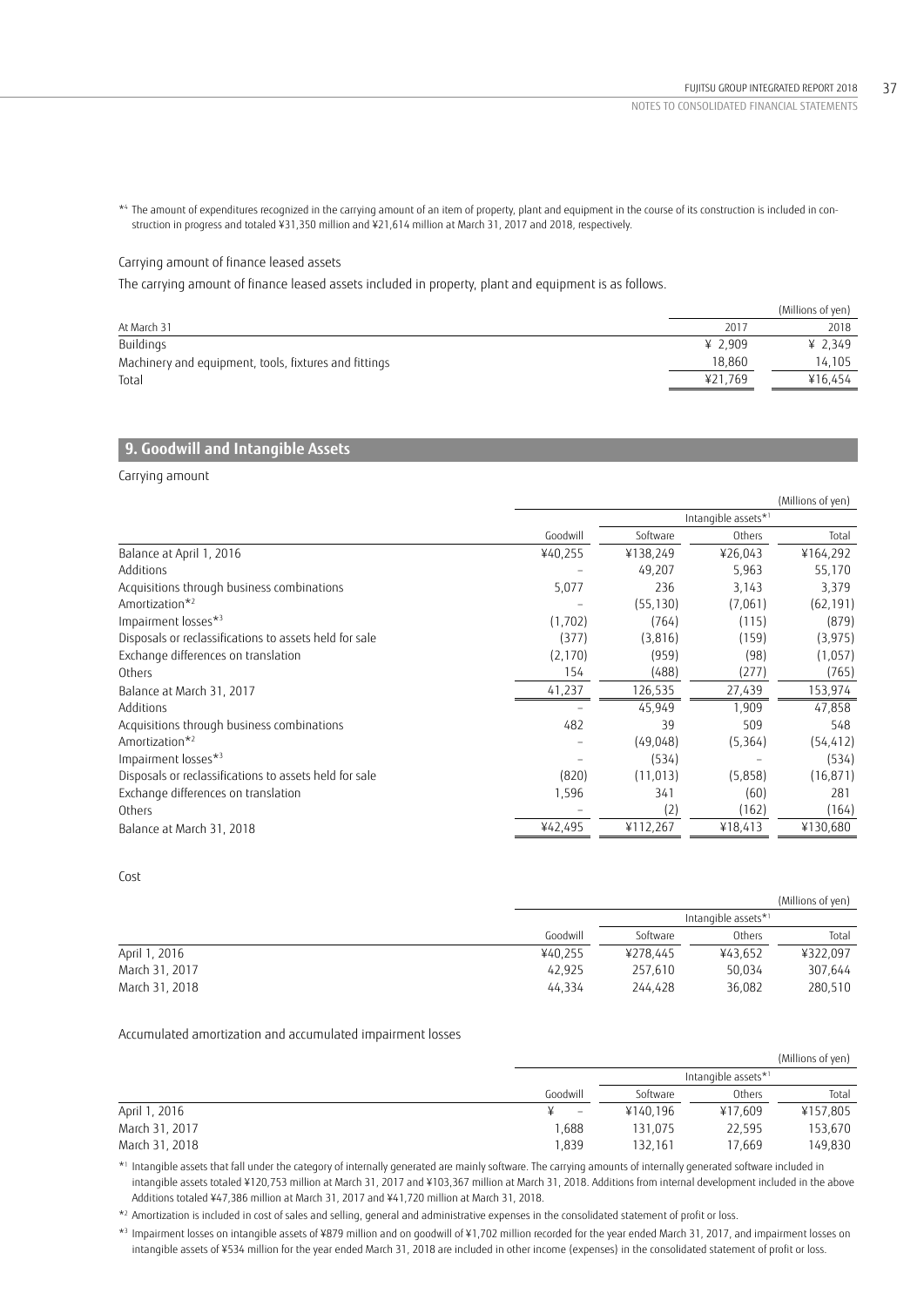\*4 The amount of expenditures recognized in the carrying amount of an item of property, plant and equipment in the course of its construction is included in construction in progress and totaled ¥31,350 million and ¥21,614 million at March 31, 2017 and 2018, respectively.

## Carrying amount of finance leased assets

The carrying amount of finance leased assets included in property, plant and equipment is as follows.

|                                                       |         | (Millions of yen) |
|-------------------------------------------------------|---------|-------------------|
| At March 31                                           | 2017    | 2018              |
| Buildings                                             | ¥ 2.909 | ¥ 2.349           |
| Machinery and equipment, tools, fixtures and fittings | 18,860  | 14.105            |
| Total                                                 | ¥21.769 | ¥16.454           |
|                                                       |         |                   |

## **9. Goodwill and Intangible Assets**

Carrying amount

|                                                        |                     |           |          | (Millions of yen) |  |
|--------------------------------------------------------|---------------------|-----------|----------|-------------------|--|
|                                                        | Intangible assets*1 |           |          |                   |  |
|                                                        | Goodwill            | Software  | Others   | Total             |  |
| Balance at April 1, 2016                               | ¥40,255             | ¥138,249  | ¥26,043  | ¥164,292          |  |
| Additions                                              |                     | 49,207    | 5,963    | 55,170            |  |
| Acquisitions through business combinations             | 5,077               | 236       | 3,143    | 3,379             |  |
| Amortization <sup>*2</sup>                             |                     | (55, 130) | (7,061)  | (62, 191)         |  |
| Impairment losses*3                                    | (1,702)             | (764)     | (115)    | (879)             |  |
| Disposals or reclassifications to assets held for sale | (377)               | (3,816)   | (159)    | (3, 975)          |  |
| Exchange differences on translation                    | (2, 170)            | (959)     | (98)     | (1,057)           |  |
| Others                                                 | 154                 | (488)     | (277)    | (765)             |  |
| Balance at March 31, 2017                              | 41,237              | 126,535   | 27,439   | 153,974           |  |
| Additions                                              |                     | 45,949    | 1.909    | 47,858            |  |
| Acquisitions through business combinations             | 482                 | 39        | 509      | 548               |  |
| Amortization <sup>*2</sup>                             |                     | (49,048)  | (5, 364) | (54, 412)         |  |
| Impairment losses*3                                    |                     | (534)     |          | (534)             |  |
| Disposals or reclassifications to assets held for sale | (820)               | (11, 013) | (5,858)  | (16, 871)         |  |
| Exchange differences on translation                    | 1,596               | 341       | (60)     | 281               |  |
| Others                                                 |                     | (2)       | (162)    | (164)             |  |
| Balance at March 31, 2018                              | ¥42,495             | ¥112,267  | ¥18,413  | ¥130,680          |  |
|                                                        |                     |           |          |                   |  |

## Cost

|                |          |          |                     | (Millions of yen) |
|----------------|----------|----------|---------------------|-------------------|
|                |          |          | Intangible assets*1 |                   |
|                | Goodwill | Software | Others              | Total             |
| April 1, 2016  | ¥40.255  | ¥278.445 | ¥43.652             | ¥322.097          |
| March 31, 2017 | 42.925   | 257.610  | 50.034              | 307.644           |
| March 31, 2018 | 44,334   | 244.428  | 36,082              | 280.510           |

### Accumulated amortization and accumulated impairment losses

|                |          |                     |         | (Millions of yen) |
|----------------|----------|---------------------|---------|-------------------|
|                |          | Intangible assets*1 |         |                   |
|                | Goodwill | Software            | Others  | Total             |
| April 1, 2016  | -        | ¥140.196            | ¥17.609 | ¥157,805          |
| March 31, 2017 | .688     | 131.075             | 22.595  | 153,670           |
| March 31, 2018 | 1,839    | 32.161              | 17,669  | 149,830           |

\*1 Intangible assets that fall under the category of internally generated are mainly software. The carrying amounts of internally generated software included in intangible assets totaled ¥120,753 million at March 31, 2017 and ¥103,367 million at March 31, 2018. Additions from internal development included in the above Additions totaled ¥47,386 million at March 31, 2017 and ¥41,720 million at March 31, 2018.

\*2 Amortization is included in cost of sales and selling, general and administrative expenses in the consolidated statement of profit or loss.

\*3 Impairment losses on intangible assets of ¥879 million and on goodwill of ¥1,702 million recorded for the year ended March 31, 2017, and impairment losses on intangible assets of ¥534 million for the year ended March 31, 2018 are included in other income (expenses) in the consolidated statement of profit or loss.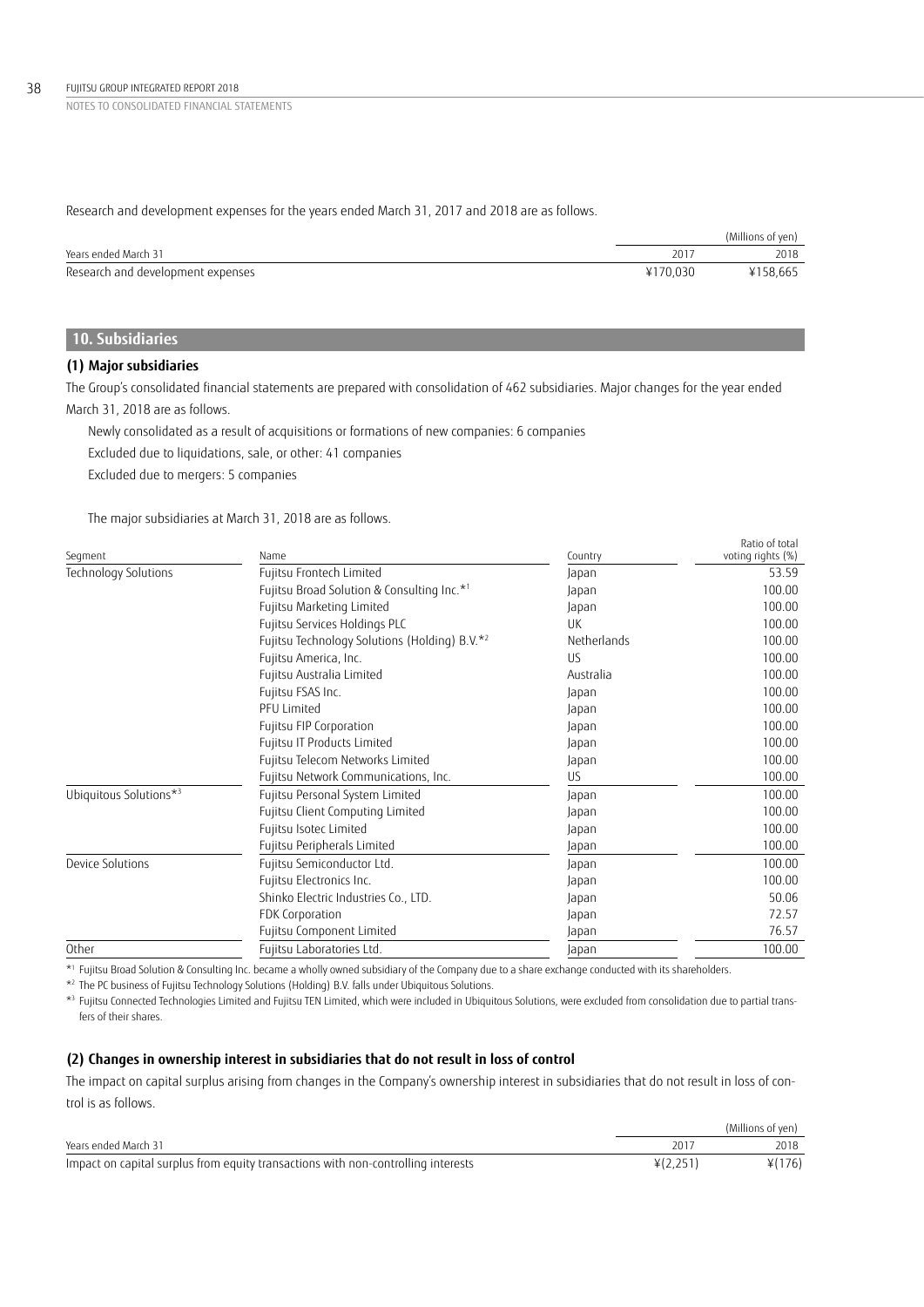Research and development expenses for the years ended March 31, 2017 and 2018 are as follows.

|                                   |          | (Millions of yen) |
|-----------------------------------|----------|-------------------|
| Years ended March 31              | 201      | 2018              |
| Research and development expenses | ¥170.030 | ¥158,665          |

# **10. Subsidiaries**

## **(1) Major subsidiaries**

The Group's consolidated financial statements are prepared with consolidation of 462 subsidiaries. Major changes for the year ended March 31, 2018 are as follows.

Newly consolidated as a result of acquisitions or formations of new companies: 6 companies

Excluded due to liquidations, sale, or other: 41 companies

Excluded due to mergers: 5 companies

The major subsidiaries at March 31, 2018 are as follows.

| Segment                | Name                                          | Country     | Ratio of total<br>voting rights (%) |
|------------------------|-----------------------------------------------|-------------|-------------------------------------|
| Technology Solutions   | Fujitsu Frontech Limited                      | Japan       | 53.59                               |
|                        | Fujitsu Broad Solution & Consulting Inc.*1    | Japan       | 100.00                              |
|                        | Fujitsu Marketing Limited                     | Japan       | 100.00                              |
|                        | Fujitsu Services Holdings PLC                 | <b>UK</b>   | 100.00                              |
|                        | Fujitsu Technology Solutions (Holding) B.V.*2 | Netherlands | 100.00                              |
|                        | Fujitsu America, Inc.                         | <b>US</b>   | 100.00                              |
|                        | Fujitsu Australia Limited                     | Australia   | 100.00                              |
|                        | Fujitsu FSAS Inc.                             | Japan       | 100.00                              |
|                        | <b>PFU Limited</b>                            | Japan       | 100.00                              |
|                        | Fujitsu FIP Corporation                       | Japan       | 100.00                              |
|                        | Fujitsu IT Products Limited                   | Japan       | 100.00                              |
|                        | Fujitsu Telecom Networks Limited              | Japan       | 100.00                              |
|                        | Fujitsu Network Communications, Inc.          | <b>US</b>   | 100.00                              |
| Ubiquitous Solutions*3 | Fujitsu Personal System Limited               | Japan       | 100.00                              |
|                        | Fujitsu Client Computing Limited              | Japan       | 100.00                              |
|                        | Fujitsu Isotec Limited                        | Japan       | 100.00                              |
|                        | Fujitsu Peripherals Limited                   | Japan       | 100.00                              |
| Device Solutions       | Fujitsu Semiconductor Ltd.                    | Japan       | 100.00                              |
|                        | Fujitsu Electronics Inc.                      | Japan       | 100.00                              |
|                        | Shinko Electric Industries Co., LTD.          | Japan       | 50.06                               |
|                        | FDK Corporation                               | Japan       | 72.57                               |
|                        | Fujitsu Component Limited                     | Japan       | 76.57                               |
| Other                  | Fujitsu Laboratories Ltd.                     | Japan       | 100.00                              |

\*1 Fujitsu Broad Solution & Consulting Inc. became a wholly owned subsidiary of the Company due to a share exchange conducted with its shareholders.

\*2 The PC business of Fujitsu Technology Solutions (Holding) B.V. falls under Ubiquitous Solutions.

\*3 Fujitsu Connected Technologies Limited and Fujitsu TEN Limited, which were included in Ubiquitous Solutions, were excluded from consolidation due to partial transfers of their shares.

## **(2) Changes in ownership interest in subsidiaries that do not result in loss of control**

The impact on capital surplus arising from changes in the Company's ownership interest in subsidiaries that do not result in loss of control is as follows.

|                                                                                   |          | (Millions of ven) |
|-----------------------------------------------------------------------------------|----------|-------------------|
| Years ended March 31                                                              |          | 2018              |
| Impact on capital surplus from equity transactions with non-controlling interests | ¥(2.251) | ¥(176)            |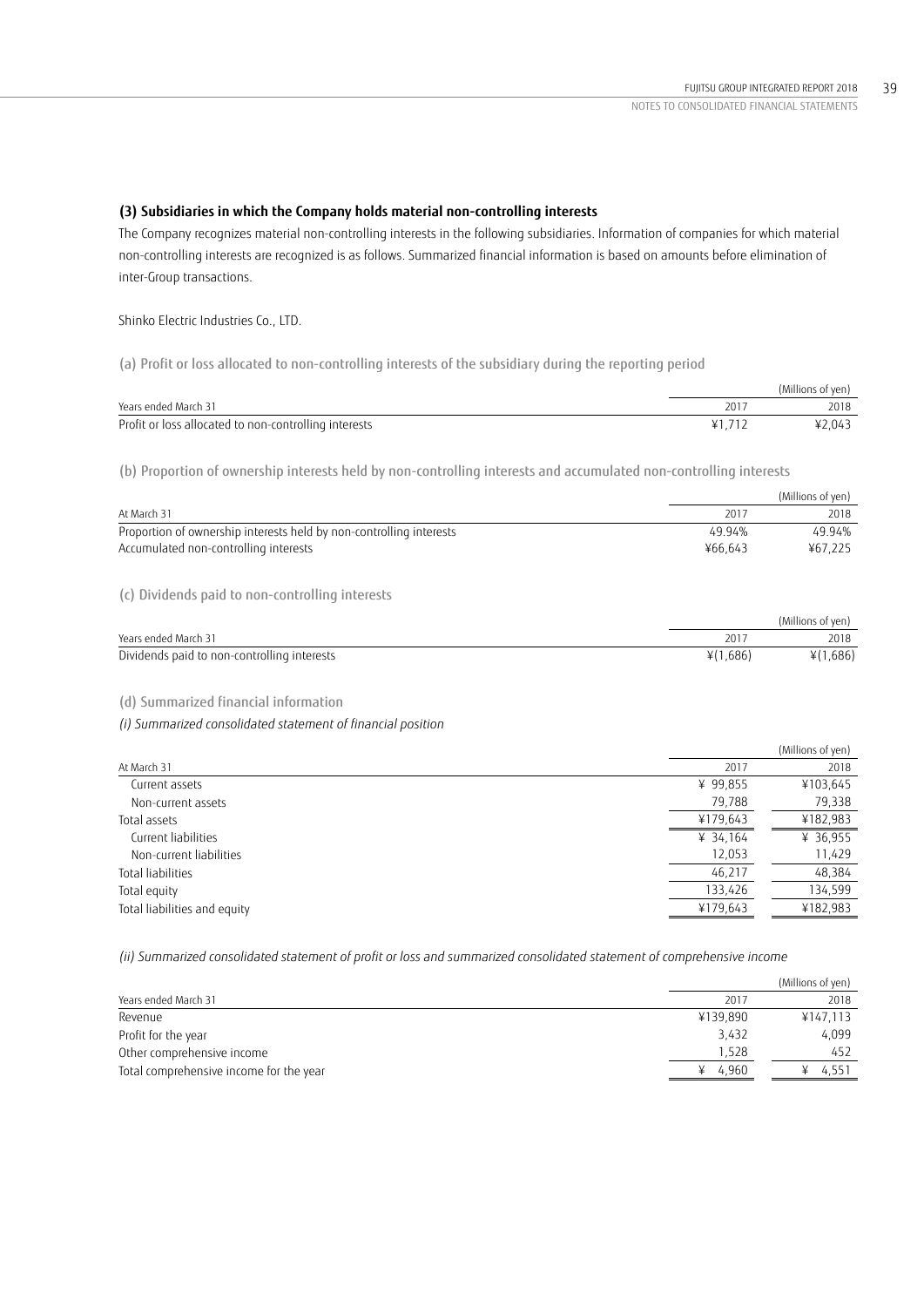## **(3) Subsidiaries in which the Company holds material non-controlling interests**

The Company recognizes material non-controlling interests in the following subsidiaries. Information of companies for which material non-controlling interests are recognized is as follows. Summarized financial information is based on amounts before elimination of inter-Group transactions.

Shinko Electric Industries Co., LTD.

(a) Profit or loss allocated to non-controlling interests of the subsidiary during the reporting period

|                                                       |       | (Millions of yen) |
|-------------------------------------------------------|-------|-------------------|
| Years ended March 31                                  |       | 2018              |
| Profit or loss allocated to non-controlling interests | ¥1717 | ¥2.043            |

(b) Proportion of ownership interests held by non-controlling interests and accumulated non-controlling interests

|                                                                     |         | (Millions of yen) |
|---------------------------------------------------------------------|---------|-------------------|
| At March 31                                                         | 2017    | 2018              |
| Proportion of ownership interests held by non-controlling interests | 49.94%  | 49.94%            |
| Accumulated non-controlling interests                               | ¥66.643 | ¥67.225           |
|                                                                     |         |                   |

(c) Dividends paid to non-controlling interests

|                                             |          | (Millions of yen) |
|---------------------------------------------|----------|-------------------|
| Years ended March 31                        | 201      | 2018              |
| Dividends paid to non-controlling interests | ¥(1,686) | ¥(1,686)          |

## (d) Summarized financial information

*(i) Summarized consolidated statement of financial position*

|                              |          | (Millions of yen) |
|------------------------------|----------|-------------------|
| At March 31                  | 2017     | 2018              |
| Current assets               | ¥ 99,855 | ¥103,645          |
| Non-current assets           | 79,788   | 79,338            |
| Total assets                 | ¥179,643 | ¥182,983          |
| Current liabilities          | ¥ 34,164 | ¥ 36,955          |
| Non-current liabilities      | 12,053   | 11,429            |
| Total liabilities            | 46,217   | 48,384            |
| Total equity                 | 133,426  | 134,599           |
| Total liabilities and equity | ¥179,643 | ¥182,983          |
|                              |          |                   |

*(ii) Summarized consolidated statement of profit or loss and summarized consolidated statement of comprehensive income*

|                                         |          | (Millions of yen) |
|-----------------------------------------|----------|-------------------|
| Years ended March 31                    | 2017     | 2018              |
| Revenue                                 | ¥139.890 | ¥147,113          |
| Profit for the year                     | 3,432    | 4,099             |
| Other comprehensive income              | 1.528    | 452               |
| Total comprehensive income for the year | 4.960    | 4.551             |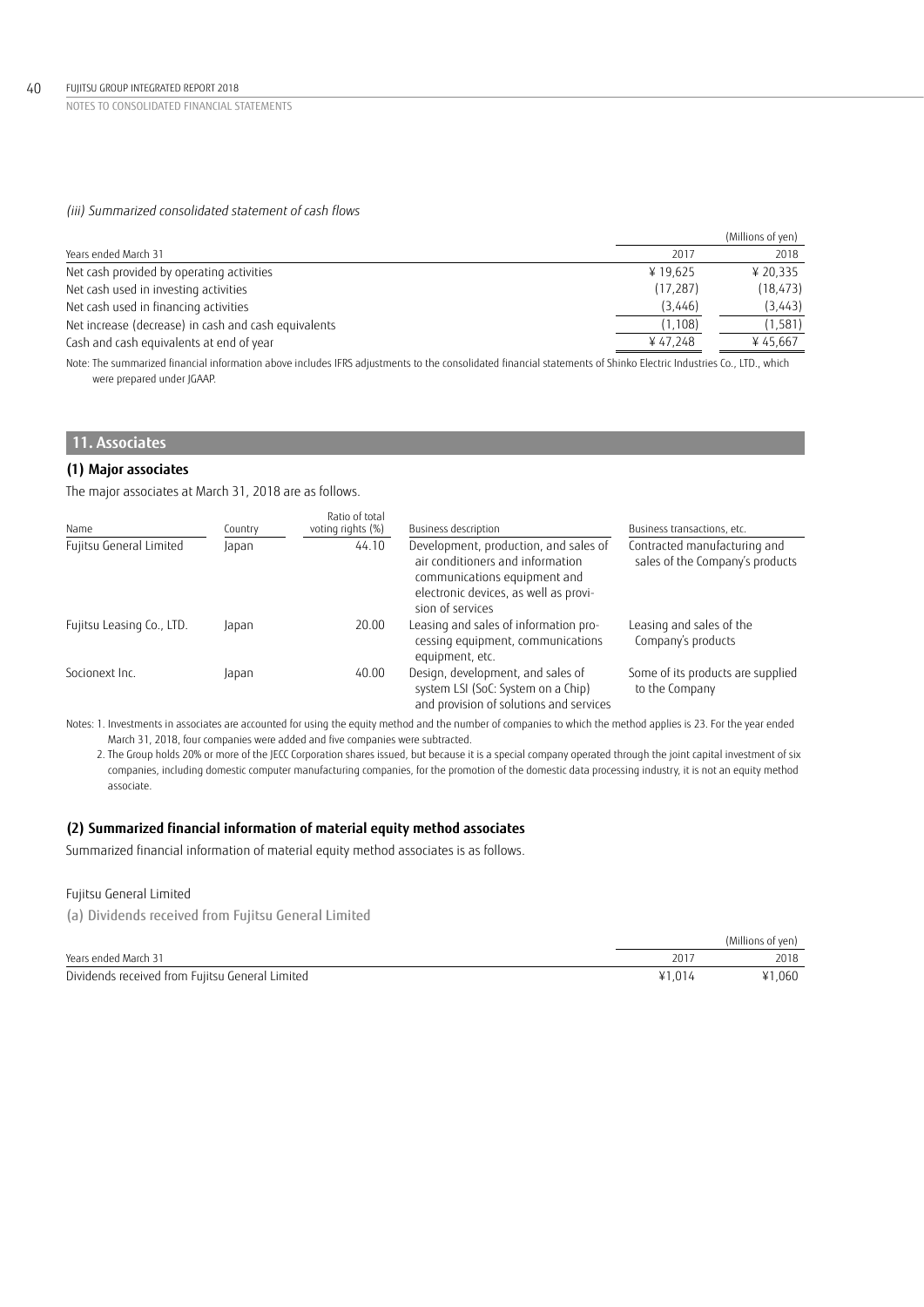## *(iii) Summarized consolidated statement of cash flows*

|                                                                                                                                                                                                                                 |           | (Millions of yen) |
|---------------------------------------------------------------------------------------------------------------------------------------------------------------------------------------------------------------------------------|-----------|-------------------|
| Years ended March 31                                                                                                                                                                                                            | 2017      | 2018              |
| Net cash provided by operating activities                                                                                                                                                                                       | ¥19.625   | ¥ 20.335          |
| Net cash used in investing activities                                                                                                                                                                                           | (17, 287) | (18, 473)         |
| Net cash used in financing activities                                                                                                                                                                                           | (3,446)   | (3,443)           |
| Net increase (decrease) in cash and cash equivalents                                                                                                                                                                            | (1, 108)  | (1, 581)          |
| Cash and cash equivalents at end of year                                                                                                                                                                                        | ¥47,248   | ¥45.667           |
| $\sim$ . The state of the state of the state of the state of the state of the state of the state of the state of the state of the state of the state of the state of the state of the state of the state of the state of the st |           |                   |

Note: The summarized financial information above includes IFRS adjustments to the consolidated financial statements of Shinko Electric Industries Co., LTD., which were prepared under JGAAP.

# **11. Associates**

## **(1) Major associates**

The major associates at March 31, 2018 are as follows.

| Name                      | Country | Ratio of total<br>voting rights (%) | Business description                                                                                                                                                   | Business transactions, etc.                                     |
|---------------------------|---------|-------------------------------------|------------------------------------------------------------------------------------------------------------------------------------------------------------------------|-----------------------------------------------------------------|
| Fujitsu General Limited   | Japan   | 44.10                               | Development, production, and sales of<br>air conditioners and information<br>communications equipment and<br>electronic devices, as well as provi-<br>sion of services | Contracted manufacturing and<br>sales of the Company's products |
| Fujitsu Leasing Co., LTD. | Japan   | 20.00                               | Leasing and sales of information pro-<br>cessing equipment, communications<br>equipment, etc.                                                                          | Leasing and sales of the<br>Company's products                  |
| Socionext Inc.            | Japan   | 40.00                               | Design, development, and sales of<br>system LSI (SoC: System on a Chip)<br>and provision of solutions and services                                                     | Some of its products are supplied<br>to the Company             |

Notes: 1. Investments in associates are accounted for using the equity method and the number of companies to which the method applies is 23. For the year ended March 31, 2018, four companies were added and five companies were subtracted.

 2. The Group holds 20% or more of the JECC Corporation shares issued, but because it is a special company operated through the joint capital investment of six companies, including domestic computer manufacturing companies, for the promotion of the domestic data processing industry, it is not an equity method associate.

## **(2) Summarized financial information of material equity method associates**

Summarized financial information of material equity method associates is as follows.

## Fujitsu General Limited

(a) Dividends received from Fujitsu General Limited

|                                                 |        | (Millions of yen) |
|-------------------------------------------------|--------|-------------------|
| Years ended March 31                            | 201    | 2018              |
| Dividends received from Fujitsu General Limited | ¥1.014 | ¥1.060            |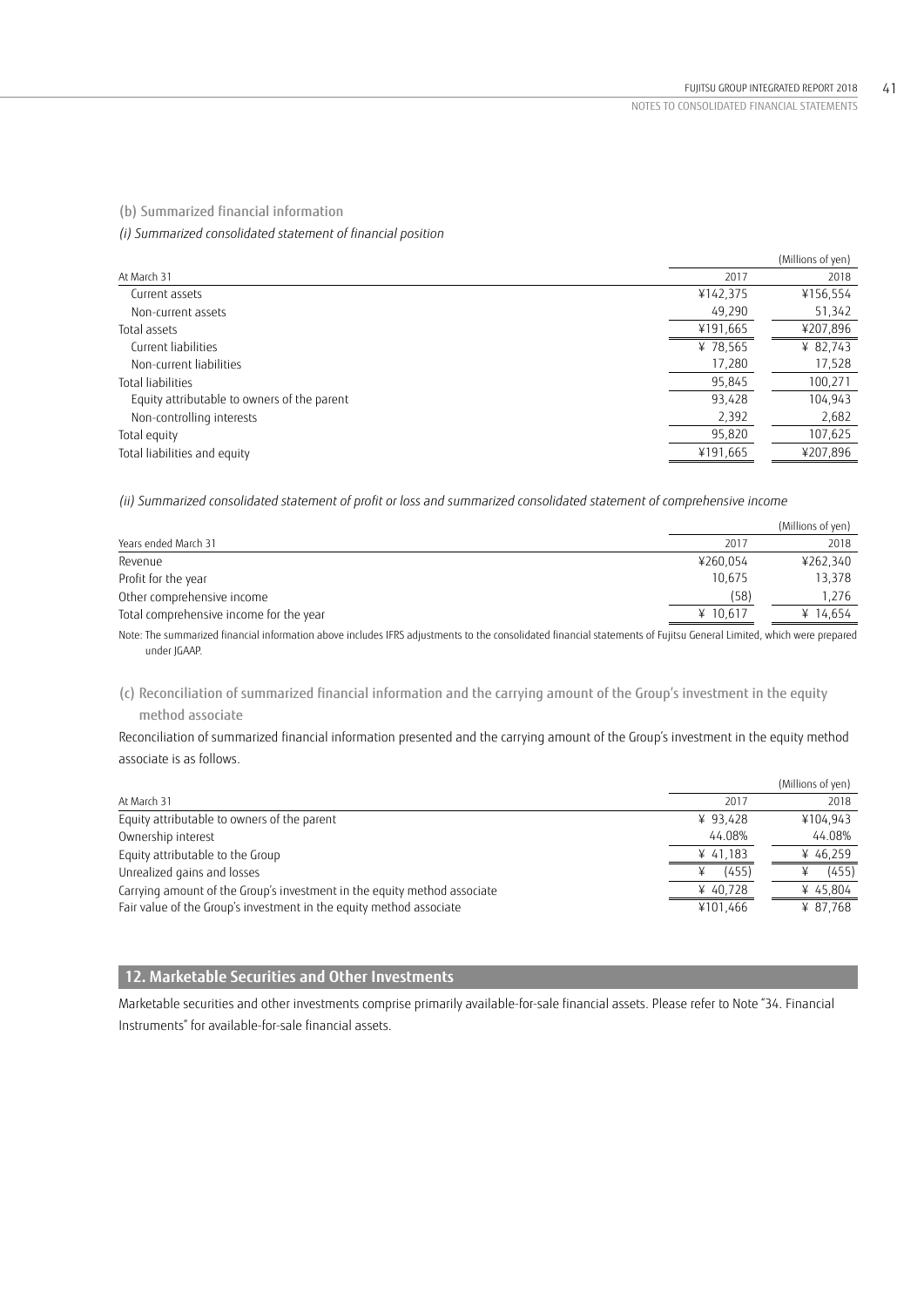(b) Summarized financial information

*(i) Summarized consolidated statement of financial position*

|                                             |          | (Millions of yen) |
|---------------------------------------------|----------|-------------------|
| At March 31                                 | 2017     | 2018              |
| Current assets                              | ¥142,375 | ¥156,554          |
| Non-current assets                          | 49,290   | 51,342            |
| Total assets                                | ¥191,665 | ¥207,896          |
| Current liabilities                         | ¥ 78,565 | ¥ 82,743          |
| Non-current liabilities                     | 17,280   | 17,528            |
| Total liabilities                           | 95,845   | 100,271           |
| Equity attributable to owners of the parent | 93,428   | 104,943           |
| Non-controlling interests                   | 2,392    | 2,682             |
| Total equity                                | 95,820   | 107,625           |
| Total liabilities and equity                | ¥191,665 | ¥207,896          |

*(ii) Summarized consolidated statement of profit or loss and summarized consolidated statement of comprehensive income*

|                                                                                                                                                                     |          | (Millions of yen) |
|---------------------------------------------------------------------------------------------------------------------------------------------------------------------|----------|-------------------|
| Years ended March 31                                                                                                                                                | 2017     | 2018              |
| Revenue                                                                                                                                                             | ¥260.054 | ¥262.340          |
| Profit for the year                                                                                                                                                 | 10.675   | 13.378            |
| Other comprehensive income                                                                                                                                          | (58)     | 1.276             |
| Total comprehensive income for the year                                                                                                                             | ¥ 10.617 | ¥ 14,654          |
| Note: The summarized financial information above includes IFRS adjustments to the consolidated financial statements of Fujitsu General Limited, which were prepared |          |                   |

Note: The summarized financial information above includes IFRS adjustments to the consolidated financial statements of Fujitsu General Limited, which were prepared under JGAAP.

(c) Reconciliation of summarized financial information and the carrying amount of the Group's investment in the equity method associate

Reconciliation of summarized financial information presented and the carrying amount of the Group's investment in the equity method associate is as follows.

|                                                                          |            | (Millions of yen) |
|--------------------------------------------------------------------------|------------|-------------------|
| At March 31                                                              | 2017       | 2018              |
| Equity attributable to owners of the parent                              | ¥ $93.428$ | ¥104.943          |
| Ownership interest                                                       | 44.08%     | 44.08%            |
| Equity attributable to the Group                                         | ¥ 41,183   | ¥ 46,259          |
| Unrealized gains and losses                                              | (455)      | (455)             |
| Carrying amount of the Group's investment in the equity method associate | ¥ 40.728   | ¥ 45,804          |
| Fair value of the Group's investment in the equity method associate      | ¥101,466   | ¥ 87.768          |

# **12. Marketable Securities and Other Investments**

Marketable securities and other investments comprise primarily available-for-sale financial assets. Please refer to Note "34. Financial Instruments" for available-for-sale financial assets.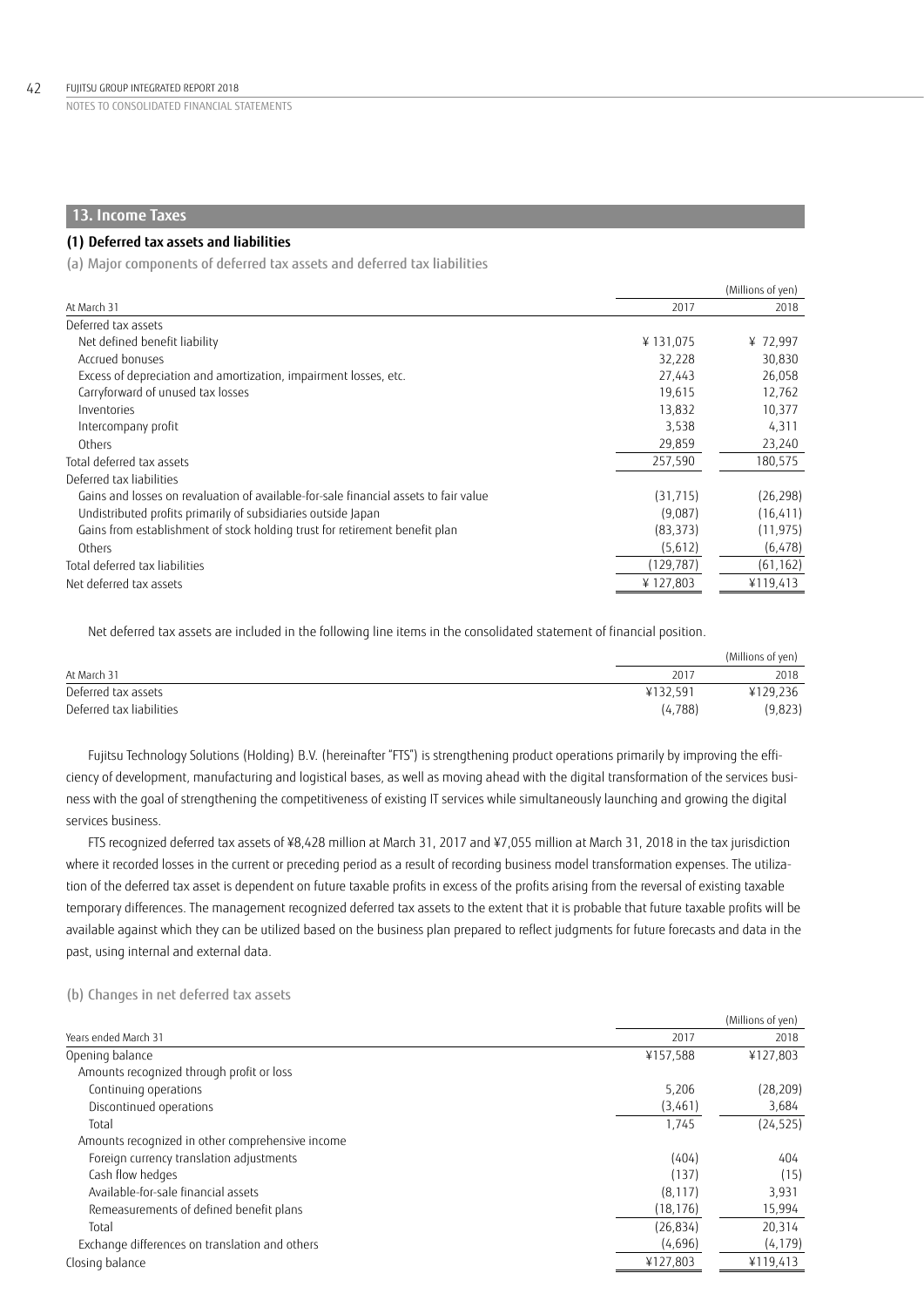## **13. Income Taxes**

## **(1) Deferred tax assets and liabilities**

(a) Major components of deferred tax assets and deferred tax liabilities

|                                                                                      |            | (Millions of yen) |
|--------------------------------------------------------------------------------------|------------|-------------------|
| At March 31                                                                          | 2017       | 2018              |
| Deferred tax assets                                                                  |            |                   |
| Net defined benefit liability                                                        | ¥131,075   | ¥72,997           |
| Accrued bonuses                                                                      | 32,228     | 30,830            |
| Excess of depreciation and amortization, impairment losses, etc.                     | 27.443     | 26,058            |
| Carryforward of unused tax losses                                                    | 19.615     | 12,762            |
| Inventories                                                                          | 13,832     | 10,377            |
| Intercompany profit                                                                  | 3,538      | 4,311             |
| Others                                                                               | 29,859     | 23,240            |
| Total deferred tax assets                                                            | 257,590    | 180,575           |
| Deferred tax liabilities                                                             |            |                   |
| Gains and losses on revaluation of available-for-sale financial assets to fair value | (31, 715)  | (26, 298)         |
| Undistributed profits primarily of subsidiaries outside Japan                        | (9,087)    | (16, 411)         |
| Gains from establishment of stock holding trust for retirement benefit plan          | (83, 373)  | (11, 975)         |
| Others                                                                               | (5,612)    | (6, 478)          |
| Total deferred tax liabilities                                                       | (129, 787) | (61, 162)         |
| Net deferred tax assets                                                              | ¥127,803   | ¥119,413          |

Net deferred tax assets are included in the following line items in the consolidated statement of financial position.

|                          |          | (Millions of yen) |
|--------------------------|----------|-------------------|
| At March 31              | 2017     | 2018              |
| Deferred tax assets      | ¥132.591 | ¥129,236          |
| Deferred tax liabilities | (4.788)  | (9,823)           |

Fujitsu Technology Solutions (Holding) B.V. (hereinafter "FTS") is strengthening product operations primarily by improving the efficiency of development, manufacturing and logistical bases, as well as moving ahead with the digital transformation of the services business with the goal of strengthening the competitiveness of existing IT services while simultaneously launching and growing the digital services business.

FTS recognized deferred tax assets of ¥8,428 million at March 31, 2017 and ¥7,055 million at March 31, 2018 in the tax jurisdiction where it recorded losses in the current or preceding period as a result of recording business model transformation expenses. The utilization of the deferred tax asset is dependent on future taxable profits in excess of the profits arising from the reversal of existing taxable temporary differences. The management recognized deferred tax assets to the extent that it is probable that future taxable profits will be available against which they can be utilized based on the business plan prepared to reflect judgments for future forecasts and data in the past, using internal and external data.

## (b) Changes in net deferred tax assets

|                                                  |           | (Millions of yen) |
|--------------------------------------------------|-----------|-------------------|
| Years ended March 31                             | 2017      | 2018              |
| Opening balance                                  | ¥157,588  | ¥127,803          |
| Amounts recognized through profit or loss        |           |                   |
| Continuing operations                            | 5,206     | (28, 209)         |
| Discontinued operations                          | (3,461)   | 3,684             |
| Total                                            | 1,745     | (24, 525)         |
| Amounts recognized in other comprehensive income |           |                   |
| Foreign currency translation adjustments         | (404)     | 404               |
| Cash flow hedges                                 | (137)     | (15)              |
| Available-for-sale financial assets              | (8, 117)  | 3,931             |
| Remeasurements of defined benefit plans          | (18, 176) | 15,994            |
| Total                                            | (26, 834) | 20,314            |
| Exchange differences on translation and others   | (4,696)   | (4, 179)          |
| Closing balance                                  | ¥127,803  | ¥119,413          |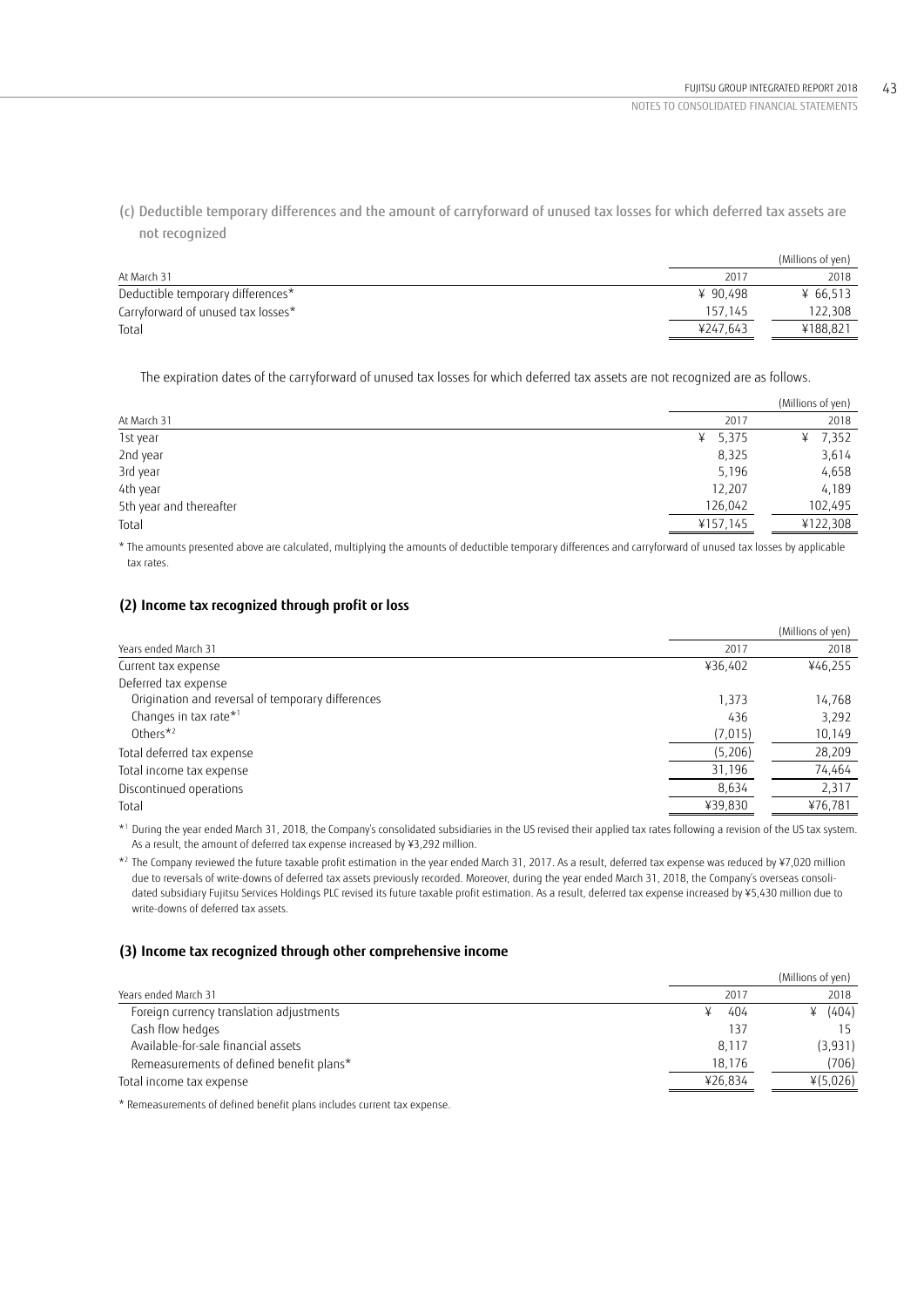(c) Deductible temporary differences and the amount of carryforward of unused tax losses for which deferred tax assets are not recognized

|                                    |          | (Millions of yen) |
|------------------------------------|----------|-------------------|
| At March 31                        | 2017     | 2018              |
| Deductible temporary differences*  | ¥ 90.498 | ¥ 66.513          |
| Carryforward of unused tax losses* | 157.145  | 122.308           |
| Total                              | ¥247.643 | ¥188.821          |

The expiration dates of the carryforward of unused tax losses for which deferred tax assets are not recognized are as follows.

|                         |            | (Millions of yen) |
|-------------------------|------------|-------------------|
| At March 31             | 2017       | 2018              |
| 1st year                | 5,375<br>¥ | ¥ 7,352           |
| 2nd year                | 8,325      | 3,614             |
| 3rd year                | 5,196      | 4,658             |
| 4th year                | 12,207     | 4,189             |
| 5th year and thereafter | 126,042    | 102,495           |
| Total                   | ¥157,145   | ¥122,308          |
|                         |            |                   |

\* The amounts presented above are calculated, multiplying the amounts of deductible temporary differences and carryforward of unused tax losses by applicable tax rates.

## **(2) Income tax recognized through profit or loss**

|         | (Millions of yen) |
|---------|-------------------|
| 2017    | 2018              |
| ¥36,402 | ¥46,255           |
|         |                   |
| 1,373   | 14,768            |
| 436     | 3,292             |
| (7,015) | 10,149            |
| (5,206) | 28,209            |
| 31,196  | 74,464            |
| 8,634   | 2,317             |
| ¥39,830 | ¥76,781           |
|         |                   |

\*1 During the year ended March 31, 2018, the Company's consolidated subsidiaries in the US revised their applied tax rates following a revision of the US tax system. As a result, the amount of deferred tax expense increased by ¥3,292 million.

\*2 The Company reviewed the future taxable profit estimation in the year ended March 31, 2017. As a result, deferred tax expense was reduced by ¥7,020 million due to reversals of write-downs of deferred tax assets previously recorded. Moreover, during the year ended March 31, 2018, the Company's overseas consolidated subsidiary Fujitsu Services Holdings PLC revised its future taxable profit estimation. As a result, deferred tax expense increased by ¥5,430 million due to write-downs of deferred tax assets.

### **(3) Income tax recognized through other comprehensive income**

|                                          |         | (Millions of yen) |
|------------------------------------------|---------|-------------------|
| Years ended March 31                     | 2017    | 2018              |
| Foreign currency translation adjustments | 404     | (404)<br>¥        |
| Cash flow hedges                         | 137     | 15                |
| Available-for-sale financial assets      | 8.117   | (3,931)           |
| Remeasurements of defined benefit plans* | 18.176  | (706)             |
| Total income tax expense                 | ¥26.834 | ¥(5,026)          |
|                                          |         |                   |

\* Remeasurements of defined benefit plans includes current tax expense.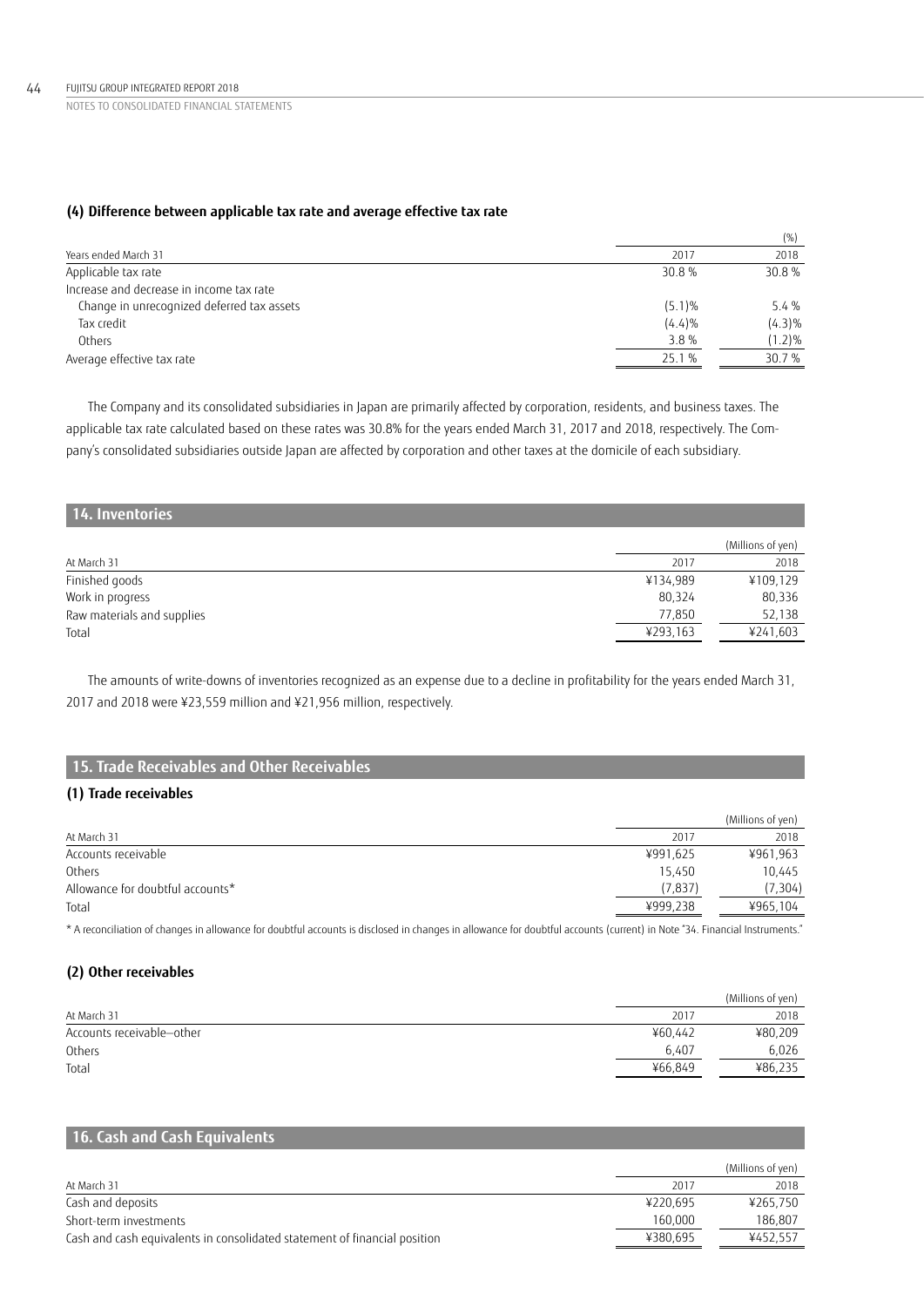## **(4) Difference between applicable tax rate and average effective tax rate**

|                                            |        | (% )      |
|--------------------------------------------|--------|-----------|
| Years ended March 31                       | 2017   | 2018      |
| Applicable tax rate                        | 30.8 % | 30.8%     |
| Increase and decrease in income tax rate   |        |           |
| Change in unrecognized deferred tax assets | (5.1)% | 5.4%      |
| Tax credit                                 | (4.4)% | $(4.3)\%$ |
| Others                                     | 3.8%   | $(1.2)\%$ |
| Average effective tax rate                 | 25.1 % | 30.7 %    |

The Company and its consolidated subsidiaries in Japan are primarily affected by corporation, residents, and business taxes. The applicable tax rate calculated based on these rates was 30.8% for the years ended March 31, 2017 and 2018, respectively. The Company's consolidated subsidiaries outside Japan are affected by corporation and other taxes at the domicile of each subsidiary.

| 14. Inventories            |          |                   |
|----------------------------|----------|-------------------|
|                            |          | (Millions of yen) |
| At March 31                | 2017     | 2018              |
| Finished goods             | ¥134,989 | ¥109,129          |
| Work in progress           | 80,324   | 80,336            |
| Raw materials and supplies | 77,850   | 52,138            |
| Total                      | ¥293,163 | ¥241,603          |

The amounts of write-downs of inventories recognized as an expense due to a decline in profitability for the years ended March 31, 2017 and 2018 were ¥23,559 million and ¥21,956 million, respectively.

# **15. Trade Receivables and Other Receivables**

## **(1) Trade receivables**

|                                  |          | (Millions of yen) |
|----------------------------------|----------|-------------------|
| At March 31                      | 2017     | 2018              |
| Accounts receivable              | ¥991,625 | ¥961,963          |
| Others                           | 15.450   | 10.445            |
| Allowance for doubtful accounts* | (7, 837) | (7, 304)          |
| Total                            | ¥999,238 | ¥965,104          |

\* A reconciliation of changes in allowance for doubtful accounts is disclosed in changes in allowance for doubtful accounts (current) in Note "34. Financial Instruments."

## **(2) Other receivables**

|                           |         | (Millions of yen) |
|---------------------------|---------|-------------------|
| At March 31               | 2017    | 2018              |
| Accounts receivable-other | ¥60.442 | ¥80,209           |
| Others                    | 6.407   | 6.026             |
| Total                     | ¥66.849 | ¥86,235           |

## **16. Cash and Cash Equivalents**

|                                                                           |          | (Millions of yen) |
|---------------------------------------------------------------------------|----------|-------------------|
| At March 31                                                               | 2017     | 2018              |
| Cash and deposits                                                         | ¥220.695 | ¥265,750          |
| Short-term investments                                                    | 160.000  | 186,807           |
| Cash and cash equivalents in consolidated statement of financial position | ¥380.695 | ¥452,557          |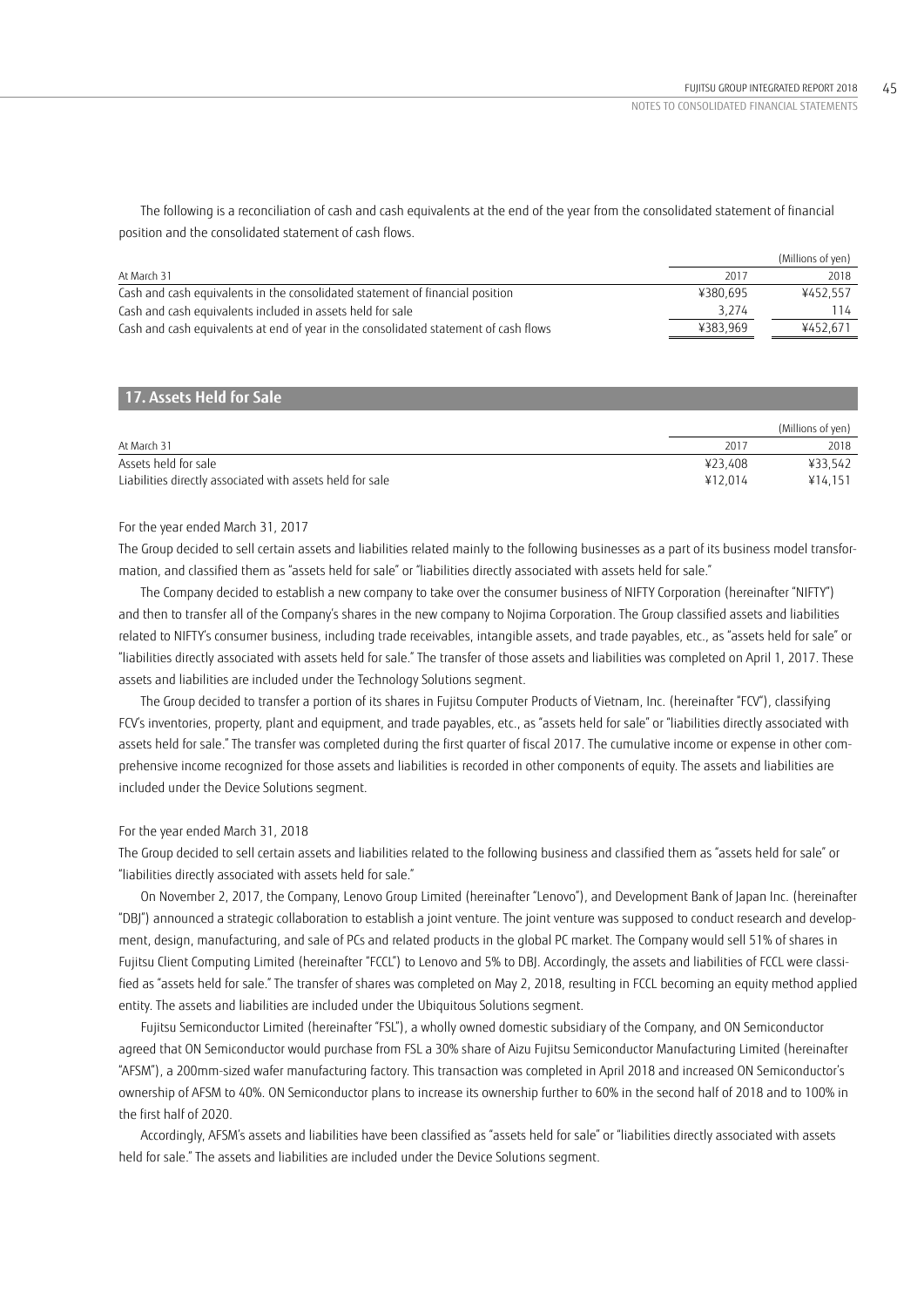The following is a reconciliation of cash and cash equivalents at the end of the year from the consolidated statement of financial position and the consolidated statement of cash flows.

|                                                                                      |          | (Millions of yen) |
|--------------------------------------------------------------------------------------|----------|-------------------|
| At March 31                                                                          | 2017     | 2018              |
| Cash and cash equivalents in the consolidated statement of financial position        | ¥380.695 | ¥452.557          |
| Cash and cash equivalents included in assets held for sale                           | 3.274    | l 14.             |
| Cash and cash equivalents at end of year in the consolidated statement of cash flows | ¥383.969 | ¥452.671          |

## **17. Assets Held for Sale**

|                                                           |         | (Millions of yen) |
|-----------------------------------------------------------|---------|-------------------|
| At March 31                                               | 2017    | 2018              |
| Assets held for sale                                      | ¥23.408 | ¥33.542           |
| Liabilities directly associated with assets held for sale | ¥12.014 | ¥14.151           |

### For the year ended March 31, 2017

The Group decided to sell certain assets and liabilities related mainly to the following businesses as a part of its business model transformation, and classified them as "assets held for sale" or "liabilities directly associated with assets held for sale."

The Company decided to establish a new company to take over the consumer business of NIFTY Corporation (hereinafter "NIFTY") and then to transfer all of the Company's shares in the new company to Nojima Corporation. The Group classified assets and liabilities related to NIFTY's consumer business, including trade receivables, intangible assets, and trade payables, etc., as "assets held for sale" or "liabilities directly associated with assets held for sale." The transfer of those assets and liabilities was completed on April 1, 2017. These assets and liabilities are included under the Technology Solutions segment.

The Group decided to transfer a portion of its shares in Fujitsu Computer Products of Vietnam, Inc. (hereinafter "FCV"), classifying FCV's inventories, property, plant and equipment, and trade payables, etc., as "assets held for sale" or "liabilities directly associated with assets held for sale." The transfer was completed during the first quarter of fiscal 2017. The cumulative income or expense in other comprehensive income recognized for those assets and liabilities is recorded in other components of equity. The assets and liabilities are included under the Device Solutions segment.

## For the year ended March 31, 2018

The Group decided to sell certain assets and liabilities related to the following business and classified them as "assets held for sale" or "liabilities directly associated with assets held for sale."

On November 2, 2017, the Company, Lenovo Group Limited (hereinafter "Lenovo"), and Development Bank of Japan Inc. (hereinafter "DBJ") announced a strategic collaboration to establish a joint venture. The joint venture was supposed to conduct research and development, design, manufacturing, and sale of PCs and related products in the global PC market. The Company would sell 51% of shares in Fujitsu Client Computing Limited (hereinafter "FCCL") to Lenovo and 5% to DBJ. Accordingly, the assets and liabilities of FCCL were classified as "assets held for sale." The transfer of shares was completed on May 2, 2018, resulting in FCCL becoming an equity method applied entity. The assets and liabilities are included under the Ubiquitous Solutions segment.

Fujitsu Semiconductor Limited (hereinafter "FSL"), a wholly owned domestic subsidiary of the Company, and ON Semiconductor agreed that ON Semiconductor would purchase from FSL a 30% share of Aizu Fujitsu Semiconductor Manufacturing Limited (hereinafter "AFSM"), a 200mm-sized wafer manufacturing factory. This transaction was completed in April 2018 and increased ON Semiconductor's ownership of AFSM to 40%. ON Semiconductor plans to increase its ownership further to 60% in the second half of 2018 and to 100% in the first half of 2020.

Accordingly, AFSM's assets and liabilities have been classified as "assets held for sale" or "liabilities directly associated with assets held for sale." The assets and liabilities are included under the Device Solutions segment.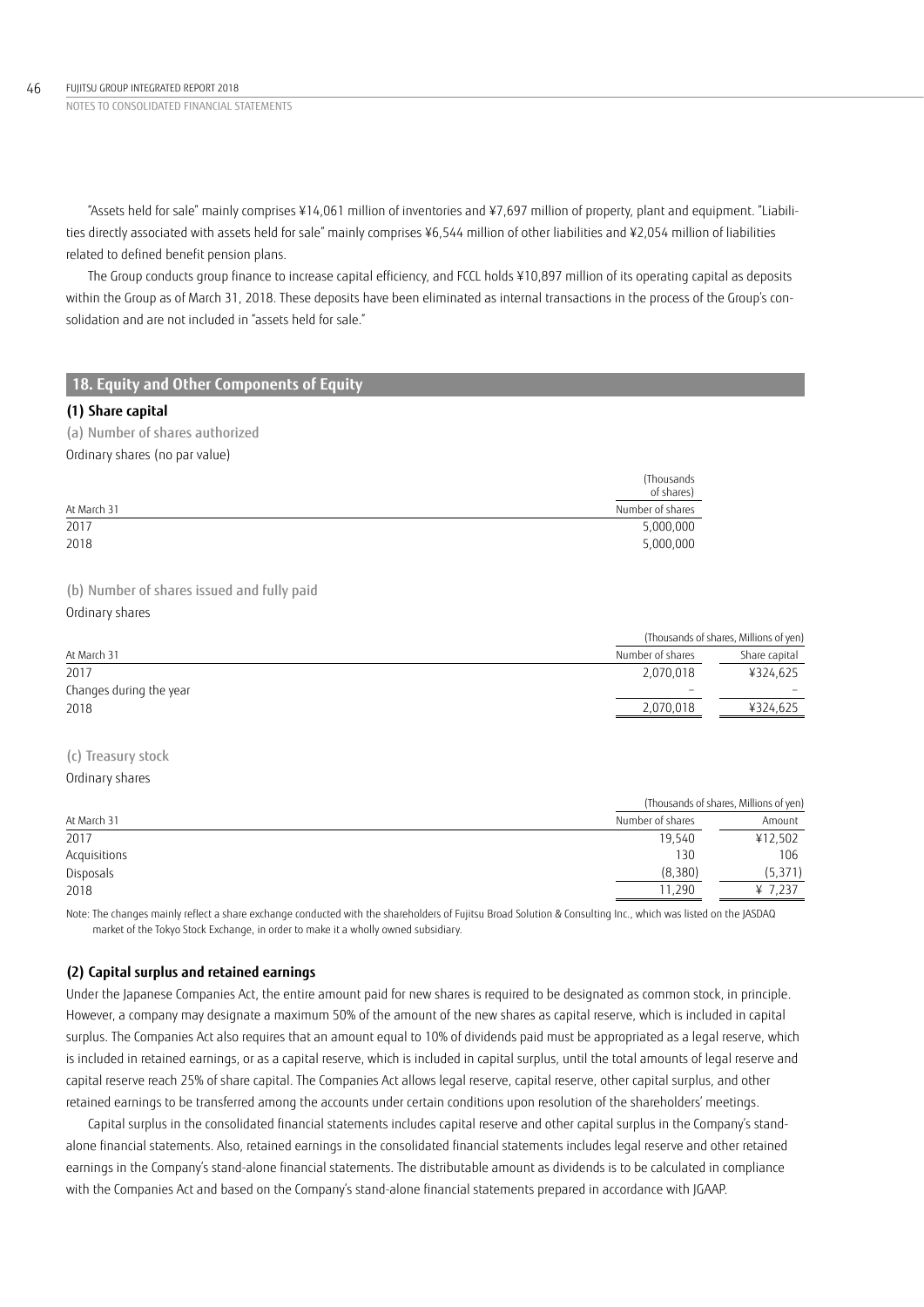NOTES TO CONSOLIDATED FINANCIAL STATEMENTS 46 FUJITSU GROUP INTEGRATED REPORT 2018

> "Assets held for sale" mainly comprises ¥14,061 million of inventories and ¥7,697 million of property, plant and equipment. "Liabilities directly associated with assets held for sale" mainly comprises ¥6,544 million of other liabilities and ¥2,054 million of liabilities related to defined benefit pension plans.

> The Group conducts group finance to increase capital efficiency, and FCCL holds ¥10,897 million of its operating capital as deposits within the Group as of March 31, 2018. These deposits have been eliminated as internal transactions in the process of the Group's consolidation and are not included in "assets held for sale."

## **18. Equity and Other Components of Equity**

### **(1) Share capital**

(a) Number of shares authorized Ordinary shares (no par value)

|             | (Thousands)<br>of shares) |
|-------------|---------------------------|
| At March 31 | Number of shares          |
| 2017        | 5,000,000                 |
| 2018        | 5,000,000                 |

(b) Number of shares issued and fully paid

Ordinary shares

|                         |                  | (Thousands of shares, Millions of yen) |
|-------------------------|------------------|----------------------------------------|
| At March 31             | Number of shares | Share capital                          |
| 2017                    | 2.070.018        | ¥324,625                               |
| Changes during the year | $\sim$           |                                        |
| 2018                    | 2,070,018        | ¥324,625                               |
|                         |                  |                                        |

# (c) Treasury stock

Ordinary shares

|              |                  | (Thousands of shares, Millions of yen) |  |
|--------------|------------------|----------------------------------------|--|
| At March 31  | Number of shares | Amount                                 |  |
| 2017         | 19,540           | ¥12,502                                |  |
| Acquisitions | 130              | 106                                    |  |
| Disposals    | (8,380)          | (5, 371)                               |  |
| 2018         | 11,290           | ¥ 7,237                                |  |

Note: The changes mainly reflect a share exchange conducted with the shareholders of Fujitsu Broad Solution & Consulting Inc., which was listed on the JASDAQ market of the Tokyo Stock Exchange, in order to make it a wholly owned subsidiary.

## **(2) Capital surplus and retained earnings**

Under the Japanese Companies Act, the entire amount paid for new shares is required to be designated as common stock, in principle. However, a company may designate a maximum 50% of the amount of the new shares as capital reserve, which is included in capital surplus. The Companies Act also requires that an amount equal to 10% of dividends paid must be appropriated as a legal reserve, which is included in retained earnings, or as a capital reserve, which is included in capital surplus, until the total amounts of legal reserve and capital reserve reach 25% of share capital. The Companies Act allows legal reserve, capital reserve, other capital surplus, and other retained earnings to be transferred among the accounts under certain conditions upon resolution of the shareholders' meetings.

Capital surplus in the consolidated financial statements includes capital reserve and other capital surplus in the Company's standalone financial statements. Also, retained earnings in the consolidated financial statements includes legal reserve and other retained earnings in the Company's stand-alone financial statements. The distributable amount as dividends is to be calculated in compliance with the Companies Act and based on the Company's stand-alone financial statements prepared in accordance with JGAAP.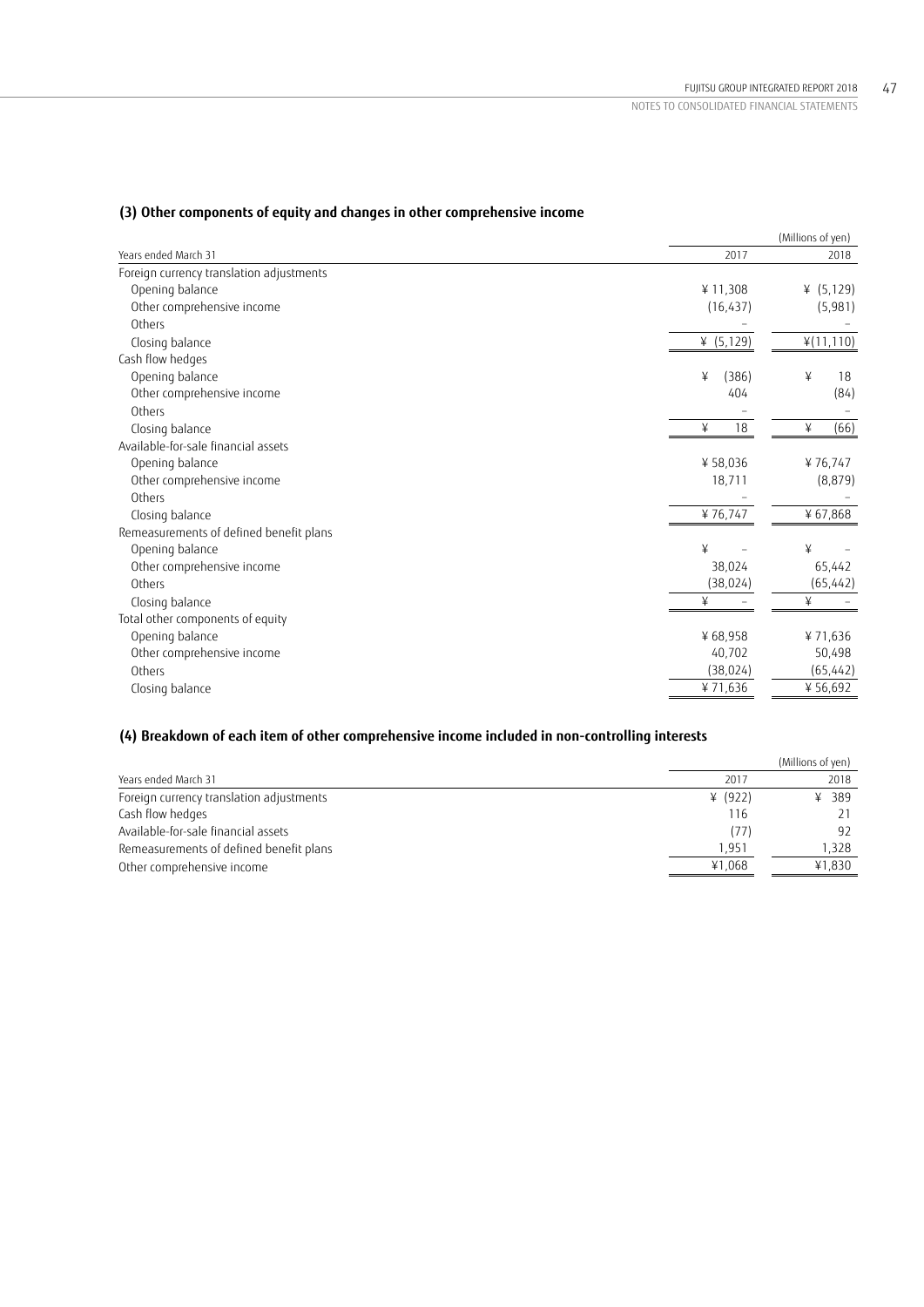|                                          |              | (Millions of yen) |
|------------------------------------------|--------------|-------------------|
| Years ended March 31                     | 2017         | 2018              |
| Foreign currency translation adjustments |              |                   |
| Opening balance                          | ¥11,308      | (5, 129)<br>¥     |
| Other comprehensive income               | (16, 437)    | (5,981)           |
| Others                                   |              |                   |
| Closing balance                          | ¥ $(5, 129)$ | ¥(11,110)         |
| Cash flow hedges                         |              |                   |
| Opening balance                          | (386)<br>¥   | ¥<br>18           |
| Other comprehensive income               | 404          | (84)              |
| Others                                   |              |                   |
| Closing balance                          | 18<br>¥      | (66)<br>¥         |
| Available-for-sale financial assets      |              |                   |
| Opening balance                          | ¥58,036      | ¥76,747           |
| Other comprehensive income               | 18,711       | (8, 879)          |
| Others                                   |              |                   |
| Closing balance                          | ¥76,747      | ¥67,868           |
| Remeasurements of defined benefit plans  |              |                   |
| Opening balance                          | ¥            | ¥                 |
| Other comprehensive income               | 38,024       | 65,442            |
| Others                                   | (38, 024)    | (65, 442)         |
| Closing balance                          | ¥            | ¥                 |
| Total other components of equity         |              |                   |
| Opening balance                          | ¥68,958      | ¥71,636           |
| Other comprehensive income               | 40,702       | 50,498            |
| Others                                   | (38, 024)    | (65,442)          |
| Closing balance                          | ¥71,636      | ¥ 56,692          |
|                                          |              |                   |

## **(3) Other components of equity and changes in other comprehensive income**

# **(4) Breakdown of each item of other comprehensive income included in non-controlling interests**

|                                          |           | (Millions of yen) |
|------------------------------------------|-----------|-------------------|
| Years ended March 31                     | 2017      | 2018              |
| Foreign currency translation adjustments | ¥ $(922)$ | ¥ 389             |
| Cash flow hedges                         | 116       |                   |
| Available-for-sale financial assets      | (77)      | 92                |
| Remeasurements of defined benefit plans  | 1.951     | 1,328             |
| Other comprehensive income               | ¥1.068    | ¥1,830            |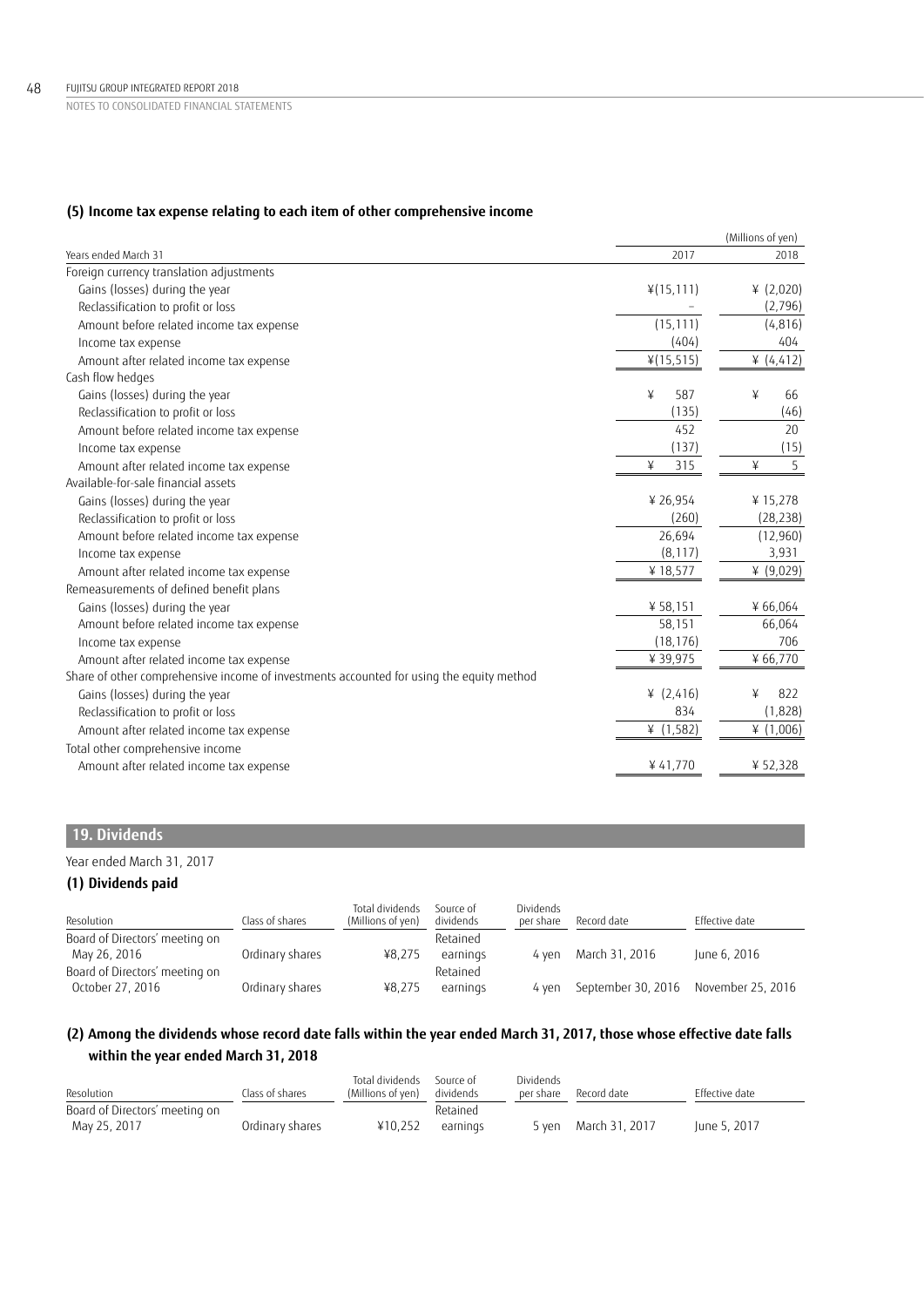## **(5) Income tax expense relating to each item of other comprehensive income**

|                                                                                          |              | (Millions of yen) |
|------------------------------------------------------------------------------------------|--------------|-------------------|
| Years ended March 31                                                                     | 2017         | 2018              |
| Foreign currency translation adjustments                                                 |              |                   |
| Gains (losses) during the year                                                           | $*(15, 111)$ | ¥ $(2,020)$       |
| Reclassification to profit or loss                                                       |              | (2,796)           |
| Amount before related income tax expense                                                 | (15, 111)    | (4, 816)          |
| Income tax expense                                                                       | (404)        | 404               |
| Amount after related income tax expense                                                  | ¥(15,515)    | ¥ $(4, 412)$      |
| Cash flow hedges                                                                         |              |                   |
| Gains (losses) during the year                                                           | ¥<br>587     | ¥<br>66           |
| Reclassification to profit or loss                                                       | (135)        | (46)              |
| Amount before related income tax expense                                                 | 452          | 20                |
| Income tax expense                                                                       | (137)        | (15)              |
| Amount after related income tax expense                                                  | ¥<br>315     | ¥<br>5            |
| Available-for-sale financial assets                                                      |              |                   |
| Gains (losses) during the year                                                           | ¥ 26,954     | ¥15,278           |
| Reclassification to profit or loss                                                       | (260)        | (28, 238)         |
| Amount before related income tax expense                                                 | 26,694       | (12,960)          |
| Income tax expense                                                                       | (8, 117)     | 3,931             |
| Amount after related income tax expense                                                  | ¥18,577      | ¥ $(9,029)$       |
| Remeasurements of defined benefit plans                                                  |              |                   |
| Gains (losses) during the year                                                           | ¥ 58,151     | ¥ 66,064          |
| Amount before related income tax expense                                                 | 58,151       | 66,064            |
| Income tax expense                                                                       | (18, 176)    | 706               |
| Amount after related income tax expense                                                  | ¥39,975      | ¥ 66,770          |
| Share of other comprehensive income of investments accounted for using the equity method |              |                   |
| Gains (losses) during the year                                                           | ¥ $(2,416)$  | 822<br>¥          |
| Reclassification to profit or loss                                                       | 834          | (1,828)           |
| Amount after related income tax expense                                                  | ¥ $(1, 582)$ | ¥ $(1,006)$       |
| Total other comprehensive income                                                         |              |                   |
| Amount after related income tax expense                                                  | ¥41,770      | ¥52,328           |
|                                                                                          |              |                   |

# **19. Dividends**

## Year ended March 31, 2017

# **(1) Dividends paid**

| Resolution                     | Class of shares | Total dividends<br>(Millions of yen) | Source of<br>dividends | Dividends<br>per share | Record date                           | Effective date |
|--------------------------------|-----------------|--------------------------------------|------------------------|------------------------|---------------------------------------|----------------|
| Board of Directors' meeting on |                 |                                      | Retained               |                        |                                       |                |
| May 26, 2016                   | Ordinary shares | ¥8.275                               | earnings               |                        | 4 yen March 31, 2016                  | June 6, 2016   |
| Board of Directors' meeting on |                 |                                      | Retained               |                        |                                       |                |
| October 27, 2016               | Ordinary shares | ¥8.275                               | earnings               | 4 ven                  | September 30, 2016  November 25, 2016 |                |

# **(2) Among the dividends whose record date falls within the year ended March 31, 2017, those whose effective date falls within the year ended March 31, 2018**

| Resolution                     | Class of shares | Total dividends<br>(Millions of yen) | Source of<br>dividends | Dividends<br>per share | Record date          | Effective date |
|--------------------------------|-----------------|--------------------------------------|------------------------|------------------------|----------------------|----------------|
| Board of Directors' meeting on |                 |                                      | Retained               |                        |                      |                |
| May 25, 2017                   | Ordinary shares | ¥10.252                              | earnings               |                        | 5 yen March 31, 2017 | June 5, 2017   |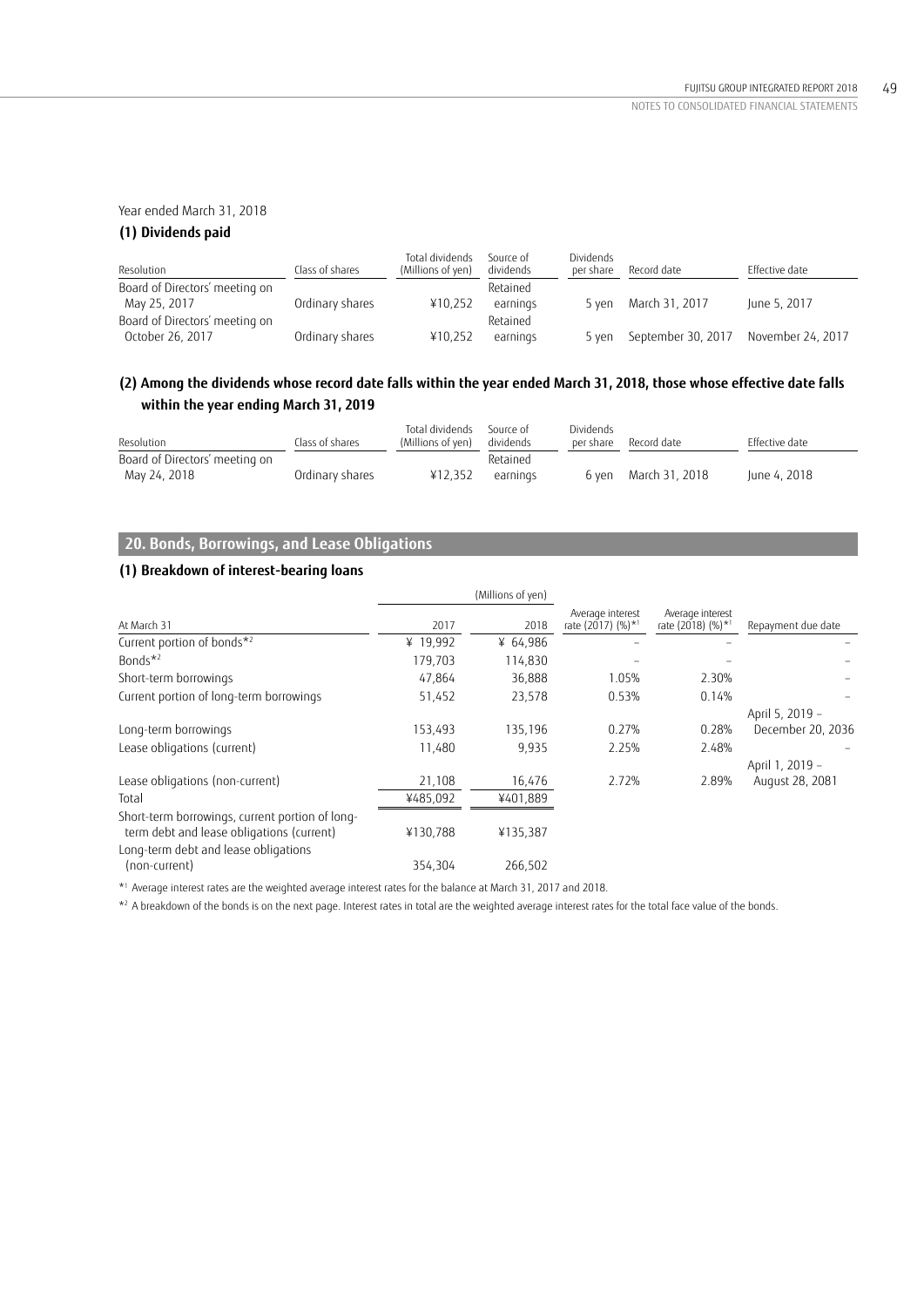## Year ended March 31, 2018

## **(1) Dividends paid**

| Resolution                     | Class of shares | Total dividends<br>(Millions of yen) | Source of<br>dividends | Dividends<br>per share | Record date        | Effective date    |
|--------------------------------|-----------------|--------------------------------------|------------------------|------------------------|--------------------|-------------------|
| Board of Directors' meeting on |                 |                                      | Retained               |                        |                    |                   |
| May 25, 2017                   | Ordinary shares | ¥10.252                              | earnings               | 5 ven                  | March 31, 2017     | June 5, 2017      |
| Board of Directors' meeting on |                 |                                      | Retained               |                        |                    |                   |
| October 26, 2017               | Ordinary shares | ¥10.252                              | earnings               | 5 ven                  | September 30, 2017 | November 24, 2017 |

# **(2) Among the dividends whose record date falls within the year ended March 31, 2018, those whose effective date falls within the year ending March 31, 2019**

| Resolution                     | Class of shares | Total dividends<br>(Millions of yen) | Source of<br>dividends | Dividends<br>per share | Record date          | Effective date |
|--------------------------------|-----------------|--------------------------------------|------------------------|------------------------|----------------------|----------------|
| Board of Directors' meeting on |                 |                                      | Retained               |                        |                      |                |
| May 24, 2018                   | Ordinary shares | ¥12.352                              | earnings               |                        | 6 yen March 31, 2018 | June 4, 2018   |

# **20. Bonds, Borrowings, and Lease Obligations**

# **(1) Breakdown of interest-bearing loans**

|                                                                                              |          | (Millions of yen) |                                                   |                                                   |                    |
|----------------------------------------------------------------------------------------------|----------|-------------------|---------------------------------------------------|---------------------------------------------------|--------------------|
| At March 31                                                                                  | 2017     | 2018              | Average interest<br>rate (2017) (%)* <sup>1</sup> | Average interest<br>rate (2018) (%)* <sup>1</sup> | Repayment due date |
| Current portion of bonds*2                                                                   | ¥ 19,992 | ¥ 64,986          |                                                   |                                                   |                    |
| Bonds $*^2$                                                                                  | 179,703  | 114.830           |                                                   |                                                   |                    |
| Short-term borrowings                                                                        | 47,864   | 36.888            | 1.05%                                             | 2.30%                                             |                    |
| Current portion of long-term borrowings                                                      | 51,452   | 23,578            | 0.53%                                             | 0.14%                                             |                    |
|                                                                                              |          |                   |                                                   |                                                   | April 5, 2019 -    |
| Long-term borrowings                                                                         | 153,493  | 135,196           | 0.27%                                             | 0.28%                                             | December 20, 2036  |
| Lease obligations (current)                                                                  | 11,480   | 9.935             | 2.25%                                             | 2.48%                                             |                    |
|                                                                                              |          |                   | 2.72%                                             |                                                   | April 1, 2019 -    |
| Lease obligations (non-current)                                                              | 21,108   | 16,476            |                                                   | 2.89%                                             | August 28, 2081    |
| Total                                                                                        | ¥485,092 | ¥401,889          |                                                   |                                                   |                    |
| Short-term borrowings, current portion of long-<br>term debt and lease obligations (current) | ¥130,788 | ¥135,387          |                                                   |                                                   |                    |
| Long-term debt and lease obligations                                                         |          |                   |                                                   |                                                   |                    |
| (non-current)                                                                                | 354.304  | 266,502           |                                                   |                                                   |                    |

\*1 Average interest rates are the weighted average interest rates for the balance at March 31, 2017 and 2018.

\*<sup>2</sup> A breakdown of the bonds is on the next page. Interest rates in total are the weighted average interest rates for the total face value of the bonds.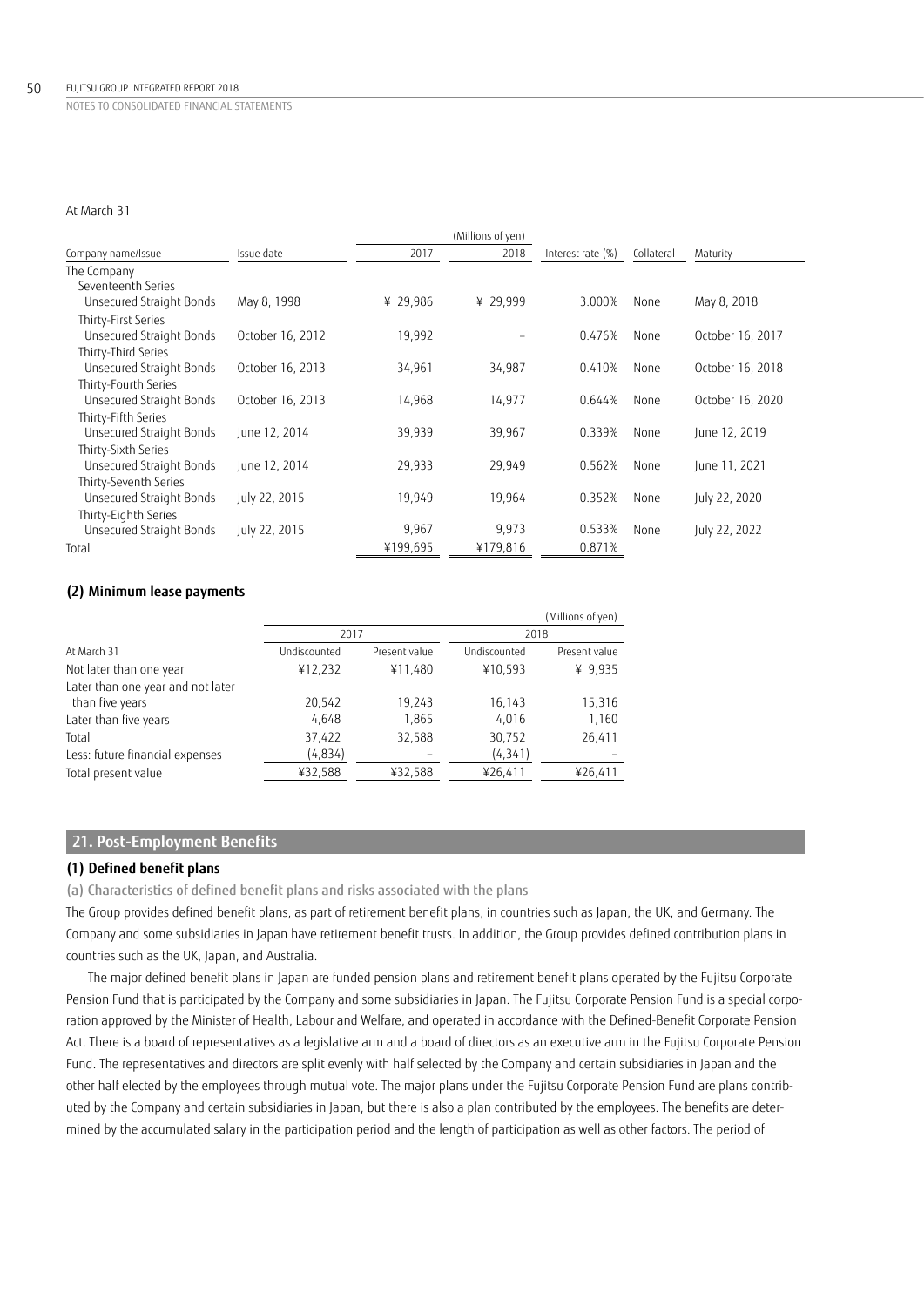## At March 31

|                          |                  |          | (Millions of yen) |                   |            |                  |
|--------------------------|------------------|----------|-------------------|-------------------|------------|------------------|
| Company name/Issue       | Issue date       | 2017     | 2018              | Interest rate (%) | Collateral | Maturity         |
| The Company              |                  |          |                   |                   |            |                  |
| Seventeenth Series       |                  |          |                   |                   |            |                  |
| Unsecured Straight Bonds | May 8, 1998      | ¥ 29,986 | ¥ 29,999          | 3.000%            | None       | May 8, 2018      |
| Thirty-First Series      |                  |          |                   |                   |            |                  |
| Unsecured Straight Bonds | October 16, 2012 | 19,992   |                   | 0.476%            | None       | October 16, 2017 |
| Thirty-Third Series      |                  |          |                   |                   |            |                  |
| Unsecured Straight Bonds | October 16, 2013 | 34,961   | 34,987            | 0.410%            | None       | October 16, 2018 |
| Thirty-Fourth Series     |                  |          |                   |                   |            |                  |
| Unsecured Straight Bonds | October 16, 2013 | 14,968   | 14,977            | 0.644%            | None       | October 16, 2020 |
| Thirty-Fifth Series      |                  |          |                   |                   |            |                  |
| Unsecured Straight Bonds | lune 12, 2014    | 39,939   | 39,967            | 0.339%            | None       | June 12, 2019    |
| Thirty-Sixth Series      |                  |          |                   |                   |            |                  |
| Unsecured Straight Bonds | June 12, 2014    | 29,933   | 29,949            | 0.562%            | None       | June 11, 2021    |
| Thirty-Seventh Series    |                  |          |                   |                   |            |                  |
| Unsecured Straight Bonds | July 22, 2015    | 19,949   | 19,964            | 0.352%            | None       | July 22, 2020    |
| Thirty-Eighth Series     |                  |          |                   |                   |            |                  |
| Unsecured Straight Bonds | July 22, 2015    | 9,967    | 9,973             | 0.533%            | None       | July 22, 2022    |
| Total                    |                  | ¥199,695 | ¥179,816          | 0.871%            |            |                  |
|                          |                  |          |                   |                   |            |                  |

## **(2) Minimum lease payments**

|                                                      |              |               |              | (Millions of yen) |
|------------------------------------------------------|--------------|---------------|--------------|-------------------|
|                                                      | 2017         |               | 2018         |                   |
| At March 31                                          | Undiscounted | Present value | Undiscounted | Present value     |
| Not later than one year                              | ¥12,232      | ¥11,480       | ¥10,593      | ¥ 9,935           |
| Later than one year and not later<br>than five years | 20,542       | 19,243        | 16,143       | 15,316            |
| Later than five years                                | 4,648        | 1,865         | 4,016        | 1,160             |
| Total                                                | 37,422       | 32,588        | 30,752       | 26,411            |
| Less: future financial expenses                      | (4,834)      |               | (4, 341)     |                   |
| Total present value                                  | ¥32,588      | ¥32,588       | ¥26,411      | ¥26,411           |

## **21. Post-Employment Benefits**

## **(1) Defined benefit plans**

(a) Characteristics of defined benefit plans and risks associated with the plans

The Group provides defined benefit plans, as part of retirement benefit plans, in countries such as Japan, the UK, and Germany. The Company and some subsidiaries in Japan have retirement benefit trusts. In addition, the Group provides defined contribution plans in countries such as the UK, Japan, and Australia.

The major defined benefit plans in Japan are funded pension plans and retirement benefit plans operated by the Fujitsu Corporate Pension Fund that is participated by the Company and some subsidiaries in Japan. The Fujitsu Corporate Pension Fund is a special corporation approved by the Minister of Health, Labour and Welfare, and operated in accordance with the Defined-Benefit Corporate Pension Act. There is a board of representatives as a legislative arm and a board of directors as an executive arm in the Fujitsu Corporate Pension Fund. The representatives and directors are split evenly with half selected by the Company and certain subsidiaries in Japan and the other half elected by the employees through mutual vote. The major plans under the Fujitsu Corporate Pension Fund are plans contributed by the Company and certain subsidiaries in Japan, but there is also a plan contributed by the employees. The benefits are determined by the accumulated salary in the participation period and the length of participation as well as other factors. The period of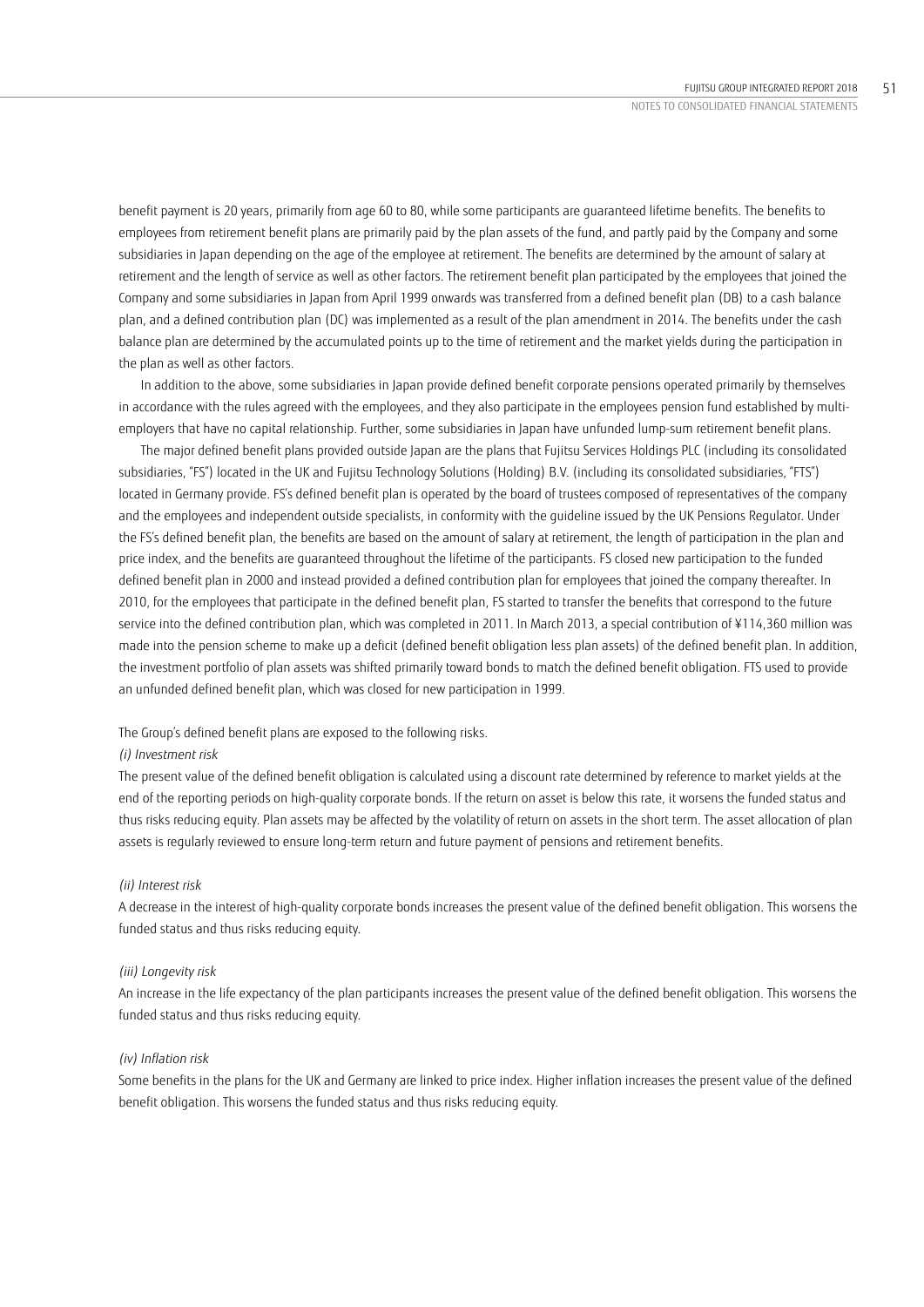benefit payment is 20 years, primarily from age 60 to 80, while some participants are guaranteed lifetime benefits. The benefits to employees from retirement benefit plans are primarily paid by the plan assets of the fund, and partly paid by the Company and some subsidiaries in Japan depending on the age of the employee at retirement. The benefits are determined by the amount of salary at retirement and the length of service as well as other factors. The retirement benefit plan participated by the employees that joined the Company and some subsidiaries in Japan from April 1999 onwards was transferred from a defined benefit plan (DB) to a cash balance plan, and a defined contribution plan (DC) was implemented as a result of the plan amendment in 2014. The benefits under the cash balance plan are determined by the accumulated points up to the time of retirement and the market yields during the participation in the plan as well as other factors.

In addition to the above, some subsidiaries in Japan provide defined benefit corporate pensions operated primarily by themselves in accordance with the rules agreed with the employees, and they also participate in the employees pension fund established by multiemployers that have no capital relationship. Further, some subsidiaries in Japan have unfunded lump-sum retirement benefit plans.

The major defined benefit plans provided outside Japan are the plans that Fujitsu Services Holdings PLC (including its consolidated subsidiaries, "FS") located in the UK and Fujitsu Technology Solutions (Holding) B.V. (including its consolidated subsidiaries, "FTS") located in Germany provide. FS's defined benefit plan is operated by the board of trustees composed of representatives of the company and the employees and independent outside specialists, in conformity with the guideline issued by the UK Pensions Regulator. Under the FS's defined benefit plan, the benefits are based on the amount of salary at retirement, the length of participation in the plan and price index, and the benefits are guaranteed throughout the lifetime of the participants. FS closed new participation to the funded defined benefit plan in 2000 and instead provided a defined contribution plan for employees that joined the company thereafter. In 2010, for the employees that participate in the defined benefit plan, FS started to transfer the benefits that correspond to the future service into the defined contribution plan, which was completed in 2011. In March 2013, a special contribution of ¥114,360 million was made into the pension scheme to make up a deficit (defined benefit obligation less plan assets) of the defined benefit plan. In addition, the investment portfolio of plan assets was shifted primarily toward bonds to match the defined benefit obligation. FTS used to provide an unfunded defined benefit plan, which was closed for new participation in 1999.

## The Group's defined benefit plans are exposed to the following risks.

### *(i) Investment risk*

The present value of the defined benefit obligation is calculated using a discount rate determined by reference to market yields at the end of the reporting periods on high-quality corporate bonds. If the return on asset is below this rate, it worsens the funded status and thus risks reducing equity. Plan assets may be affected by the volatility of return on assets in the short term. The asset allocation of plan assets is regularly reviewed to ensure long-term return and future payment of pensions and retirement benefits.

## *(ii) Interest risk*

A decrease in the interest of high-quality corporate bonds increases the present value of the defined benefit obligation. This worsens the funded status and thus risks reducing equity.

### *(iii) Longevity risk*

An increase in the life expectancy of the plan participants increases the present value of the defined benefit obligation. This worsens the funded status and thus risks reducing equity.

## *(iv) Inflation risk*

Some benefits in the plans for the UK and Germany are linked to price index. Higher inflation increases the present value of the defined benefit obligation. This worsens the funded status and thus risks reducing equity.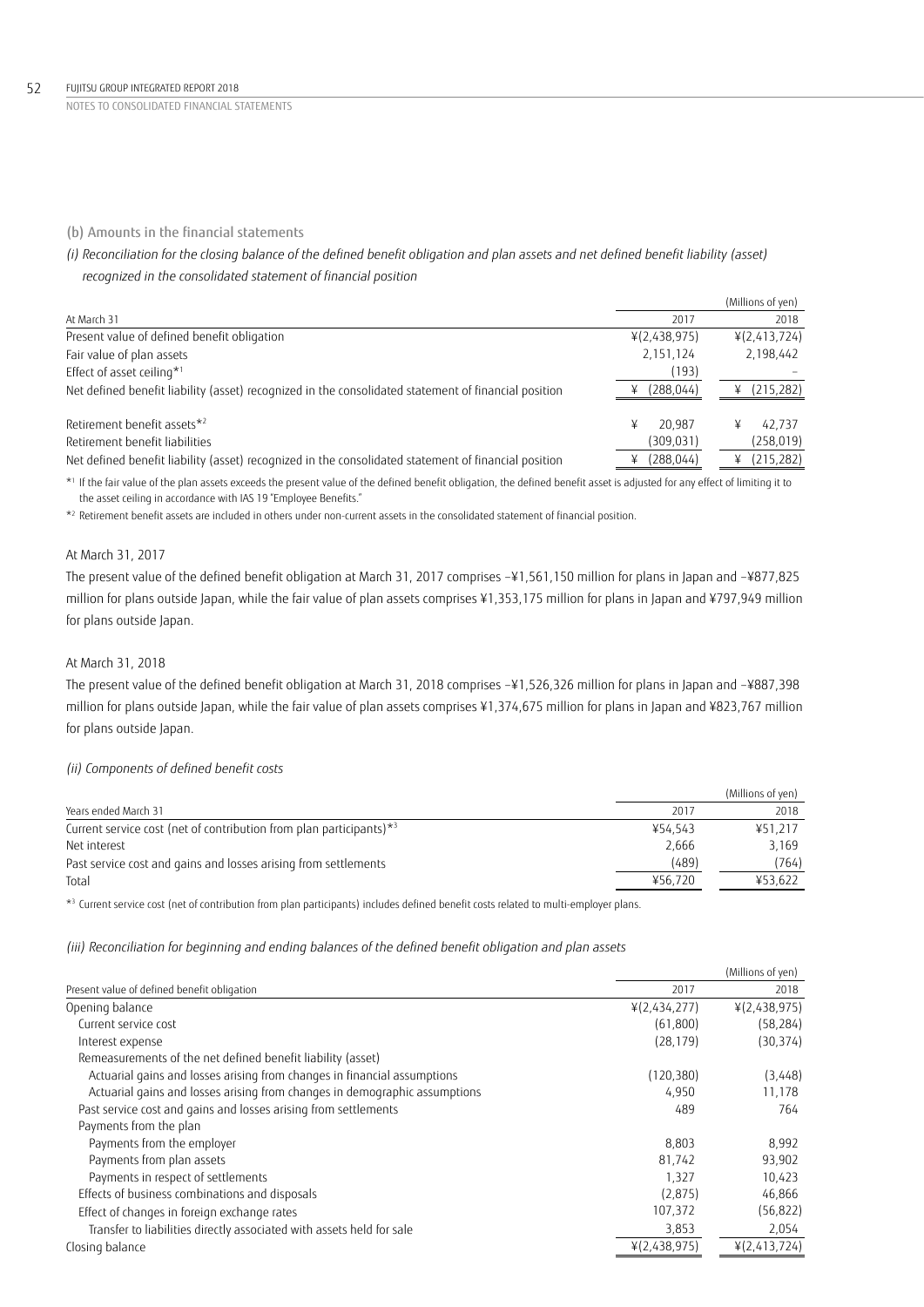### 52 FUJITSU GROUP INTEGRATED REPORT 2018

NOTES TO CONSOLIDATED FINANCIAL STATEMENTS

## (b) Amounts in the financial statements

# *(i) Reconciliation for the closing balance of the defined benefit obligation and plan assets and net defined benefit liability (asset) recognized in the consolidated statement of financial position*

|                                                                                                      |              | (Millions of yen) |
|------------------------------------------------------------------------------------------------------|--------------|-------------------|
| At March 31                                                                                          | 2017         | 2018              |
| Present value of defined benefit obligation                                                          | ¥(2,438,975) | ¥(2,413,724)      |
| Fair value of plan assets                                                                            | 2,151,124    | 2,198,442         |
| Effect of asset ceiling*1                                                                            | (193)        |                   |
| Net defined benefit liability (asset) recognized in the consolidated statement of financial position | (288,044)    | (215, 282)        |
| Retirement benefit assets*2                                                                          | 20.987<br>¥  | 42.737            |
| Retirement benefit liabilities                                                                       | (309, 031)   | (258, 019)        |
| Net defined benefit liability (asset) recognized in the consolidated statement of financial position | (288, 044)   | (215, 282)        |

\*1 If the fair value of the plan assets exceeds the present value of the defined benefit obligation, the defined benefit asset is adjusted for any effect of limiting it to the asset ceiling in accordance with IAS 19 "Employee Benefits."

 $*$  Retirement benefit assets are included in others under non-current assets in the consolidated statement of financial position.

## At March 31, 2017

The present value of the defined benefit obligation at March 31, 2017 comprises –¥1,561,150 million for plans in Japan and –¥877,825 million for plans outside Japan, while the fair value of plan assets comprises ¥1,353,175 million for plans in Japan and ¥797,949 million for plans outside Japan.

## At March 31, 2018

The present value of the defined benefit obligation at March 31, 2018 comprises –¥1,526,326 million for plans in Japan and –¥887,398 million for plans outside Japan, while the fair value of plan assets comprises ¥1,374,675 million for plans in Japan and ¥823,767 million for plans outside Japan.

### *(ii) Components of defined benefit costs*

|                                                                                    |         | (Millions of yen) |
|------------------------------------------------------------------------------------|---------|-------------------|
| Years ended March 31                                                               | 2017    | 2018              |
| Current service cost (net of contribution from plan participants) $*$ <sup>3</sup> | ¥54.543 | ¥51.217           |
| Net interest                                                                       | 2.666   | 3.169             |
| Past service cost and gains and losses arising from settlements                    | (489)   | (764)             |
| Total                                                                              | ¥56.720 | ¥53.622           |

\*<sup>3</sup> Current service cost (net of contribution from plan participants) includes defined benefit costs related to multi-employer plans.

*(iii) Reconciliation for beginning and ending balances of the defined benefit obligation and plan assets*

|                                                                            |              | (Millions of yen) |
|----------------------------------------------------------------------------|--------------|-------------------|
| Present value of defined benefit obligation                                | 2017         | 2018              |
| Opening balance                                                            | ¥(2,434,277) | ¥(2,438,975)      |
| Current service cost                                                       | (61,800)     | (58, 284)         |
| Interest expense                                                           | (28, 179)    | (30, 374)         |
| Remeasurements of the net defined benefit liability (asset)                |              |                   |
| Actuarial gains and losses arising from changes in financial assumptions   | (120, 380)   | (3,448)           |
| Actuarial gains and losses arising from changes in demographic assumptions | 4,950        | 11,178            |
| Past service cost and gains and losses arising from settlements            | 489          | 764               |
| Payments from the plan                                                     |              |                   |
| Payments from the employer                                                 | 8,803        | 8,992             |
| Payments from plan assets                                                  | 81,742       | 93,902            |
| Payments in respect of settlements                                         | 1,327        | 10,423            |
| Effects of business combinations and disposals                             | (2,875)      | 46,866            |
| Effect of changes in foreign exchange rates                                | 107,372      | (56, 822)         |
| Transfer to liabilities directly associated with assets held for sale      | 3,853        | 2,054             |
| Closing balance                                                            | ¥(2,438,975) | 4(2,413,724)      |
|                                                                            |              |                   |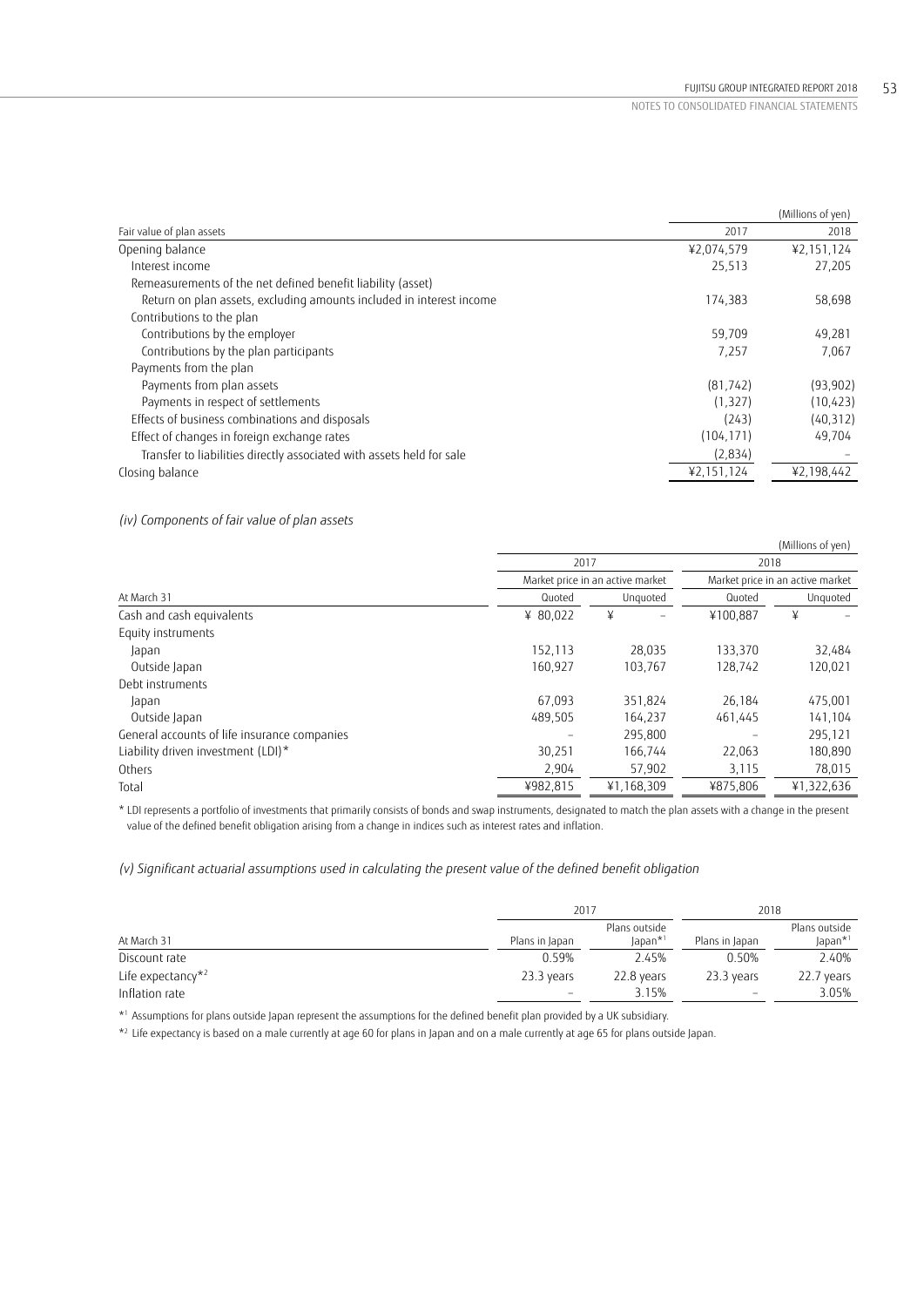|                                                                       |            | (Millions of yen) |
|-----------------------------------------------------------------------|------------|-------------------|
| Fair value of plan assets                                             | 2017       | 2018              |
| Opening balance                                                       | ¥2,074,579 | ¥2,151,124        |
| Interest income                                                       | 25.513     | 27,205            |
| Remeasurements of the net defined benefit liability (asset)           |            |                   |
| Return on plan assets, excluding amounts included in interest income  | 174,383    | 58,698            |
| Contributions to the plan                                             |            |                   |
| Contributions by the employer                                         | 59,709     | 49,281            |
| Contributions by the plan participants                                | 7,257      | 7,067             |
| Payments from the plan                                                |            |                   |
| Payments from plan assets                                             | (81, 742)  | (93, 902)         |
| Payments in respect of settlements                                    | (1, 327)   | (10, 423)         |
| Effects of business combinations and disposals                        | (243)      | (40, 312)         |
| Effect of changes in foreign exchange rates                           | (104, 171) | 49,704            |
| Transfer to liabilities directly associated with assets held for sale | (2,834)    |                   |
| Closing balance                                                       | ¥2,151,124 | ¥2,198,442        |

## *(iv) Components of fair value of plan assets*

|                                              |          |                                  |          | (Millions of yen)                        |  |
|----------------------------------------------|----------|----------------------------------|----------|------------------------------------------|--|
|                                              | 2017     |                                  |          | 2018<br>Market price in an active market |  |
|                                              |          | Market price in an active market |          |                                          |  |
| At March 31                                  | Quoted   | Unguoted                         | Quoted   | Unguoted                                 |  |
| Cash and cash equivalents                    | ¥ 80.022 | ¥                                | ¥100.887 | ¥                                        |  |
| Equity instruments                           |          |                                  |          |                                          |  |
| Japan                                        | 152,113  | 28,035                           | 133,370  | 32,484                                   |  |
| Outside Japan                                | 160,927  | 103,767                          | 128,742  | 120,021                                  |  |
| Debt instruments                             |          |                                  |          |                                          |  |
| Japan                                        | 67.093   | 351.824                          | 26.184   | 475,001                                  |  |
| Outside Japan                                | 489.505  | 164,237                          | 461,445  | 141,104                                  |  |
| General accounts of life insurance companies |          | 295,800                          |          | 295,121                                  |  |
| Liability driven investment (LDI)*           | 30,251   | 166,744                          | 22,063   | 180,890                                  |  |
| Others                                       | 2,904    | 57,902                           | 3,115    | 78,015                                   |  |
| Total                                        | ¥982,815 | ¥1,168,309                       | ¥875,806 | ¥1,322,636                               |  |

\* LDI represents a portfolio of investments that primarily consists of bonds and swap instruments, designated to match the plan assets with a change in the present value of the defined benefit obligation arising from a change in indices such as interest rates and inflation.

## *(v) Significant actuarial assumptions used in calculating the present value of the defined benefit obligation*

|                               | 2017                     |                                            | 2018                     |                                      |
|-------------------------------|--------------------------|--------------------------------------------|--------------------------|--------------------------------------|
| At March 31                   | Plans in Japan           | Plans outside<br>$l$ apan $*$ <sup>1</sup> | Plans in Japan           | Plans outside<br>Japan* <sup>1</sup> |
| Discount rate                 | 0.59%                    | 2.45%                                      | 0.50%                    | 2.40%                                |
| Life expectancy* <sup>2</sup> | 23.3 years               | 22.8 years                                 | 23.3 years               | 22.7 years                           |
| Inflation rate                | $\overline{\phantom{m}}$ | 3.15%                                      | $\overline{\phantom{m}}$ | 3.05%                                |

\*1 Assumptions for plans outside Japan represent the assumptions for the defined benefit plan provided by a UK subsidiary.

\*2 Life expectancy is based on a male currently at age 60 for plans in Japan and on a male currently at age 65 for plans outside Japan.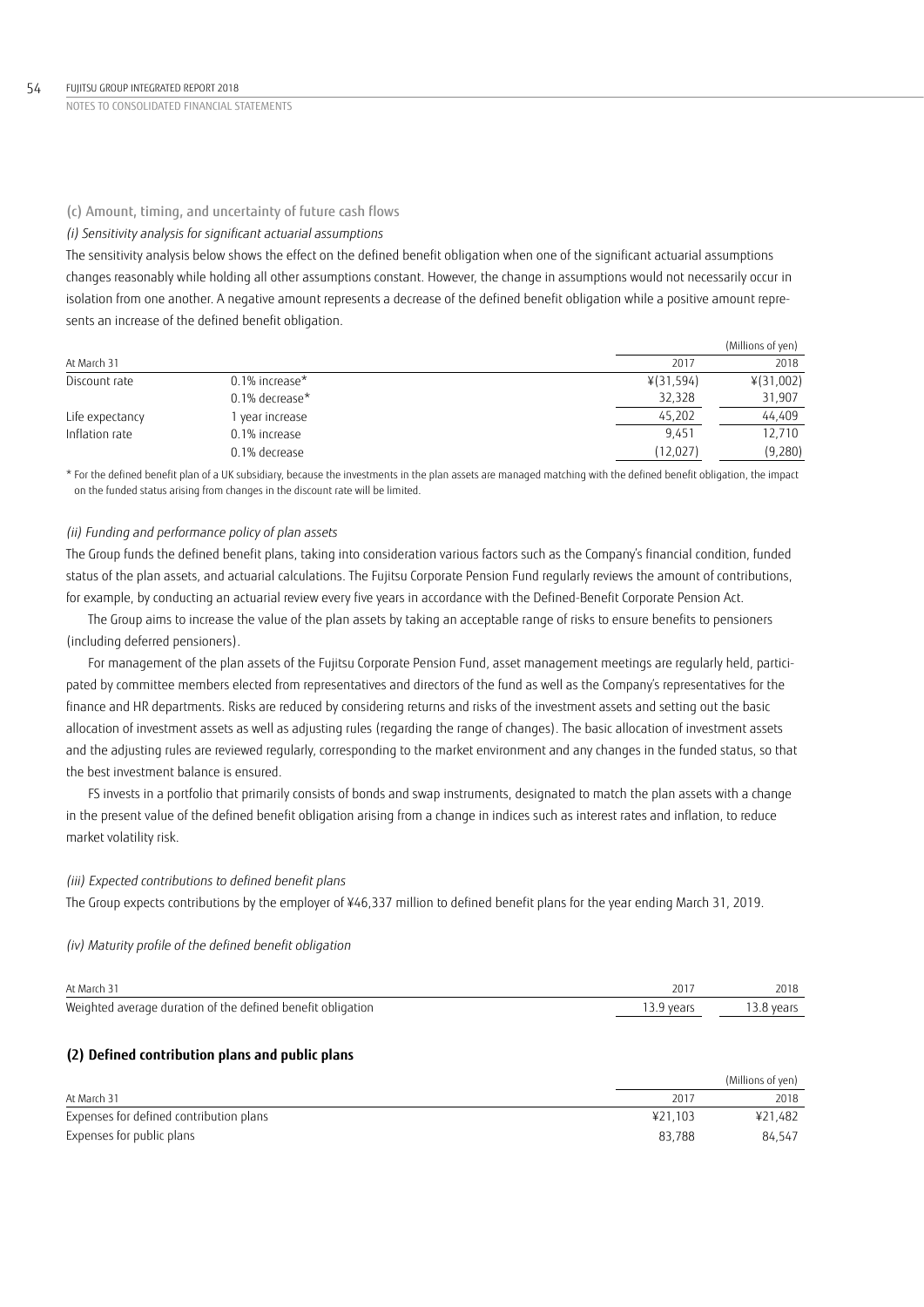### (c) Amount, timing, and uncertainty of future cash flows

### *(i) Sensitivity analysis for significant actuarial assumptions*

The sensitivity analysis below shows the effect on the defined benefit obligation when one of the significant actuarial assumptions changes reasonably while holding all other assumptions constant. However, the change in assumptions would not necessarily occur in isolation from one another. A negative amount represents a decrease of the defined benefit obligation while a positive amount represents an increase of the defined benefit obligation.

|                 |                   |           | (Millions of yen) |
|-----------------|-------------------|-----------|-------------------|
| At March 31     |                   | 2017      | 2018              |
| Discount rate   | $0.1\%$ increase* | ¥(31,594) | ¥(31,002)         |
|                 | $0.1\%$ decrease* | 32,328    | 31,907            |
| Life expectancy | year increase     | 45,202    | 44.409            |
| Inflation rate  | 0.1% increase     | 9.451     | 12,710            |
|                 | 0.1% decrease     | (12, 027) | (9,280)           |

\* For the defined benefit plan of a UK subsidiary, because the investments in the plan assets are managed matching with the defined benefit obligation, the impact on the funded status arising from changes in the discount rate will be limited.

## *(ii) Funding and performance policy of plan assets*

The Group funds the defined benefit plans, taking into consideration various factors such as the Company's financial condition, funded status of the plan assets, and actuarial calculations. The Fujitsu Corporate Pension Fund regularly reviews the amount of contributions, for example, by conducting an actuarial review every five years in accordance with the Defined-Benefit Corporate Pension Act.

The Group aims to increase the value of the plan assets by taking an acceptable range of risks to ensure benefits to pensioners (including deferred pensioners).

For management of the plan assets of the Fujitsu Corporate Pension Fund, asset management meetings are regularly held, participated by committee members elected from representatives and directors of the fund as well as the Company's representatives for the finance and HR departments. Risks are reduced by considering returns and risks of the investment assets and setting out the basic allocation of investment assets as well as adjusting rules (regarding the range of changes). The basic allocation of investment assets and the adjusting rules are reviewed regularly, corresponding to the market environment and any changes in the funded status, so that the best investment balance is ensured.

FS invests in a portfolio that primarily consists of bonds and swap instruments, designated to match the plan assets with a change in the present value of the defined benefit obligation arising from a change in indices such as interest rates and inflation, to reduce market volatility risk.

### *(iii) Expected contributions to defined benefit plans*

The Group expects contributions by the employer of ¥46,337 million to defined benefit plans for the year ending March 31, 2019.

### *(iv) Maturity profile of the defined benefit obligation*

| At March 31                                                 | 201       | 2018       |
|-------------------------------------------------------------|-----------|------------|
| Weighted average duration of the defined benefit obligation | 3.9 vears | 13.8 vears |

## **(2) Defined contribution plans and public plans**

|                                         |         | (Millions of yen) |
|-----------------------------------------|---------|-------------------|
| At March 31                             | 2011    | 2018              |
| Expenses for defined contribution plans | ¥21.103 | ¥21,482           |
| Expenses for public plans               | 83.788  | 84.547            |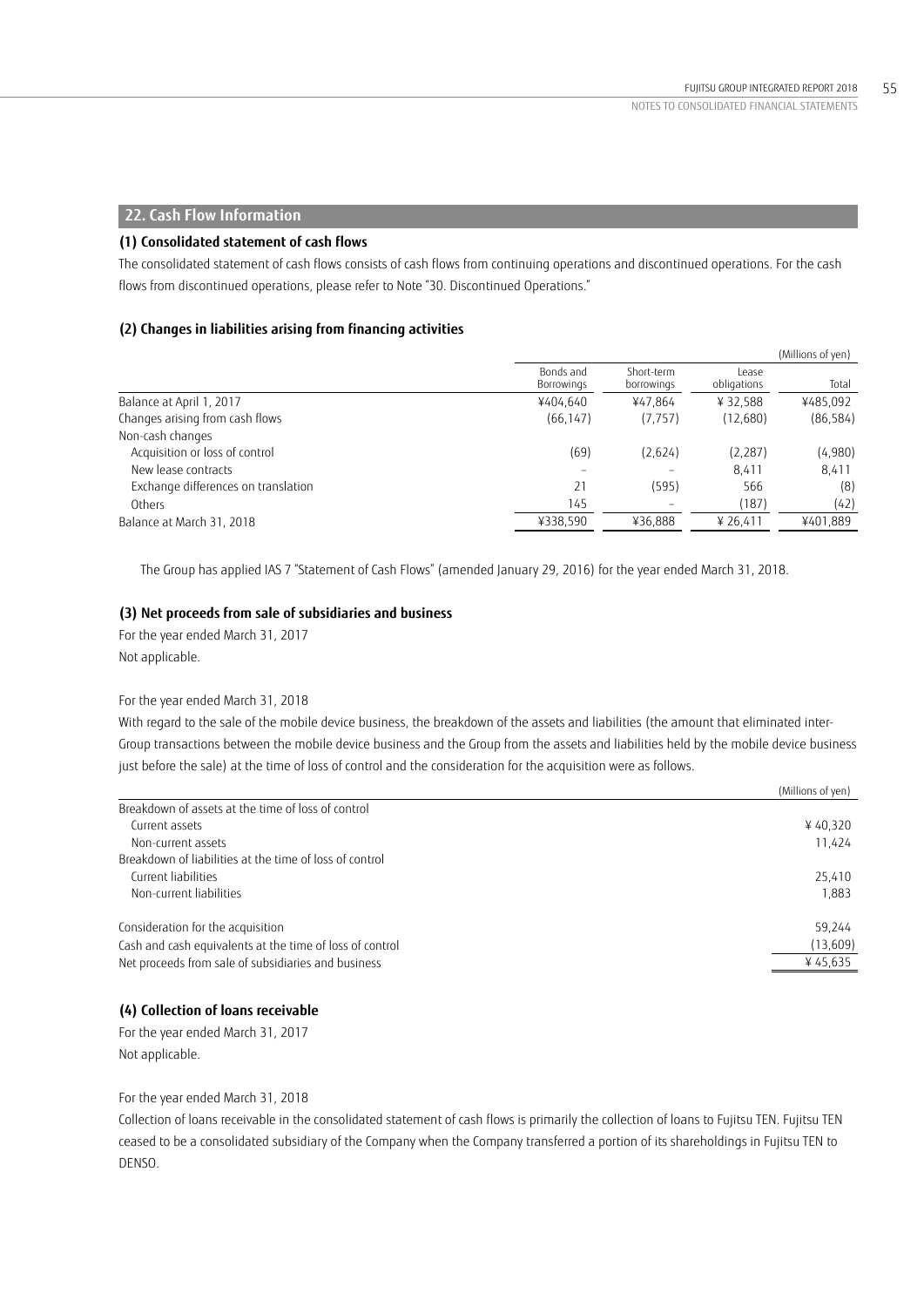## **22. Cash Flow Information**

## **(1) Consolidated statement of cash flows**

The consolidated statement of cash flows consists of cash flows from continuing operations and discontinued operations. For the cash flows from discontinued operations, please refer to Note "30. Discontinued Operations."

## **(2) Changes in liabilities arising from financing activities**

|                                     |                         |                          |                      | (Millions of yen) |
|-------------------------------------|-------------------------|--------------------------|----------------------|-------------------|
|                                     | Bonds and<br>Borrowings | Short-term<br>borrowings | Lease<br>obligations | Total             |
| Balance at April 1, 2017            | ¥404.640                | ¥47.864                  | ¥32.588              | ¥485,092          |
| Changes arising from cash flows     | (66, 147)               | (7, 757)                 | (12,680)             | (86, 584)         |
| Non-cash changes                    |                         |                          |                      |                   |
| Acquisition or loss of control      | (69)                    | (2,624)                  | (2, 287)             | (4,980)           |
| New lease contracts                 |                         |                          | 8.411                | 8.411             |
| Exchange differences on translation | 21                      | (595)                    | 566                  | (8)               |
| Others                              | 145                     |                          | (187)                | (42)              |
| Balance at March 31, 2018           | ¥338,590                | ¥36,888                  | ¥ 26,411             | ¥401,889          |
|                                     |                         |                          |                      |                   |

The Group has applied IAS 7 "Statement of Cash Flows" (amended January 29, 2016) for the year ended March 31, 2018.

## **(3) Net proceeds from sale of subsidiaries and business**

For the year ended March 31, 2017 Not applicable.

## For the year ended March 31, 2018

With regard to the sale of the mobile device business, the breakdown of the assets and liabilities (the amount that eliminated inter-Group transactions between the mobile device business and the Group from the assets and liabilities held by the mobile device business just before the sale) at the time of loss of control and the consideration for the acquisition were as follows.

| (Millions of yen)                                        |          |
|----------------------------------------------------------|----------|
| Breakdown of assets at the time of loss of control       |          |
| Current assets                                           | ¥40,320  |
| Non-current assets                                       | 11,424   |
| Breakdown of liabilities at the time of loss of control  |          |
| Current liabilities                                      | 25,410   |
| Non-current liabilities                                  | 1.883    |
| Consideration for the acquisition                        | 59.244   |
| Cash and cash equivalents at the time of loss of control | (13,609) |
| Net proceeds from sale of subsidiaries and business      | ¥45,635  |

## **(4) Collection of loans receivable**

For the year ended March 31, 2017 Not applicable.

For the year ended March 31, 2018

Collection of loans receivable in the consolidated statement of cash flows is primarily the collection of loans to Fujitsu TEN. Fujitsu TEN ceased to be a consolidated subsidiary of the Company when the Company transferred a portion of its shareholdings in Fujitsu TEN to DENSO.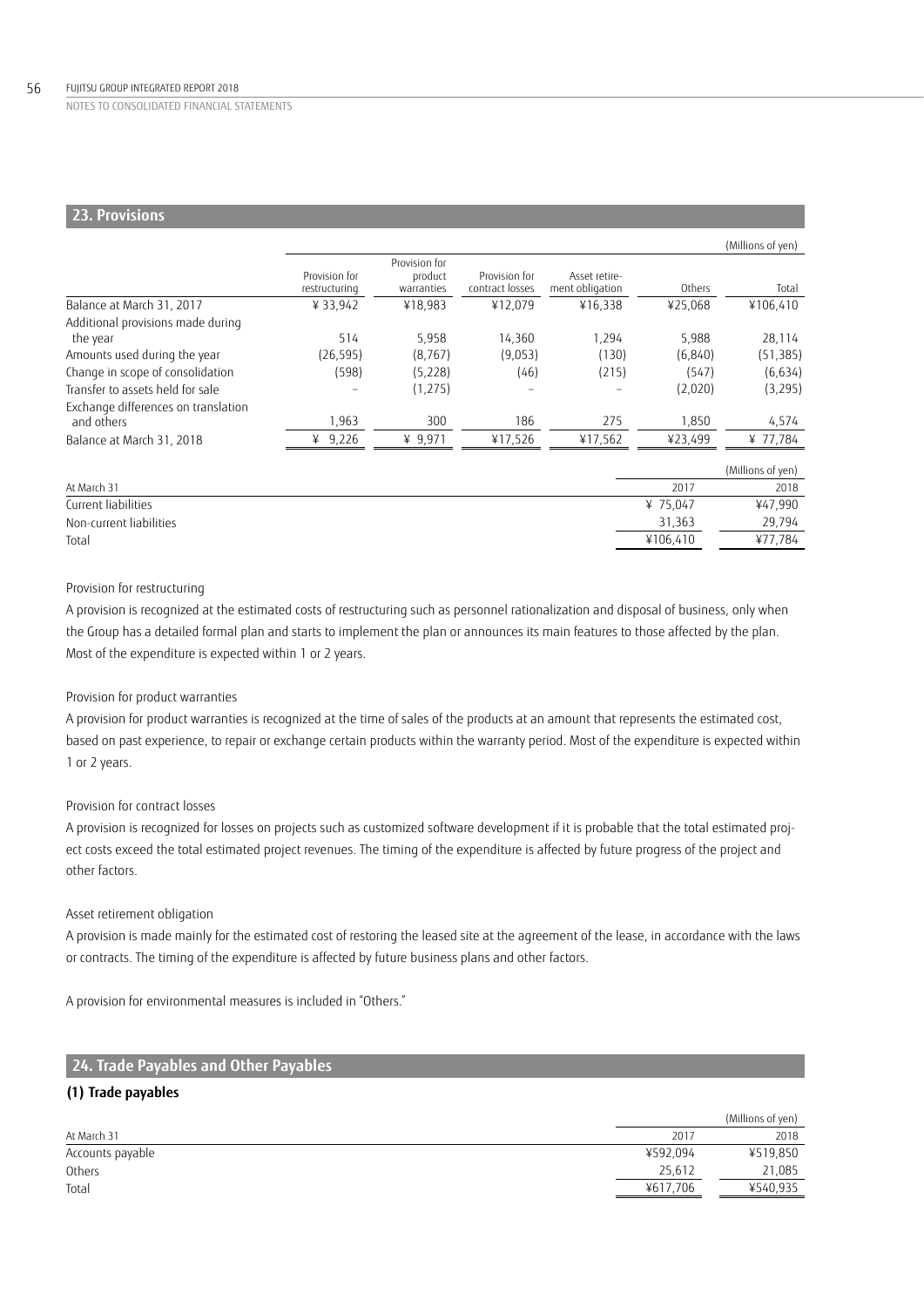### 56 FUJITSU GROUP INTEGRATED REPORT 2018

NOTES TO CONSOLIDATED FINANCIAL STATEMENTS

# **23. Provisions**

|                                                   |                                |                                        |                                  |                                  |          | (Millions of yen) |
|---------------------------------------------------|--------------------------------|----------------------------------------|----------------------------------|----------------------------------|----------|-------------------|
|                                                   | Provision for<br>restructuring | Provision for<br>product<br>warranties | Provision for<br>contract losses | Asset retire-<br>ment obligation | Others   | Total             |
| Balance at March 31, 2017                         | ¥33,942                        | ¥18,983                                | ¥12,079                          | ¥16,338                          | ¥25,068  | ¥106,410          |
| Additional provisions made during                 |                                |                                        |                                  |                                  |          |                   |
| the year                                          | 514                            | 5,958                                  | 14,360                           | 1,294                            | 5,988    | 28,114            |
| Amounts used during the year                      | (26, 595)                      | (8, 767)                               | (9.053)                          | (130)                            | (6,840)  | (51, 385)         |
| Change in scope of consolidation                  | (598)                          | (5,228)                                | (46)                             | (215)                            | (547)    | (6,634)           |
| Transfer to assets held for sale                  |                                | (1, 275)                               |                                  |                                  | (2,020)  | (3,295)           |
| Exchange differences on translation<br>and others | 1,963                          | 300                                    | 186                              | 275                              | 1,850    | 4,574             |
| Balance at March 31, 2018                         | ¥ $9,226$                      | ¥ $9,971$                              | ¥17,526                          | ¥17,562                          | ¥23,499  | ¥ 77,784          |
|                                                   |                                |                                        |                                  |                                  |          | (Millions of yen) |
| At March 31                                       |                                |                                        |                                  |                                  | 2017     | 2018              |
| Current liabilities                               |                                |                                        |                                  |                                  | ¥ 75,047 | ¥47,990           |
| Non-current liabilities                           |                                |                                        |                                  |                                  | 31,363   | 29,794            |
| Total                                             |                                |                                        |                                  |                                  | ¥106.410 | ¥77,784           |

## Provision for restructuring

A provision is recognized at the estimated costs of restructuring such as personnel rationalization and disposal of business, only when the Group has a detailed formal plan and starts to implement the plan or announces its main features to those affected by the plan. Most of the expenditure is expected within 1 or 2 years.

### Provision for product warranties

A provision for product warranties is recognized at the time of sales of the products at an amount that represents the estimated cost, based on past experience, to repair or exchange certain products within the warranty period. Most of the expenditure is expected within 1 or 2 years.

## Provision for contract losses

A provision is recognized for losses on projects such as customized software development if it is probable that the total estimated project costs exceed the total estimated project revenues. The timing of the expenditure is affected by future progress of the project and other factors.

### Asset retirement obligation

A provision is made mainly for the estimated cost of restoring the leased site at the agreement of the lease, in accordance with the laws or contracts. The timing of the expenditure is affected by future business plans and other factors.

A provision for environmental measures is included in "Others."

# **24. Trade Payables and Other Payables**

## **(1) Trade payables**

|                  |          | (Millions of yen) |
|------------------|----------|-------------------|
| At March 31      | 2017     | 2018              |
| Accounts payable | ¥592,094 | ¥519,850          |
| Others           | 25.612   | 21,085            |
| Total            | ¥617.706 | ¥540,935          |
|                  |          |                   |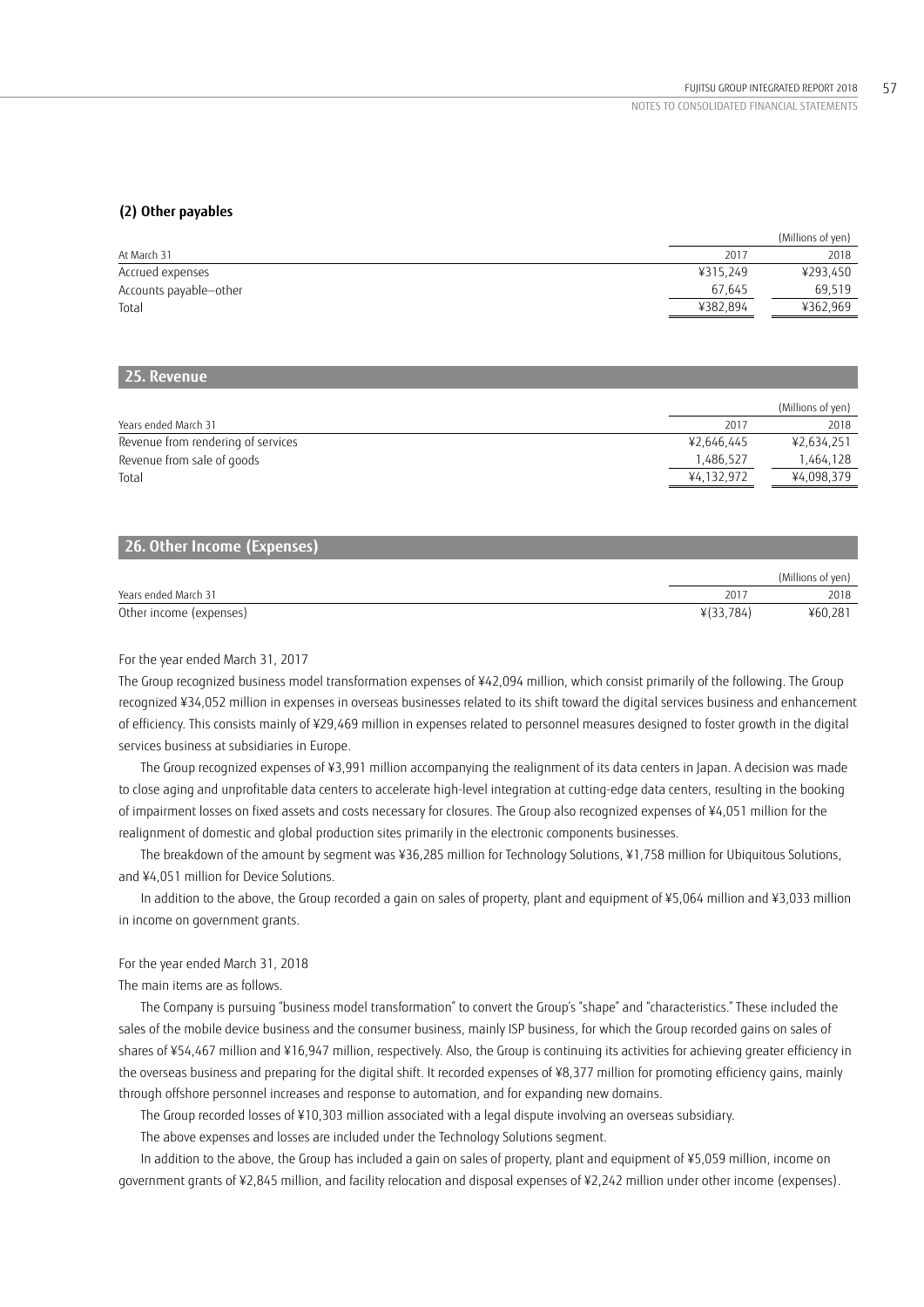## **(2) Other payables**

|                        |          | (Millions of yen) |
|------------------------|----------|-------------------|
| At March 31            | 2017     | 2018              |
| Accrued expenses       | ¥315.249 | ¥293,450          |
| Accounts payable-other | 67.645   | 69.519            |
| Total                  | ¥382,894 | ¥362,969          |
|                        |          |                   |

## **25. Revenue**

|                                    |            | (Millions of yen) |
|------------------------------------|------------|-------------------|
| Years ended March 31               | 2017       | 2018              |
| Revenue from rendering of services | ¥2.646.445 | ¥2,634,251        |
| Revenue from sale of goods         | 1.486.527  | 1.464.128         |
| Total                              | ¥4,132,972 | ¥4,098,379        |

## **26. Other Income (Expenses)**

|                         |           | (Millions of yen) |
|-------------------------|-----------|-------------------|
| Years ended March 31    | 201       | 2018              |
| Other income (expenses) | ¥(33,784) | ¥60,281           |

### For the year ended March 31, 2017

The Group recognized business model transformation expenses of ¥42,094 million, which consist primarily of the following. The Group recognized ¥34,052 million in expenses in overseas businesses related to its shift toward the digital services business and enhancement of efficiency. This consists mainly of ¥29,469 million in expenses related to personnel measures designed to foster growth in the digital services business at subsidiaries in Europe.

The Group recognized expenses of ¥3,991 million accompanying the realignment of its data centers in Japan. A decision was made to close aging and unprofitable data centers to accelerate high-level integration at cutting-edge data centers, resulting in the booking of impairment losses on fixed assets and costs necessary for closures. The Group also recognized expenses of ¥4,051 million for the realignment of domestic and global production sites primarily in the electronic components businesses.

The breakdown of the amount by segment was ¥36,285 million for Technology Solutions, ¥1,758 million for Ubiquitous Solutions, and ¥4,051 million for Device Solutions.

In addition to the above, the Group recorded a gain on sales of property, plant and equipment of ¥5,064 million and ¥3,033 million in income on government grants.

### For the year ended March 31, 2018

The main items are as follows.

The Company is pursuing "business model transformation" to convert the Group's "shape" and "characteristics." These included the sales of the mobile device business and the consumer business, mainly ISP business, for which the Group recorded gains on sales of shares of ¥54,467 million and ¥16,947 million, respectively. Also, the Group is continuing its activities for achieving greater efficiency in the overseas business and preparing for the digital shift. It recorded expenses of ¥8,377 million for promoting efficiency gains, mainly through offshore personnel increases and response to automation, and for expanding new domains.

The Group recorded losses of ¥10,303 million associated with a legal dispute involving an overseas subsidiary.

The above expenses and losses are included under the Technology Solutions segment.

In addition to the above, the Group has included a gain on sales of property, plant and equipment of ¥5,059 million, income on government grants of ¥2,845 million, and facility relocation and disposal expenses of ¥2,242 million under other income (expenses).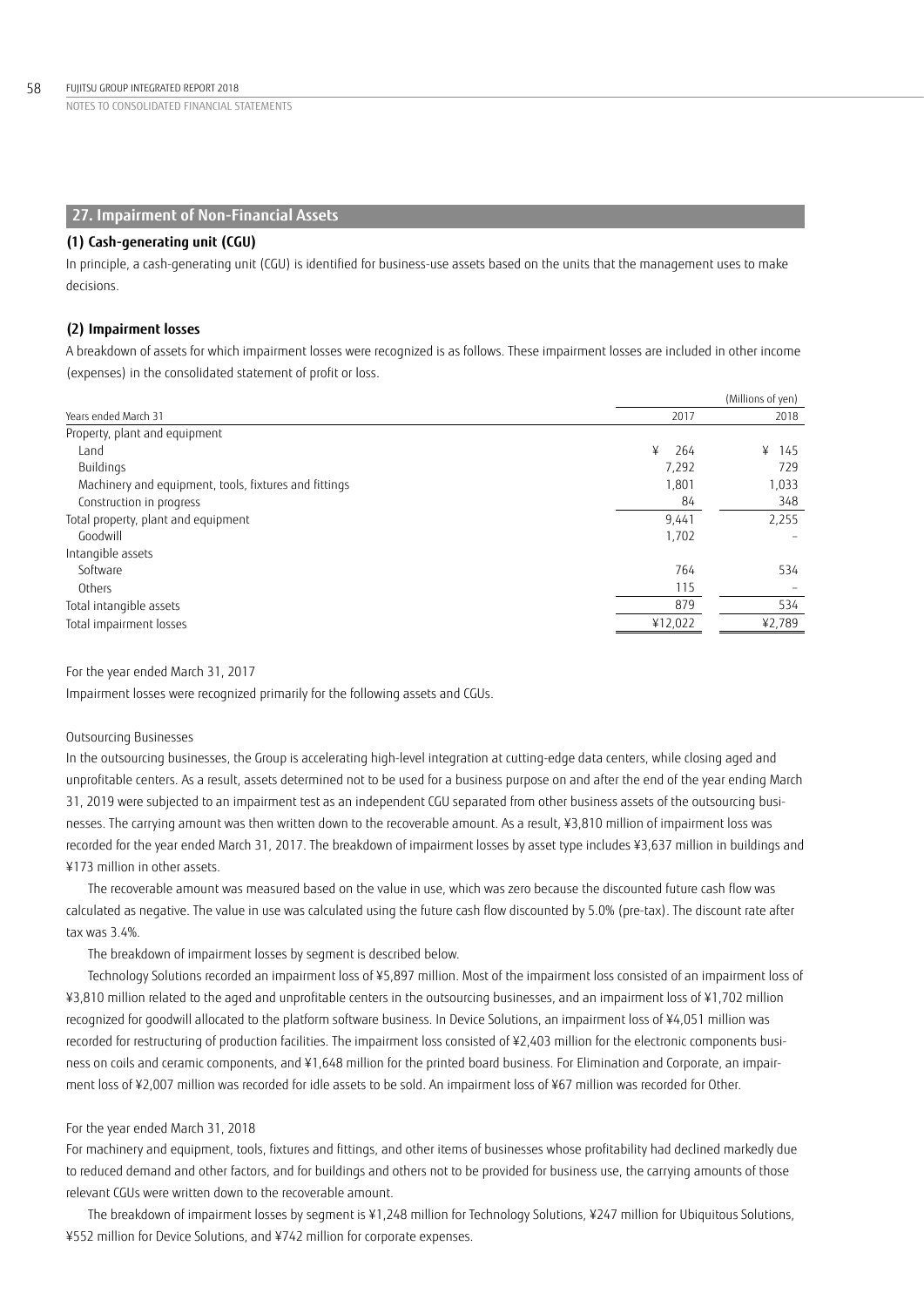## **27. Impairment of Non-Financial Assets**

### **(1) Cash-generating unit (CGU)**

In principle, a cash-generating unit (CGU) is identified for business-use assets based on the units that the management uses to make decisions.

## **(2) Impairment losses**

A breakdown of assets for which impairment losses were recognized is as follows. These impairment losses are included in other income (expenses) in the consolidated statement of profit or loss.

|                                                       |          | (Millions of yen) |
|-------------------------------------------------------|----------|-------------------|
| Years ended March 31                                  | 2017     | 2018              |
| Property, plant and equipment                         |          |                   |
| Land                                                  | ¥<br>264 | ¥<br>145          |
| Buildings                                             | 7,292    | 729               |
| Machinery and equipment, tools, fixtures and fittings | 1,801    | 1,033             |
| Construction in progress                              | 84       | 348               |
| Total property, plant and equipment                   | 9,441    | 2,255             |
| Goodwill                                              | 1,702    |                   |
| Intangible assets                                     |          |                   |
| Software                                              | 764      | 534               |
| Others                                                | 115      |                   |
| Total intangible assets                               | 879      | 534               |
| Total impairment losses                               | ¥12,022  | ¥2,789            |

### For the year ended March 31, 2017

Impairment losses were recognized primarily for the following assets and CGUs.

### Outsourcing Businesses

In the outsourcing businesses, the Group is accelerating high-level integration at cutting-edge data centers, while closing aged and unprofitable centers. As a result, assets determined not to be used for a business purpose on and after the end of the year ending March 31, 2019 were subjected to an impairment test as an independent CGU separated from other business assets of the outsourcing businesses. The carrying amount was then written down to the recoverable amount. As a result, ¥3,810 million of impairment loss was recorded for the year ended March 31, 2017. The breakdown of impairment losses by asset type includes ¥3,637 million in buildings and ¥173 million in other assets.

The recoverable amount was measured based on the value in use, which was zero because the discounted future cash flow was calculated as negative. The value in use was calculated using the future cash flow discounted by 5.0% (pre-tax). The discount rate after tax was 3.4%.

The breakdown of impairment losses by segment is described below.

Technology Solutions recorded an impairment loss of ¥5,897 million. Most of the impairment loss consisted of an impairment loss of ¥3,810 million related to the aged and unprofitable centers in the outsourcing businesses, and an impairment loss of ¥1,702 million recognized for goodwill allocated to the platform software business. In Device Solutions, an impairment loss of ¥4,051 million was recorded for restructuring of production facilities. The impairment loss consisted of ¥2,403 million for the electronic components business on coils and ceramic components, and ¥1,648 million for the printed board business. For Elimination and Corporate, an impairment loss of ¥2,007 million was recorded for idle assets to be sold. An impairment loss of ¥67 million was recorded for Other.

### For the year ended March 31, 2018

For machinery and equipment, tools, fixtures and fittings, and other items of businesses whose profitability had declined markedly due to reduced demand and other factors, and for buildings and others not to be provided for business use, the carrying amounts of those relevant CGUs were written down to the recoverable amount.

The breakdown of impairment losses by segment is ¥1,248 million for Technology Solutions, ¥247 million for Ubiquitous Solutions, ¥552 million for Device Solutions, and ¥742 million for corporate expenses.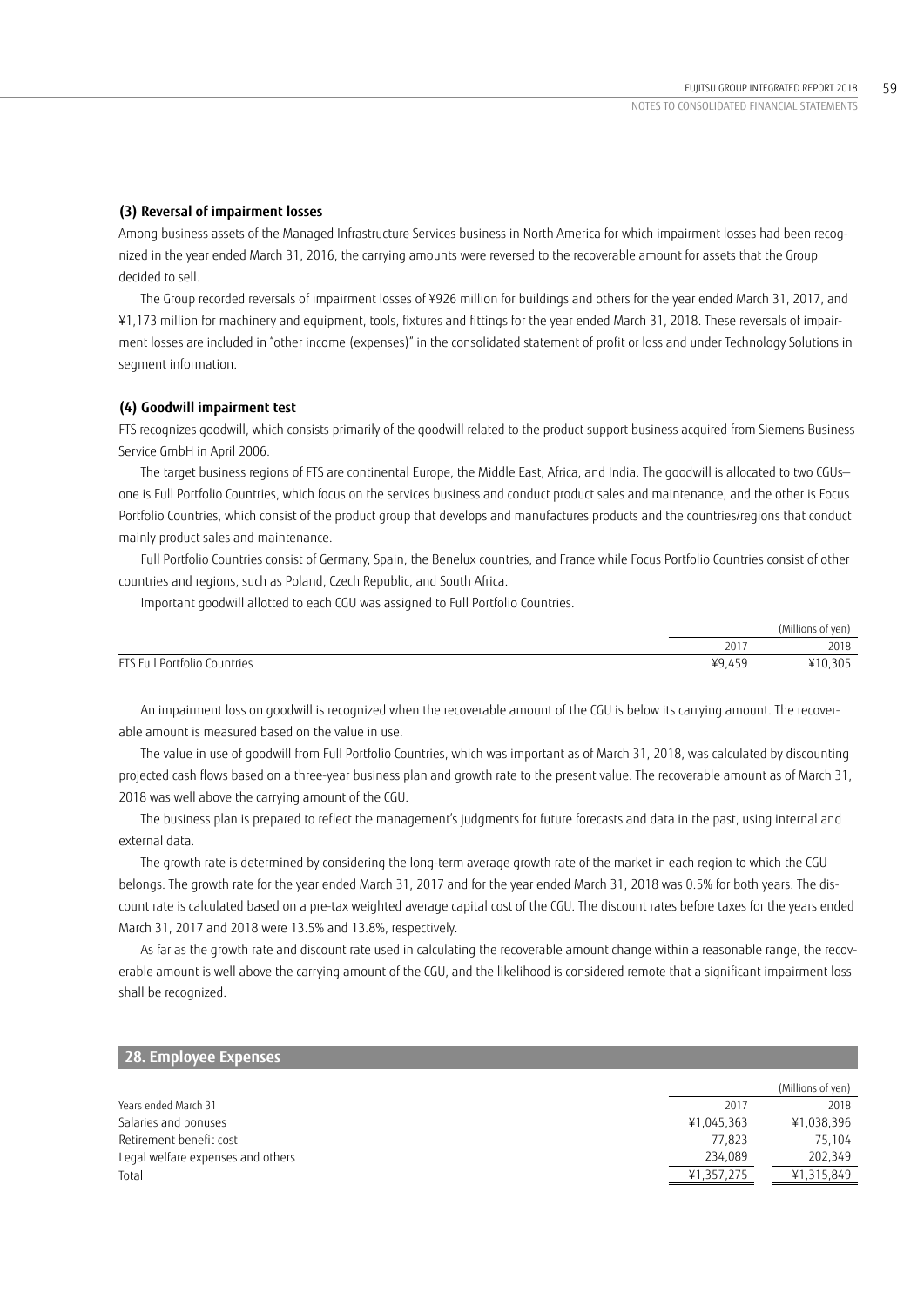## **(3) Reversal of impairment losses**

Among business assets of the Managed Infrastructure Services business in North America for which impairment losses had been recognized in the year ended March 31, 2016, the carrying amounts were reversed to the recoverable amount for assets that the Group decided to sell.

The Group recorded reversals of impairment losses of ¥926 million for buildings and others for the year ended March 31, 2017, and ¥1,173 million for machinery and equipment, tools, fixtures and fittings for the year ended March 31, 2018. These reversals of impairment losses are included in "other income (expenses)" in the consolidated statement of profit or loss and under Technology Solutions in segment information.

## **(4) Goodwill impairment test**

FTS recognizes goodwill, which consists primarily of the goodwill related to the product support business acquired from Siemens Business Service GmbH in April 2006.

The target business regions of FTS are continental Europe, the Middle East, Africa, and India. The goodwill is allocated to two CGUs one is Full Portfolio Countries, which focus on the services business and conduct product sales and maintenance, and the other is Focus Portfolio Countries, which consist of the product group that develops and manufactures products and the countries/regions that conduct mainly product sales and maintenance.

Full Portfolio Countries consist of Germany, Spain, the Benelux countries, and France while Focus Portfolio Countries consist of other countries and regions, such as Poland, Czech Republic, and South Africa.

Important goodwill allotted to each CGU was assigned to Full Portfolio Countries.

|                              |                   | (Millions of yen) |
|------------------------------|-------------------|-------------------|
|                              | 2017              | 2018              |
| FTS Full Portfolio Countries | $VQ$ $\Lambda$ 50 | 305               |

An impairment loss on goodwill is recognized when the recoverable amount of the CGU is below its carrying amount. The recoverable amount is measured based on the value in use.

The value in use of goodwill from Full Portfolio Countries, which was important as of March 31, 2018, was calculated by discounting projected cash flows based on a three-year business plan and growth rate to the present value. The recoverable amount as of March 31, 2018 was well above the carrying amount of the CGU.

The business plan is prepared to reflect the management's judgments for future forecasts and data in the past, using internal and external data.

The growth rate is determined by considering the long-term average growth rate of the market in each region to which the CGU belongs. The growth rate for the year ended March 31, 2017 and for the year ended March 31, 2018 was 0.5% for both years. The discount rate is calculated based on a pre-tax weighted average capital cost of the CGU. The discount rates before taxes for the years ended March 31, 2017 and 2018 were 13.5% and 13.8%, respectively.

As far as the growth rate and discount rate used in calculating the recoverable amount change within a reasonable range, the recoverable amount is well above the carrying amount of the CGU, and the likelihood is considered remote that a significant impairment loss shall be recognized.

| 28. Employee Expenses             |            |                   |
|-----------------------------------|------------|-------------------|
|                                   |            | (Millions of yen) |
| Years ended March 31              | 2017       | 2018              |
| Salaries and bonuses              | ¥1,045,363 | ¥1,038,396        |
| Retirement benefit cost           | 77.823     | 75.104            |
| Legal welfare expenses and others | 234.089    | 202,349           |
| Total                             | ¥1,357,275 | ¥1,315,849        |
|                                   |            |                   |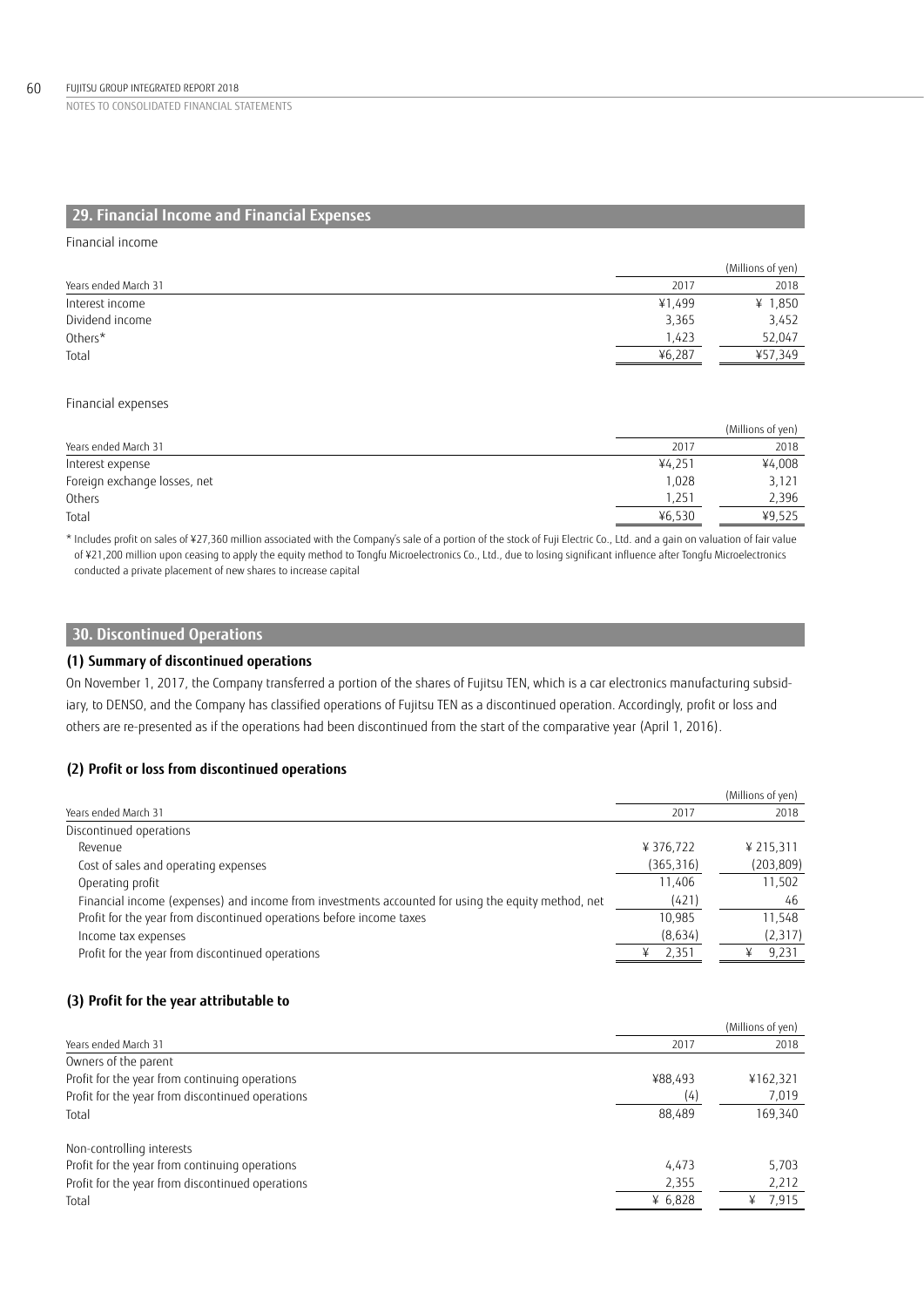# **29. Financial Income and Financial Expenses**

Financial income

|                      |        | (Millions of yen) |
|----------------------|--------|-------------------|
| Years ended March 31 | 2017   | 2018              |
| Interest income      | ¥1.499 | ¥ $1,850$         |
| Dividend income      | 3,365  | 3,452             |
| Others*              | 1,423  | 52,047            |
| Total                | ¥6.287 | ¥57.349           |

### Financial expenses

|                              |        | (Millions of yen) |
|------------------------------|--------|-------------------|
| Years ended March 31         | 2017   | 2018              |
| Interest expense             | ¥4.251 | ¥4,008            |
| Foreign exchange losses, net | 1.028  | 3,121             |
| Others                       | 1.251  | 2,396             |
| Total                        | ¥6.530 | ¥9,525            |

\* Includes profit on sales of ¥27,360 million associated with the Company's sale of a portion of the stock of Fuji Electric Co., Ltd. and a gain on valuation of fair value of ¥21,200 million upon ceasing to apply the equity method to Tongfu Microelectronics Co., Ltd., due to losing significant influence after Tongfu Microelectronics conducted a private placement of new shares to increase capital

## **30. Discontinued Operations**

## **(1) Summary of discontinued operations**

On November 1, 2017, the Company transferred a portion of the shares of Fujitsu TEN, which is a car electronics manufacturing subsidiary, to DENSO, and the Company has classified operations of Fujitsu TEN as a discontinued operation. Accordingly, profit or loss and others are re-presented as if the operations had been discontinued from the start of the comparative year (April 1, 2016).

## **(2) Profit or loss from discontinued operations**

|                                                                                                    |            | (Millions of yen) |
|----------------------------------------------------------------------------------------------------|------------|-------------------|
| Years ended March 31                                                                               | 2017       | 2018              |
| Discontinued operations                                                                            |            |                   |
| Revenue                                                                                            | ¥ 376,722  | ¥ 215.311         |
| Cost of sales and operating expenses                                                               | (365, 316) | (203, 809)        |
| Operating profit                                                                                   | 11.406     | 11,502            |
| Financial income (expenses) and income from investments accounted for using the equity method, net | (421)      | 46                |
| Profit for the year from discontinued operations before income taxes                               | 10.985     | 11.548            |
| Income tax expenses                                                                                | (8,634)    | (2,317)           |
| Profit for the year from discontinued operations                                                   | 2,351      | 9,231             |

## **(3) Profit for the year attributable to**

|                                                  |           | (Millions of yen) |
|--------------------------------------------------|-----------|-------------------|
| Years ended March 31                             | 2017      | 2018              |
| Owners of the parent                             |           |                   |
| Profit for the year from continuing operations   | ¥88,493   | ¥162,321          |
| Profit for the year from discontinued operations | (4)       | 7,019             |
| Total                                            | 88,489    | 169,340           |
| Non-controlling interests                        |           |                   |
| Profit for the year from continuing operations   | 4.473     | 5.703             |
| Profit for the year from discontinued operations | 2,355     | 2,212             |
| Total                                            | ¥ $6,828$ | 7,915<br>¥        |
|                                                  |           |                   |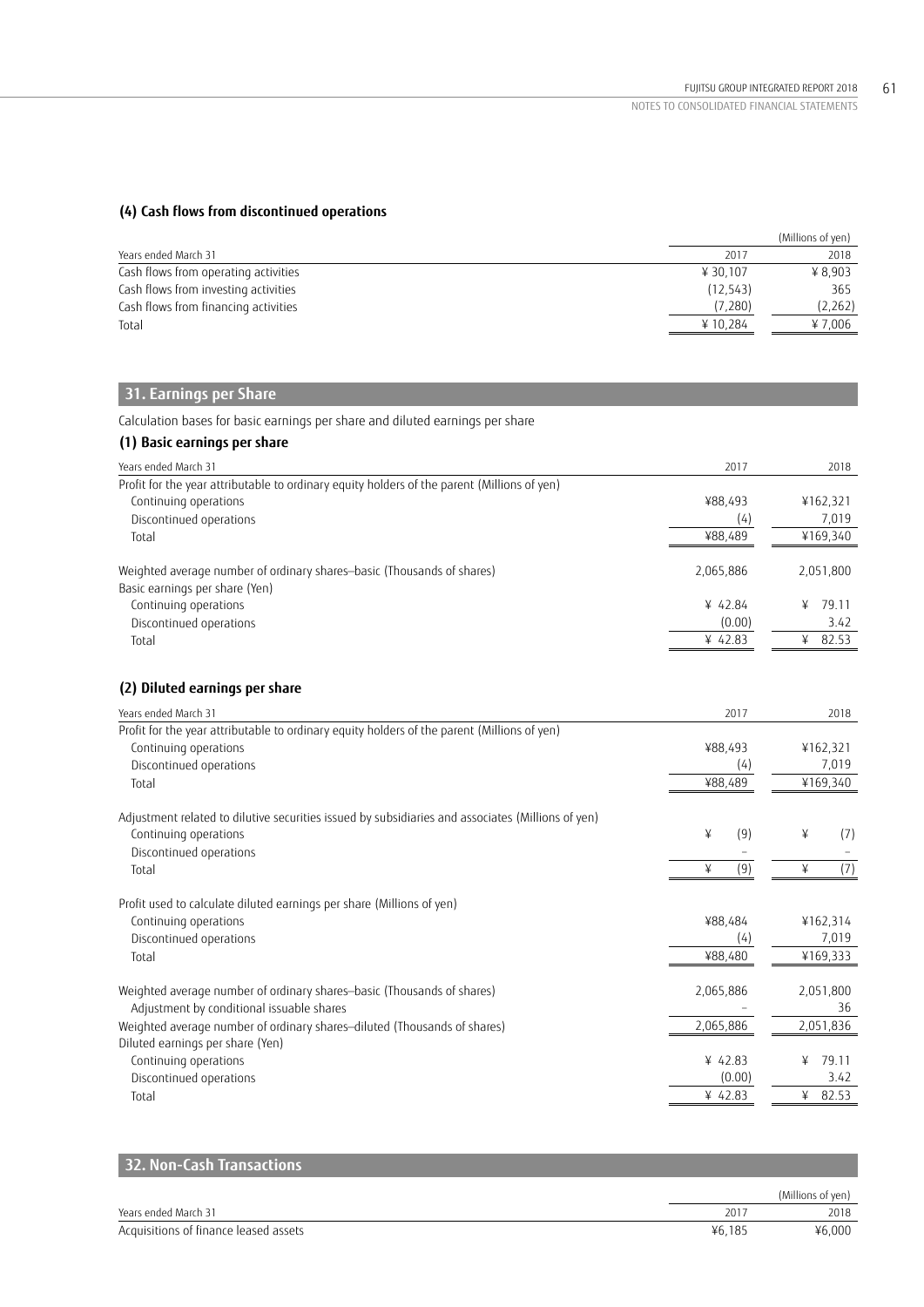## **(4) Cash flows from discontinued operations**

|                                      |          | (Millions of yen) |
|--------------------------------------|----------|-------------------|
| Years ended March 31                 | 2017     | 2018              |
| Cash flows from operating activities | ¥ 30.107 | ¥ 8.903           |
| Cash flows from investing activities | (12.543) | 365               |
| Cash flows from financing activities | (7.280)  | (2,262)           |
| Total                                | ¥10.284  | ¥ 7.006           |

# **31. Earnings per Share**

Calculation bases for basic earnings per share and diluted earnings per share

# **(1) Basic earnings per share**

| Years ended March 31                                                                                     | 2017      | 2018       |
|----------------------------------------------------------------------------------------------------------|-----------|------------|
| Profit for the year attributable to ordinary equity holders of the parent (Millions of yen)              |           |            |
| Continuing operations                                                                                    | ¥88.493   | ¥162,321   |
| Discontinued operations                                                                                  | (4)       | 7,019      |
| Total                                                                                                    | ¥88,489   | ¥169,340   |
| Weighted average number of ordinary shares-basic (Thousands of shares)<br>Basic earnings per share (Yen) | 2,065,886 | 2,051,800  |
| Continuing operations                                                                                    | ¥ 42.84   | 79.11<br>¥ |
| Discontinued operations                                                                                  | (0.00)    | 3.42       |
| Total                                                                                                    | ¥ 42.83   | 82.53<br>¥ |
|                                                                                                          |           |            |

# **(2) Diluted earnings per share**

| Years ended March 31                                                                              | 2017      | 2018       |
|---------------------------------------------------------------------------------------------------|-----------|------------|
| Profit for the year attributable to ordinary equity holders of the parent (Millions of yen)       |           |            |
| Continuing operations                                                                             | ¥88,493   | ¥162,321   |
| Discontinued operations                                                                           | (4)       | 7,019      |
| Total                                                                                             | ¥88,489   | ¥169,340   |
| Adjustment related to dilutive securities issued by subsidiaries and associates (Millions of yen) |           |            |
| Continuing operations                                                                             | (9)<br>¥  | ¥<br>(7)   |
| Discontinued operations                                                                           |           |            |
| Total                                                                                             | (9)<br>¥  | (7)<br>¥   |
| Profit used to calculate diluted earnings per share (Millions of yen)                             |           |            |
| Continuing operations                                                                             | ¥88,484   | ¥162,314   |
| Discontinued operations                                                                           | (4)       | 7,019      |
| Total                                                                                             | ¥88,480   | ¥169,333   |
| Weighted average number of ordinary shares-basic (Thousands of shares)                            | 2,065,886 | 2,051,800  |
| Adjustment by conditional issuable shares                                                         |           | 36         |
| Weighted average number of ordinary shares-diluted (Thousands of shares)                          | 2,065,886 | 2,051,836  |
| Diluted earnings per share (Yen)                                                                  |           |            |
| Continuing operations                                                                             | ¥ 42.83   | 79.11<br>¥ |
| Discontinued operations                                                                           | (0.00)    | 3.42       |
| Total                                                                                             | ¥ 42.83   | 82.53<br>¥ |

| 32. Non-Cash Transactions             |        |                   |
|---------------------------------------|--------|-------------------|
|                                       |        | (Millions of yen) |
| Years ended March 31                  | 2017   | 2018              |
| Acquisitions of finance leased assets | ¥6.185 | ¥6.000            |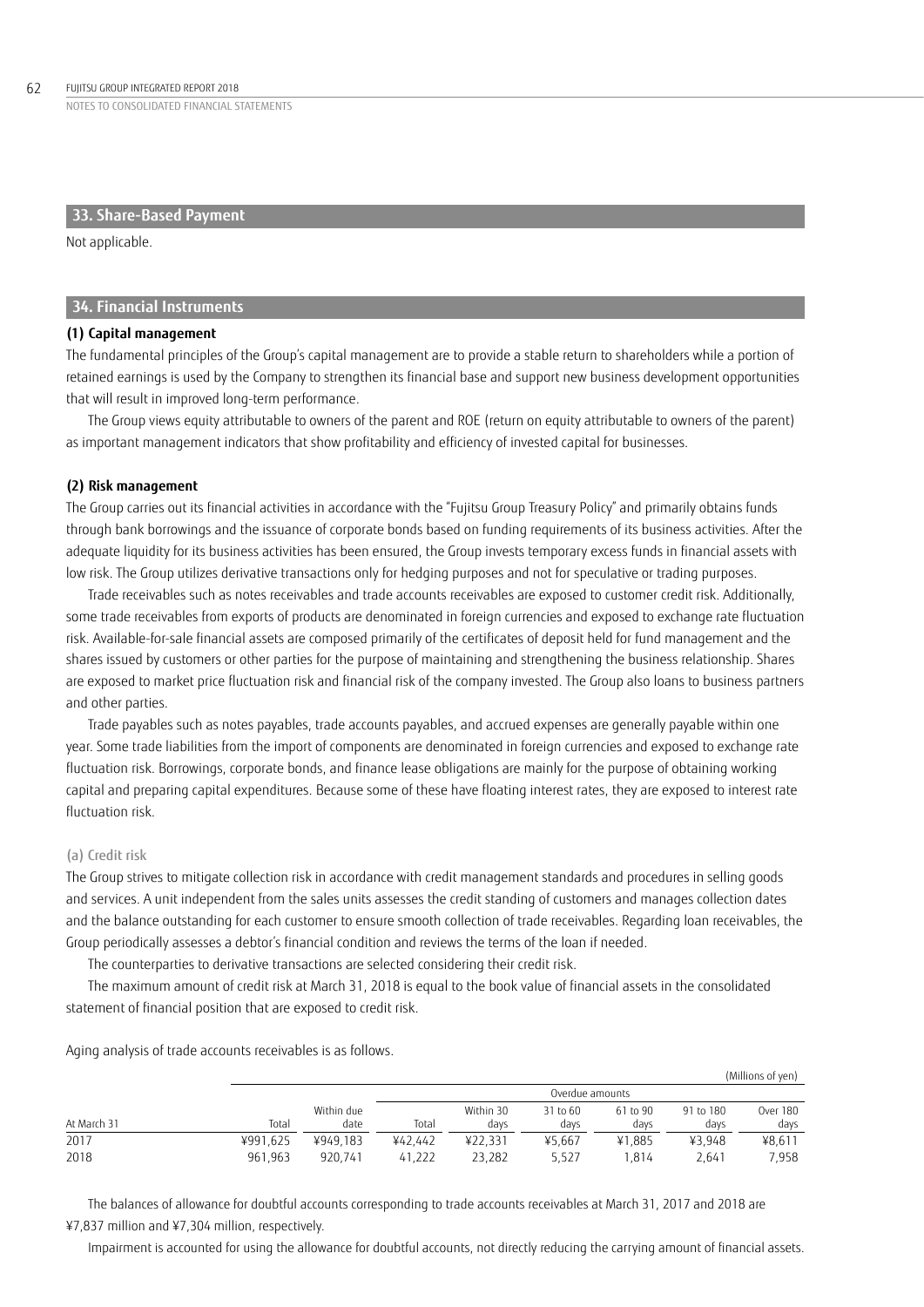## **33. Share-Based Payment**

Not applicable.

## **34. Financial Instruments**

## **(1) Capital management**

The fundamental principles of the Group's capital management are to provide a stable return to shareholders while a portion of retained earnings is used by the Company to strengthen its financial base and support new business development opportunities that will result in improved long-term performance.

The Group views equity attributable to owners of the parent and ROE (return on equity attributable to owners of the parent) as important management indicators that show profitability and efficiency of invested capital for businesses.

### **(2) Risk management**

The Group carries out its financial activities in accordance with the "Fujitsu Group Treasury Policy" and primarily obtains funds through bank borrowings and the issuance of corporate bonds based on funding requirements of its business activities. After the adequate liquidity for its business activities has been ensured, the Group invests temporary excess funds in financial assets with low risk. The Group utilizes derivative transactions only for hedging purposes and not for speculative or trading purposes.

Trade receivables such as notes receivables and trade accounts receivables are exposed to customer credit risk. Additionally, some trade receivables from exports of products are denominated in foreign currencies and exposed to exchange rate fluctuation risk. Available-for-sale financial assets are composed primarily of the certificates of deposit held for fund management and the shares issued by customers or other parties for the purpose of maintaining and strengthening the business relationship. Shares are exposed to market price fluctuation risk and financial risk of the company invested. The Group also loans to business partners and other parties.

Trade payables such as notes payables, trade accounts payables, and accrued expenses are generally payable within one year. Some trade liabilities from the import of components are denominated in foreign currencies and exposed to exchange rate fluctuation risk. Borrowings, corporate bonds, and finance lease obligations are mainly for the purpose of obtaining working capital and preparing capital expenditures. Because some of these have floating interest rates, they are exposed to interest rate fluctuation risk.

### (a) Credit risk

The Group strives to mitigate collection risk in accordance with credit management standards and procedures in selling goods and services. A unit independent from the sales units assesses the credit standing of customers and manages collection dates and the balance outstanding for each customer to ensure smooth collection of trade receivables. Regarding loan receivables, the Group periodically assesses a debtor's financial condition and reviews the terms of the loan if needed.

The counterparties to derivative transactions are selected considering their credit risk.

The maximum amount of credit risk at March 31, 2018 is equal to the book value of financial assets in the consolidated statement of financial position that are exposed to credit risk.

(Millions of yen) Overdue amounts At March 31 Total Within due date Total Within 30 days 31 to 60 days 61 to 90 days 91 to 180 days Over 180 days 2017 ¥991,625 ¥949,183 ¥42,442 ¥22,331 ¥5,667 ¥1,885 ¥3,948 ¥8,611 2018 961,963 920,741 41,222 23,282 5,527 1,814 2,641 7,958

Aging analysis of trade accounts receivables is as follows.

The balances of allowance for doubtful accounts corresponding to trade accounts receivables at March 31, 2017 and 2018 are ¥7,837 million and ¥7,304 million, respectively.

Impairment is accounted for using the allowance for doubtful accounts, not directly reducing the carrying amount of financial assets.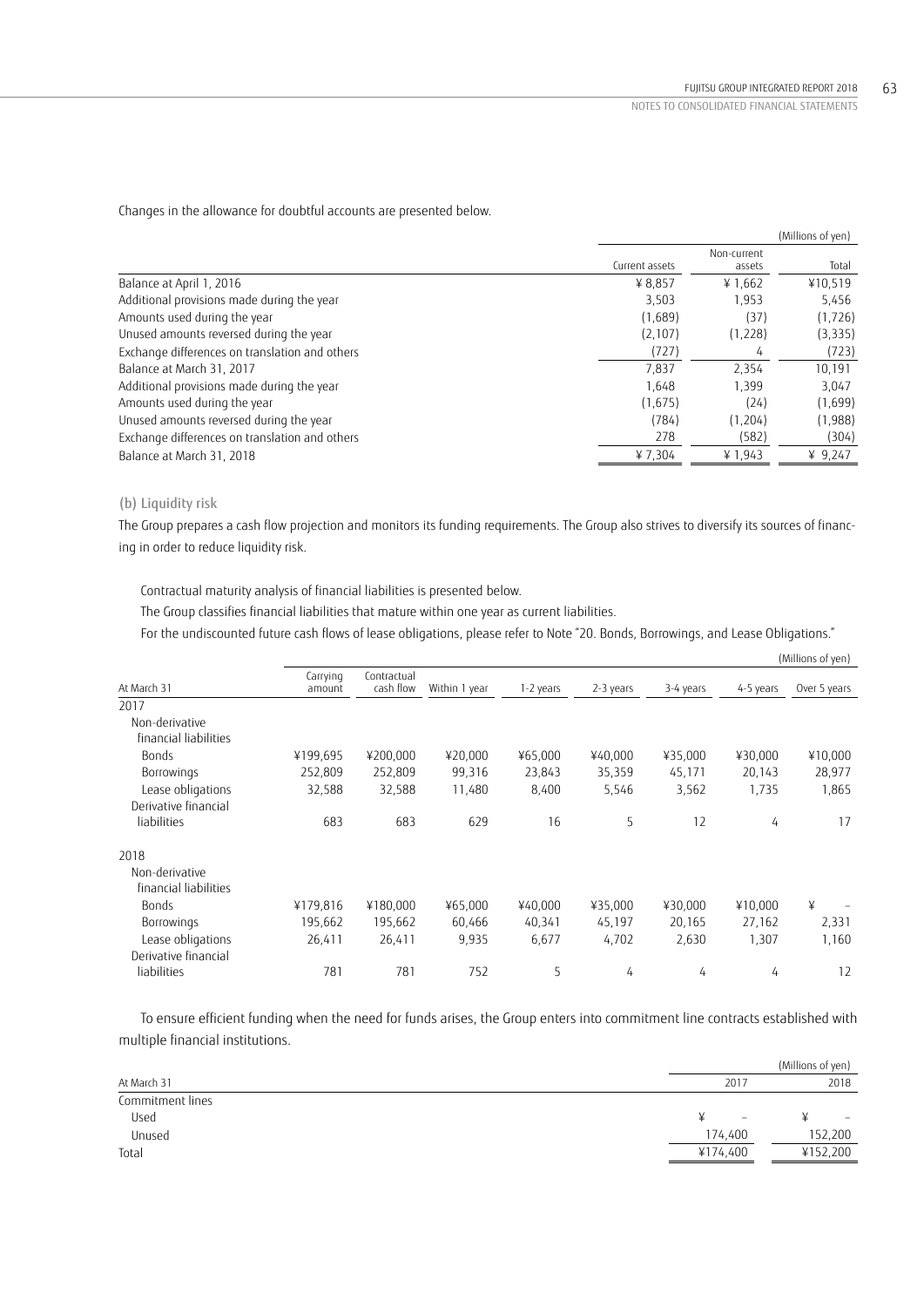Changes in the allowance for doubtful accounts are presented below.

|                                                |                |                       | (Millions of yen) |
|------------------------------------------------|----------------|-----------------------|-------------------|
|                                                | Current assets | Non-current<br>assets | Total             |
| Balance at April 1, 2016                       | ¥ 8,857        | ¥1,662                | ¥10,519           |
| Additional provisions made during the year     | 3,503          | 1,953                 | 5,456             |
| Amounts used during the year                   | (1,689)        | (37)                  | (1, 726)          |
| Unused amounts reversed during the year        | (2, 107)       | (1,228)               | (3, 335)          |
| Exchange differences on translation and others | (727)          | 4                     | (723)             |
| Balance at March 31, 2017                      | 7,837          | 2.354                 | 10,191            |
| Additional provisions made during the year     | 1.648          | 1.399                 | 3,047             |
| Amounts used during the year                   | (1,675)        | (24)                  | (1,699)           |
| Unused amounts reversed during the year        | (784)          | (1, 204)              | (1,988)           |
| Exchange differences on translation and others | 278            | (582)                 | (304)             |
| Balance at March 31, 2018                      | ¥7,304         | ¥ 1,943               | ¥ $9,247$         |

# (b) Liquidity risk

The Group prepares a cash flow projection and monitors its funding requirements. The Group also strives to diversify its sources of financing in order to reduce liquidity risk.

Contractual maturity analysis of financial liabilities is presented below.

The Group classifies financial liabilities that mature within one year as current liabilities.

For the undiscounted future cash flows of lease obligations, please refer to Note "20. Bonds, Borrowings, and Lease Obligations."

|                                         |                    |                          |               |           |           |           |           | (Millions of yen) |
|-----------------------------------------|--------------------|--------------------------|---------------|-----------|-----------|-----------|-----------|-------------------|
| At March 31                             | Carrying<br>amount | Contractual<br>cash flow | Within 1 year | 1-2 years | 2-3 years | 3-4 years | 4-5 years | Over 5 years      |
| 2017                                    |                    |                          |               |           |           |           |           |                   |
| Non-derivative                          |                    |                          |               |           |           |           |           |                   |
| financial liabilities                   |                    |                          |               |           |           |           |           |                   |
| <b>Bonds</b>                            | ¥199,695           | ¥200,000                 | ¥20,000       | ¥65,000   | ¥40,000   | ¥35,000   | ¥30,000   | ¥10,000           |
| Borrowings                              | 252,809            | 252,809                  | 99,316        | 23,843    | 35,359    | 45,171    | 20,143    | 28,977            |
| Lease obligations                       | 32,588             | 32,588                   | 11,480        | 8,400     | 5,546     | 3,562     | 1,735     | 1,865             |
| Derivative financial                    |                    |                          |               |           |           |           |           |                   |
| liabilities                             | 683                | 683                      | 629           | 16        | 5         | 12        | 4         | 17                |
| 2018                                    |                    |                          |               |           |           |           |           |                   |
| Non-derivative<br>financial liabilities |                    |                          |               |           |           |           |           |                   |
| <b>Bonds</b>                            | ¥179,816           | ¥180,000                 | ¥65,000       | ¥40,000   | ¥35,000   | ¥30,000   | ¥10,000   | ¥                 |
| <b>Borrowings</b>                       | 195,662            | 195,662                  | 60,466        | 40,341    | 45,197    | 20,165    | 27,162    | 2,331             |
| Lease obligations                       | 26,411             | 26,411                   | 9,935         | 6,677     | 4,702     | 2,630     | 1,307     | 1,160             |
| Derivative financial                    |                    |                          |               |           |           |           |           |                   |
| liabilities                             | 781                | 781                      | 752           | 5         | 4         | 4         | 4         | 12                |

To ensure efficient funding when the need for funds arises, the Group enters into commitment line contracts established with multiple financial institutions.

|                  |                          | (Millions of yen)        |
|------------------|--------------------------|--------------------------|
| At March 31      | 2017                     | 2018                     |
| Commitment lines |                          |                          |
| Used             | $\overline{\phantom{a}}$ | $\overline{\phantom{0}}$ |
| Unused           | 174,400                  | 152,200                  |
| Total            | ¥174,400                 | ¥152,200                 |
|                  |                          |                          |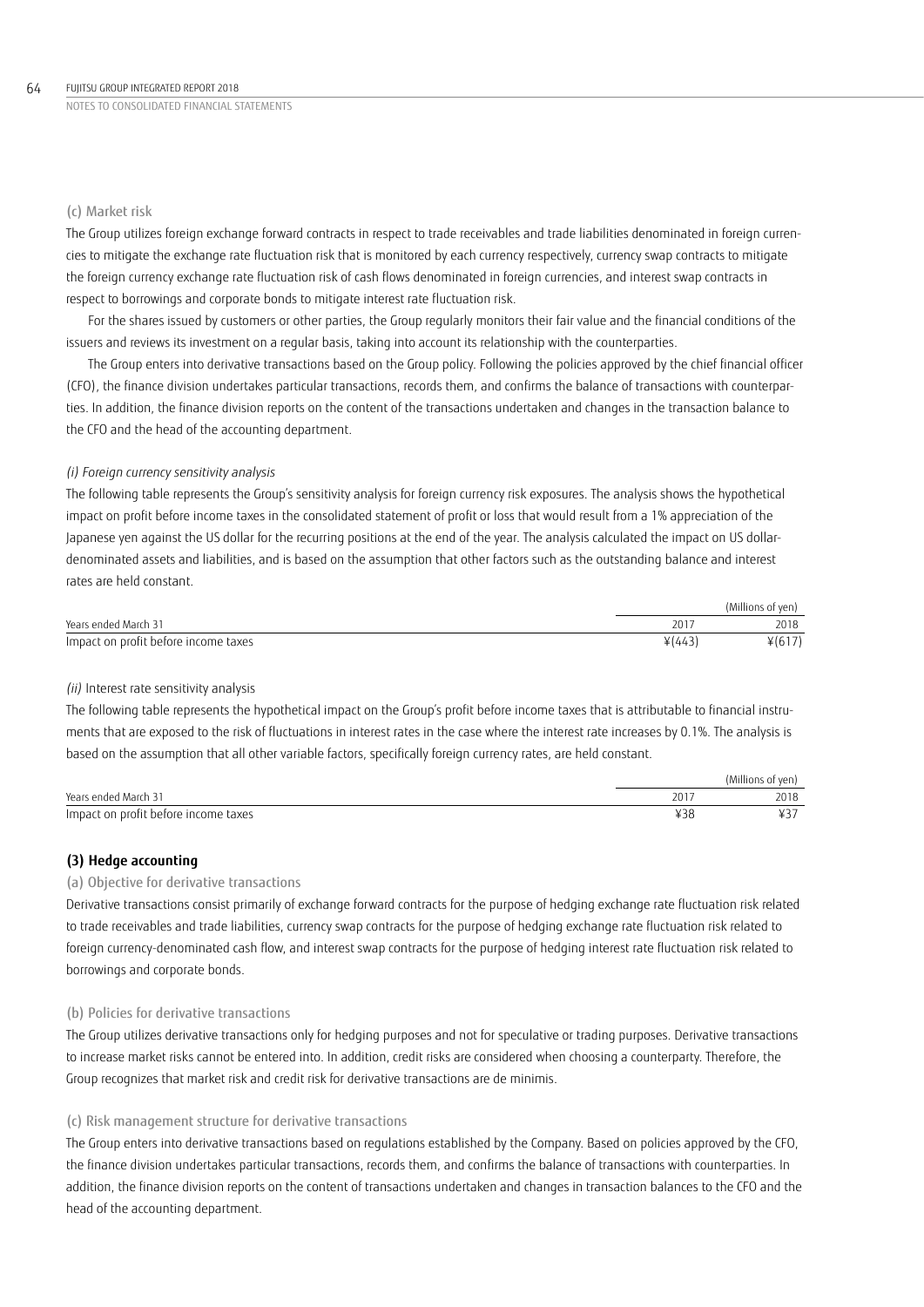## (c) Market risk

The Group utilizes foreign exchange forward contracts in respect to trade receivables and trade liabilities denominated in foreign currencies to mitigate the exchange rate fluctuation risk that is monitored by each currency respectively, currency swap contracts to mitigate the foreign currency exchange rate fluctuation risk of cash flows denominated in foreign currencies, and interest swap contracts in respect to borrowings and corporate bonds to mitigate interest rate fluctuation risk.

For the shares issued by customers or other parties, the Group regularly monitors their fair value and the financial conditions of the issuers and reviews its investment on a regular basis, taking into account its relationship with the counterparties.

The Group enters into derivative transactions based on the Group policy. Following the policies approved by the chief financial officer (CFO), the finance division undertakes particular transactions, records them, and confirms the balance of transactions with counterparties. In addition, the finance division reports on the content of the transactions undertaken and changes in the transaction balance to the CFO and the head of the accounting department.

## *(i) Foreign currency sensitivity analysis*

The following table represents the Group's sensitivity analysis for foreign currency risk exposures. The analysis shows the hypothetical impact on profit before income taxes in the consolidated statement of profit or loss that would result from a 1% appreciation of the Japanese yen against the US dollar for the recurring positions at the end of the year. The analysis calculated the impact on US dollardenominated assets and liabilities, and is based on the assumption that other factors such as the outstanding balance and interest rates are held constant.

|                                      |          | (Millions of yen) |
|--------------------------------------|----------|-------------------|
| Years ended March 31                 | 201      | 2018              |
| Impact on profit before income taxes | $*(443)$ | $*(617)$          |

## *(ii)* Interest rate sensitivity analysis

The following table represents the hypothetical impact on the Group's profit before income taxes that is attributable to financial instruments that are exposed to the risk of fluctuations in interest rates in the case where the interest rate increases by 0.1%. The analysis is based on the assumption that all other variable factors, specifically foreign currency rates, are held constant.

|                                      |     | (Millions of ven) |
|--------------------------------------|-----|-------------------|
| Years ended March 31                 | 201 | 2018              |
| Impact on profit before income taxes | マンク |                   |

## **(3) Hedge accounting**

## (a) Objective for derivative transactions

Derivative transactions consist primarily of exchange forward contracts for the purpose of hedging exchange rate fluctuation risk related to trade receivables and trade liabilities, currency swap contracts for the purpose of hedging exchange rate fluctuation risk related to foreign currency-denominated cash flow, and interest swap contracts for the purpose of hedging interest rate fluctuation risk related to borrowings and corporate bonds.

## (b) Policies for derivative transactions

The Group utilizes derivative transactions only for hedging purposes and not for speculative or trading purposes. Derivative transactions to increase market risks cannot be entered into. In addition, credit risks are considered when choosing a counterparty. Therefore, the Group recognizes that market risk and credit risk for derivative transactions are de minimis.

## (c) Risk management structure for derivative transactions

The Group enters into derivative transactions based on regulations established by the Company. Based on policies approved by the CFO, the finance division undertakes particular transactions, records them, and confirms the balance of transactions with counterparties. In addition, the finance division reports on the content of transactions undertaken and changes in transaction balances to the CFO and the head of the accounting department.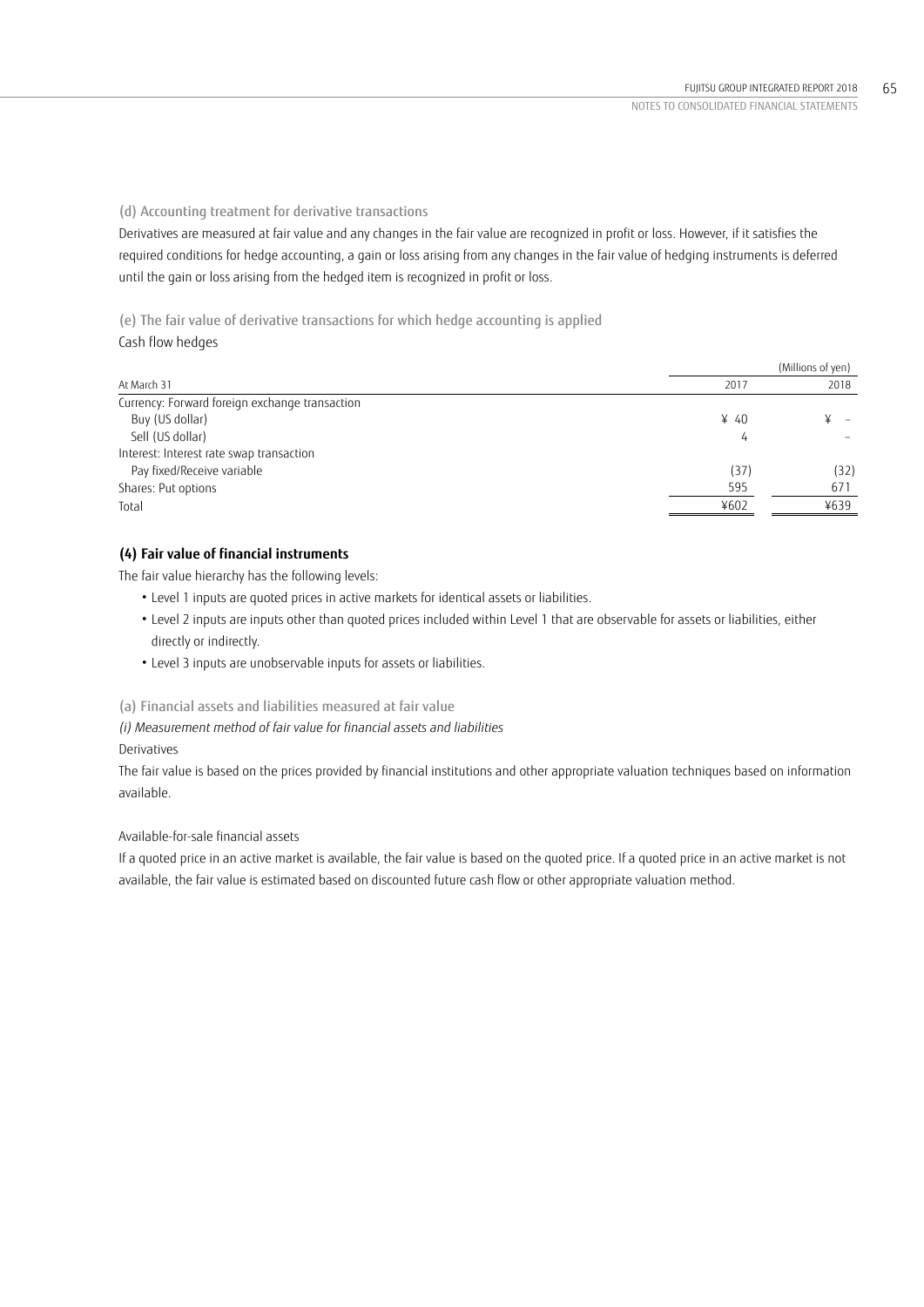(d) Accounting treatment for derivative transactions

Derivatives are measured at fair value and any changes in the fair value are recognized in profit or loss. However, if it satisfies the required conditions for hedge accounting, a gain or loss arising from any changes in the fair value of hedging instruments is deferred until the gain or loss arising from the hedged item is recognized in profit or loss.

(e) The fair value of derivative transactions for which hedge accounting is applied Cash flow hedges

|                                                |                  | (Millions of yen) |
|------------------------------------------------|------------------|-------------------|
| At March 31                                    | 2017             | 2018              |
| Currency: Forward foreign exchange transaction |                  |                   |
| Buy (US dollar)                                | $\frac{1}{2}$ 40 |                   |
| Sell (US dollar)                               | 4                |                   |
| Interest: Interest rate swap transaction       |                  |                   |
| Pay fixed/Receive variable                     | (37)             | (32)              |
| Shares: Put options                            | 595              | 671               |
| Total                                          | ¥602             | ¥639              |

# **(4) Fair value of financial instruments**

The fair value hierarchy has the following levels:

- Level 1 inputs are quoted prices in active markets for identical assets or liabilities.
- Level 2 inputs are inputs other than quoted prices included within Level 1 that are observable for assets or liabilities, either directly or indirectly.
- Level 3 inputs are unobservable inputs for assets or liabilities.

(a) Financial assets and liabilities measured at fair value

*(i) Measurement method of fair value for financial assets and liabilities* Derivatives

The fair value is based on the prices provided by financial institutions and other appropriate valuation techniques based on information available.

Available-for-sale financial assets

If a quoted price in an active market is available, the fair value is based on the quoted price. If a quoted price in an active market is not available, the fair value is estimated based on discounted future cash flow or other appropriate valuation method.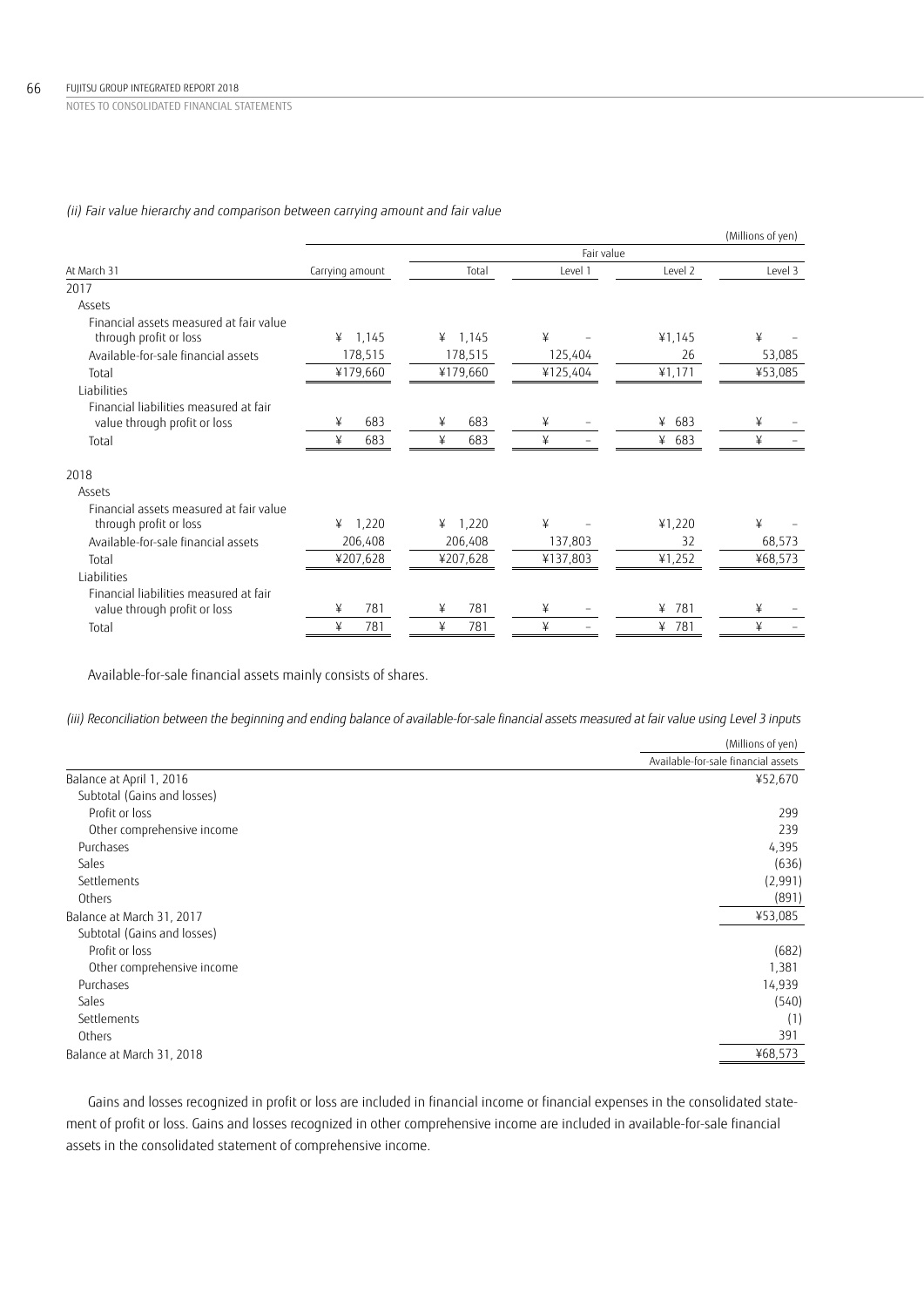## *(ii) Fair value hierarchy and comparison between carrying amount and fair value*

|                                         |                 |            |            |          | (Millions of yen) |
|-----------------------------------------|-----------------|------------|------------|----------|-------------------|
|                                         |                 |            | Fair value |          |                   |
| At March 31                             | Carrying amount | Total      | Level 1    | Level 2  | Level 3           |
| 2017                                    |                 |            |            |          |                   |
| Assets                                  |                 |            |            |          |                   |
| Financial assets measured at fair value |                 |            |            |          |                   |
| through profit or loss                  | ¥<br>1,145      | ¥ $1,145$  | ¥          | 41,145   | ¥                 |
| Available-for-sale financial assets     | 178,515         | 178,515    | 125,404    | 26       | 53,085            |
| Total                                   | ¥179,660        | ¥179,660   | ¥125,404   | 41,171   | ¥53,085           |
| Liabilities                             |                 |            |            |          |                   |
| Financial liabilities measured at fair  |                 |            |            |          |                   |
| value through profit or loss            | 683<br>¥        | 683<br>¥   | ¥          | ¥ $683$  | ¥                 |
| Total                                   | ¥<br>683        | ¥<br>683   | ¥          | ¥ $683$  | ¥                 |
| 2018                                    |                 |            |            |          |                   |
| Assets                                  |                 |            |            |          |                   |
| Financial assets measured at fair value |                 |            |            |          |                   |
| through profit or loss                  | 1,220<br>¥      | 1,220<br>¥ | ¥          | 41,220   | ¥                 |
| Available-for-sale financial assets     | 206,408         | 206,408    | 137,803    | 32       | 68,573            |
| Total                                   | ¥207,628        | ¥207,628   | ¥137,803   | ¥1,252   | ¥68,573           |
| Liabilities                             |                 |            |            |          |                   |
| Financial liabilities measured at fair  |                 |            |            |          |                   |
| value through profit or loss            | 781<br>¥        | 781<br>¥   | ¥          | 781<br>¥ | ¥                 |
| Total                                   | ¥<br>781        | ¥<br>781   | ¥          | ¥ 781    | ¥                 |
|                                         |                 |            |            |          |                   |

Available-for-sale financial assets mainly consists of shares.

*(iii) Reconciliation between the beginning and ending balance of available-for-sale financial assets measured at fair value using Level 3 inputs*

|                             | (Millions of yen)                   |
|-----------------------------|-------------------------------------|
|                             | Available-for-sale financial assets |
| Balance at April 1, 2016    | ¥52,670                             |
| Subtotal (Gains and losses) |                                     |
| Profit or loss              | 299                                 |
| Other comprehensive income  | 239                                 |
| Purchases                   | 4,395                               |
| Sales                       | (636)                               |
| Settlements                 | (2,991)                             |
| Others                      | (891)                               |
| Balance at March 31, 2017   | ¥53,085                             |
| Subtotal (Gains and losses) |                                     |
| Profit or loss              | (682)                               |
| Other comprehensive income  | 1,381                               |
| Purchases                   | 14,939                              |
| Sales                       | (540)                               |
| Settlements                 | (1)                                 |
| Others                      | 391                                 |
| Balance at March 31, 2018   | ¥68,573                             |

Gains and losses recognized in profit or loss are included in financial income or financial expenses in the consolidated statement of profit or loss. Gains and losses recognized in other comprehensive income are included in available-for-sale financial assets in the consolidated statement of comprehensive income.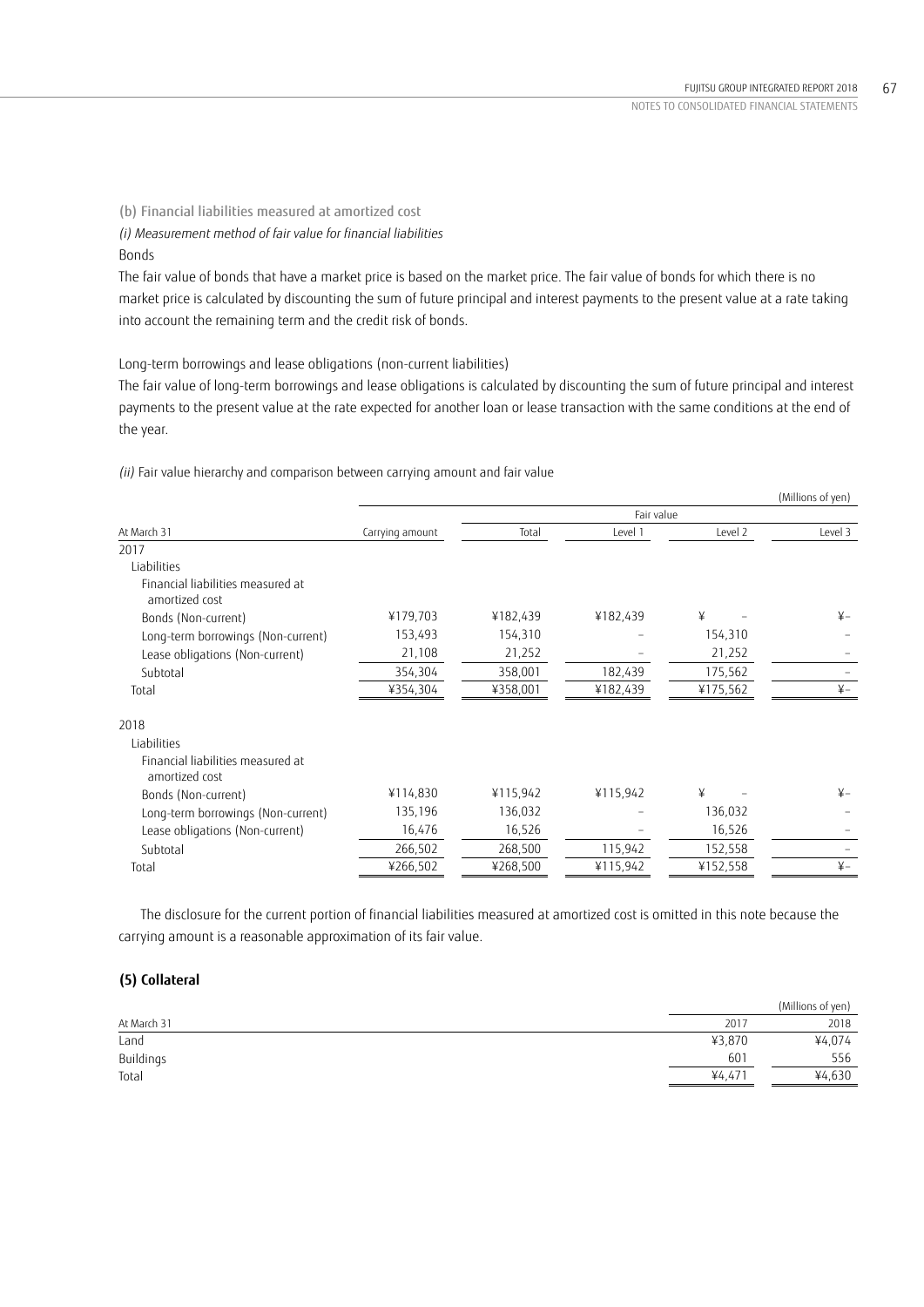(b) Financial liabilities measured at amortized cost

*(i) Measurement method of fair value for financial liabilities*

Bonds

The fair value of bonds that have a market price is based on the market price. The fair value of bonds for which there is no market price is calculated by discounting the sum of future principal and interest payments to the present value at a rate taking into account the remaining term and the credit risk of bonds.

Long-term borrowings and lease obligations (non-current liabilities)

The fair value of long-term borrowings and lease obligations is calculated by discounting the sum of future principal and interest payments to the present value at the rate expected for another loan or lease transaction with the same conditions at the end of the year.

|                                                     |                 |          |            |          | (Millions of yen) |
|-----------------------------------------------------|-----------------|----------|------------|----------|-------------------|
|                                                     |                 |          | Fair value |          |                   |
| At March 31                                         | Carrying amount | Total    | Level 1    | Level 2  | Level 3           |
| 2017                                                |                 |          |            |          |                   |
| Liabilities                                         |                 |          |            |          |                   |
| Financial liabilities measured at<br>amortized cost |                 |          |            |          |                   |
| Bonds (Non-current)                                 | ¥179,703        | ¥182,439 | ¥182,439   | ¥        | $\frac{1}{2}$     |
| Long-term borrowings (Non-current)                  | 153,493         | 154,310  |            | 154,310  |                   |
| Lease obligations (Non-current)                     | 21,108          | 21,252   |            | 21,252   |                   |
| Subtotal                                            | 354,304         | 358,001  | 182,439    | 175,562  |                   |
| Total                                               | ¥354,304        | ¥358,001 | ¥182,439   | ¥175,562 | $\frac{1}{2}$     |
| 2018                                                |                 |          |            |          |                   |
| Liabilities                                         |                 |          |            |          |                   |
| Financial liabilities measured at<br>amortized cost |                 |          |            |          |                   |
| Bonds (Non-current)                                 | ¥114,830        | ¥115,942 | ¥115,942   | ¥        | $\frac{1}{2}$     |
| Long-term borrowings (Non-current)                  | 135,196         | 136,032  |            | 136,032  |                   |
| Lease obligations (Non-current)                     | 16,476          | 16,526   |            | 16,526   |                   |
| Subtotal                                            | 266,502         | 268,500  | 115,942    | 152,558  |                   |
| Total                                               | ¥266,502        | ¥268,500 | ¥115,942   | ¥152,558 | $\n  Y$           |
|                                                     |                 |          |            |          |                   |

*(ii)* Fair value hierarchy and comparison between carrying amount and fair value

The disclosure for the current portion of financial liabilities measured at amortized cost is omitted in this note because the carrying amount is a reasonable approximation of its fair value.

## **(5) Collateral**

|             |        | (Millions of yen) |
|-------------|--------|-------------------|
| At March 31 | 2017   | 2018              |
| Land        | ¥3,870 | ¥4,074            |
| Buildings   | 601    | 556               |
| Total       | 44.471 | ¥4,630            |
|             |        |                   |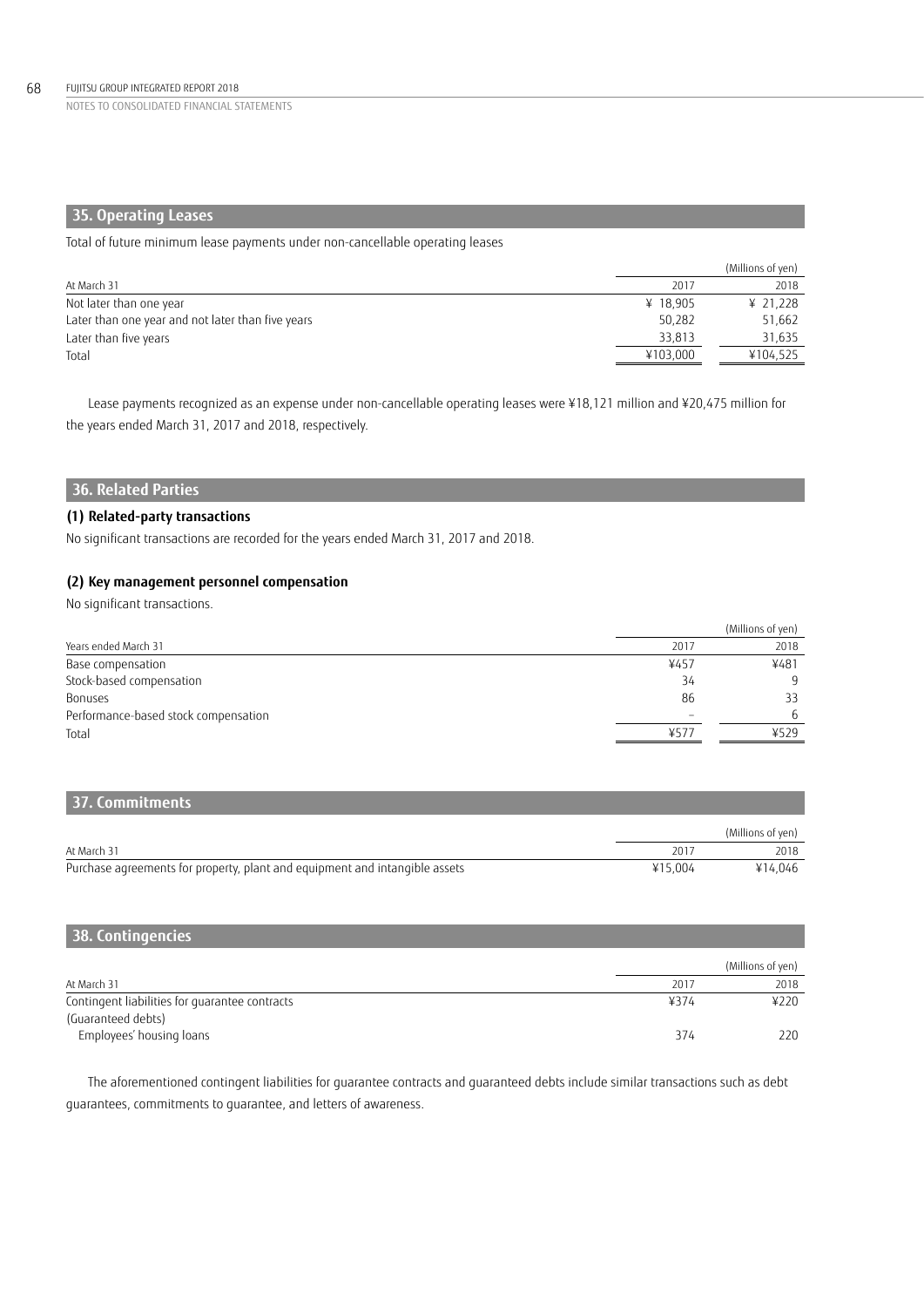# **35. Operating Leases**

Total of future minimum lease payments under non-cancellable operating leases

|                                                   |          | (Millions of yen) |
|---------------------------------------------------|----------|-------------------|
| At March 31                                       | 2017     | 2018              |
| Not later than one year                           | ¥ 18.905 | ¥ 21.228          |
| Later than one year and not later than five years | 50.282   | 51.662            |
| Later than five years                             | 33,813   | 31,635            |
| Total                                             | ¥103,000 | ¥104.525          |

Lease payments recognized as an expense under non-cancellable operating leases were ¥18,121 million and ¥20,475 million for the years ended March 31, 2017 and 2018, respectively.

# **36. Related Parties**

## **(1) Related-party transactions**

No significant transactions are recorded for the years ended March 31, 2017 and 2018.

## **(2) Key management personnel compensation**

No significant transactions.

|                                      |      | (Millions of yen) |
|--------------------------------------|------|-------------------|
| Years ended March 31                 | 2017 | 2018              |
| Base compensation                    | ¥457 | ¥481              |
| Stock-based compensation             | 34   | Q                 |
| Bonuses                              | 86   | 33                |
| Performance-based stock compensation |      | 6                 |
| Total                                | ¥577 | 4529              |

# **37. Commitments**

|                                                                             |         | (Millions of ven) |
|-----------------------------------------------------------------------------|---------|-------------------|
| At March 31                                                                 | 201.7   | 2018              |
| Purchase agreements for property, plant and equipment and intangible assets | ¥15.004 | ¥14.046           |

| 38. Contingencies                              |      |                   |
|------------------------------------------------|------|-------------------|
|                                                |      | (Millions of yen) |
| At March 31                                    | 2017 | 2018              |
| Contingent liabilities for guarantee contracts | ¥374 | ¥220              |
| (Guaranteed debts)                             |      |                   |
| Employees' housing loans                       | 374  | 220               |

The aforementioned contingent liabilities for guarantee contracts and guaranteed debts include similar transactions such as debt guarantees, commitments to guarantee, and letters of awareness.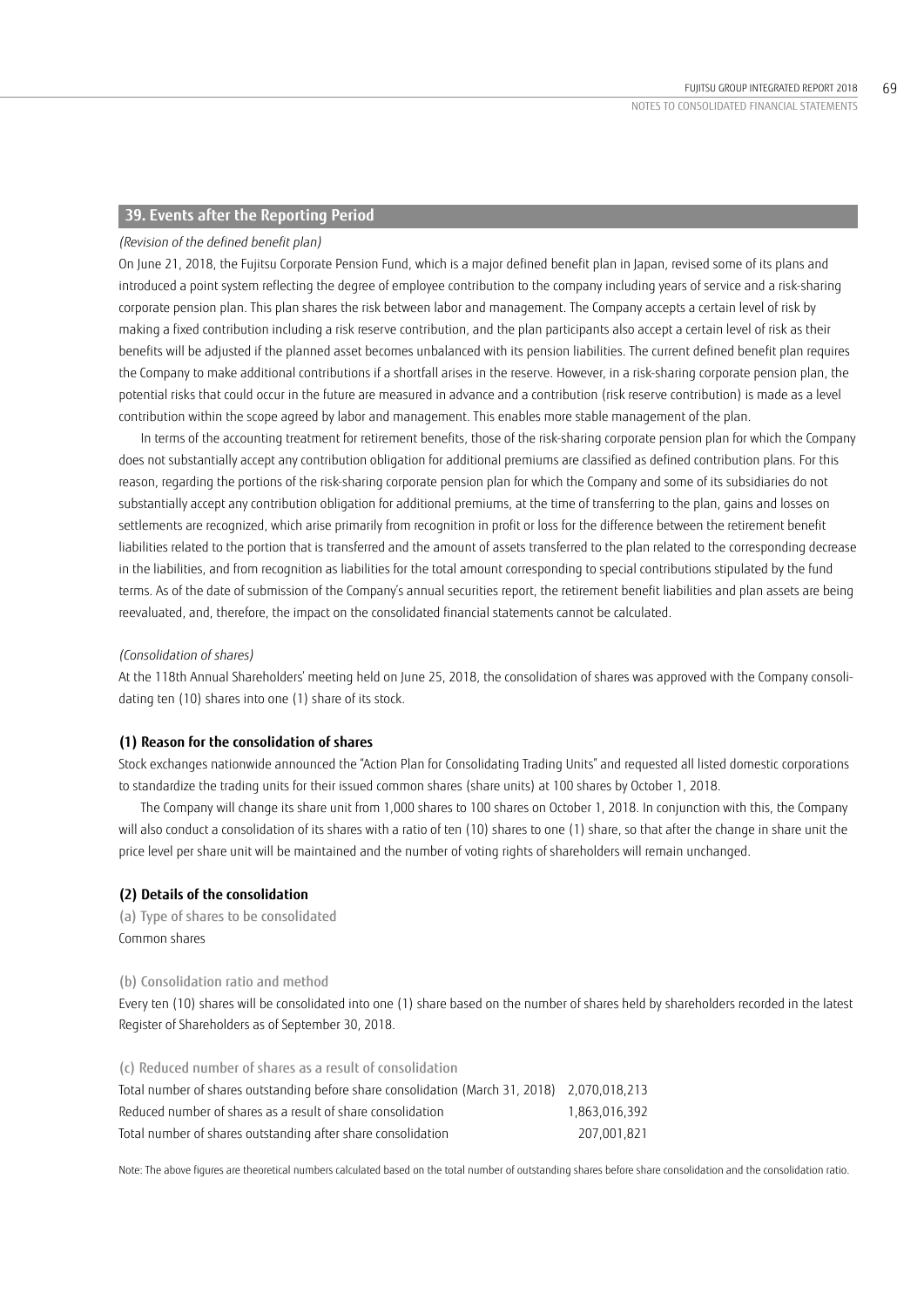## **39. Events after the Reporting Period**

### *(Revision of the defined benefit plan)*

On June 21, 2018, the Fujitsu Corporate Pension Fund, which is a major defined benefit plan in Japan, revised some of its plans and introduced a point system reflecting the degree of employee contribution to the company including years of service and a risk-sharing corporate pension plan. This plan shares the risk between labor and management. The Company accepts a certain level of risk by making a fixed contribution including a risk reserve contribution, and the plan participants also accept a certain level of risk as their benefits will be adjusted if the planned asset becomes unbalanced with its pension liabilities. The current defined benefit plan requires the Company to make additional contributions if a shortfall arises in the reserve. However, in a risk-sharing corporate pension plan, the potential risks that could occur in the future are measured in advance and a contribution (risk reserve contribution) is made as a level contribution within the scope agreed by labor and management. This enables more stable management of the plan.

In terms of the accounting treatment for retirement benefits, those of the risk-sharing corporate pension plan for which the Company does not substantially accept any contribution obligation for additional premiums are classified as defined contribution plans. For this reason, regarding the portions of the risk-sharing corporate pension plan for which the Company and some of its subsidiaries do not substantially accept any contribution obligation for additional premiums, at the time of transferring to the plan, gains and losses on settlements are recognized, which arise primarily from recognition in profit or loss for the difference between the retirement benefit liabilities related to the portion that is transferred and the amount of assets transferred to the plan related to the corresponding decrease in the liabilities, and from recognition as liabilities for the total amount corresponding to special contributions stipulated by the fund terms. As of the date of submission of the Company's annual securities report, the retirement benefit liabilities and plan assets are being reevaluated, and, therefore, the impact on the consolidated financial statements cannot be calculated.

### *(Consolidation of shares)*

At the 118th Annual Shareholders' meeting held on June 25, 2018, the consolidation of shares was approved with the Company consolidating ten (10) shares into one (1) share of its stock.

### **(1) Reason for the consolidation of shares**

Stock exchanges nationwide announced the "Action Plan for Consolidating Trading Units" and requested all listed domestic corporations to standardize the trading units for their issued common shares (share units) at 100 shares by October 1, 2018.

The Company will change its share unit from 1,000 shares to 100 shares on October 1, 2018. In conjunction with this, the Company will also conduct a consolidation of its shares with a ratio of ten (10) shares to one (1) share, so that after the change in share unit the price level per share unit will be maintained and the number of voting rights of shareholders will remain unchanged.

### **(2) Details of the consolidation**

(a) Type of shares to be consolidated Common shares

(b) Consolidation ratio and method

Every ten (10) shares will be consolidated into one (1) share based on the number of shares held by shareholders recorded in the latest Register of Shareholders as of September 30, 2018.

| (c) Reduced number of shares as a result of consolidation                                    |               |
|----------------------------------------------------------------------------------------------|---------------|
| Total number of shares outstanding before share consolidation (March 31, 2018) 2,070,018,213 |               |
| Reduced number of shares as a result of share consolidation                                  | 1,863,016,392 |
| Total number of shares outstanding after share consolidation                                 | 207.001.821   |

Note: The above figures are theoretical numbers calculated based on the total number of outstanding shares before share consolidation and the consolidation ratio.